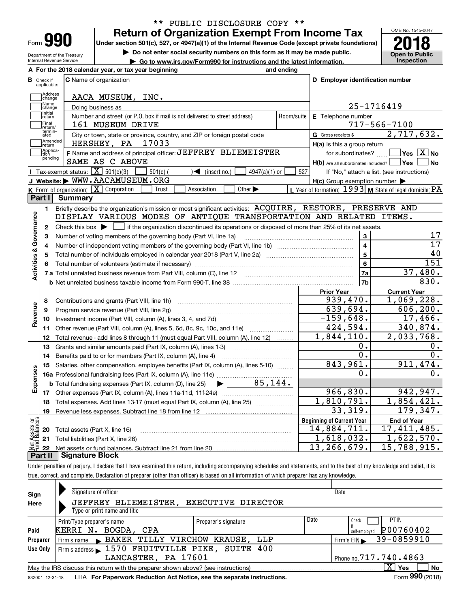| Form |  |
|------|--|

Department of the Treasury Internal Revenue Service

## **Return of Organization Exempt From Income Tax** \*\* PUBLIC DISCLOSURE COPY \*\*

**Under section 501(c), 527, or 4947(a)(1) of the Internal Revenue Code (except private foundations) 2018**

**| Do not enter social security numbers on this form as it may be made public.**

**| Go to www.irs.gov/Form990 for instructions and the latest information. Inspection**



|                         |                             | A For the 2018 calendar year, or tax year beginning                                                                                                      | and ending     |                                                                                |                                                           |
|-------------------------|-----------------------------|----------------------------------------------------------------------------------------------------------------------------------------------------------|----------------|--------------------------------------------------------------------------------|-----------------------------------------------------------|
| В                       | Check if<br>applicable:     | <b>C</b> Name of organization                                                                                                                            |                | D Employer identification number                                               |                                                           |
|                         | Address<br>change           | AACA MUSEUM, INC.                                                                                                                                        |                |                                                                                |                                                           |
|                         | Name<br>change              | Doing business as                                                                                                                                        |                |                                                                                | 25-1716419                                                |
|                         | Initial<br>return           | Number and street (or P.O. box if mail is not delivered to street address)                                                                               | Room/suite     | E Telephone number                                                             |                                                           |
|                         | Final                       | 161 MUSEUM DRIVE                                                                                                                                         |                |                                                                                | $717 - 566 - 7100$                                        |
|                         | return/<br>termin-<br>ated  | City or town, state or province, country, and ZIP or foreign postal code                                                                                 |                | G Gross receipts \$                                                            | 2,717,632.                                                |
|                         | Amended<br>Ireturn          | 17033<br>HERSHEY, PA                                                                                                                                     |                | $H(a)$ is this a group return                                                  |                                                           |
|                         | Applica-<br>tion<br>pending | F Name and address of principal officer: JEFFREY BLIEMEISTER<br>SAME AS C ABOVE                                                                          |                | for subordinates?<br>$H(b)$ Are all subordinates included? $\vert$ Yes $\vert$ | $\Box$ Yes $[\overline{\mathrm{X}}]$ No<br>  No           |
|                         |                             | Tax-exempt status: $\boxed{\mathbf{X}}$ 501(c)(3)<br>$501(c)$ (<br>$\sqrt{\frac{1}{1}}$ (insert no.)<br>$4947(a)(1)$ or                                  | 527            |                                                                                | If "No," attach a list. (see instructions)                |
|                         |                             | J Website: WWW.AACAMUSEUM.ORG                                                                                                                            |                | $H(c)$ Group exemption number $\blacktriangleright$                            |                                                           |
|                         |                             | K Form of organization: X Corporation<br>Other $\blacktriangleright$<br>Association<br>Trust                                                             |                |                                                                                | L Year of formation: $1993$ M State of legal domicile: PA |
|                         | Part I                      | <b>Summary</b>                                                                                                                                           |                |                                                                                |                                                           |
|                         | 1.                          | Briefly describe the organization's mission or most significant activities: ACQUIRE, RESTORE, PRESERVE AND                                               |                |                                                                                |                                                           |
|                         |                             | DISPLAY VARIOUS MODES OF ANTIQUE TRANSPORTATION AND RELATED ITEMS.                                                                                       |                |                                                                                |                                                           |
| Activities & Governance | $\mathbf{2}$                | Check this box $\blacktriangleright$ $\blacksquare$ if the organization discontinued its operations or disposed of more than 25% of its net assets.      |                |                                                                                |                                                           |
|                         | 3                           | Number of voting members of the governing body (Part VI, line 1a)                                                                                        |                | 3                                                                              | 17                                                        |
|                         | 4                           |                                                                                                                                                          |                | $\overline{4}$                                                                 | $\overline{17}$                                           |
|                         | 5                           | Total number of individuals employed in calendar year 2018 (Part V, line 2a) manufacture of individuals employed in calendar year 2018 (Part V, line 2a) | $\overline{5}$ | 40                                                                             |                                                           |
|                         |                             |                                                                                                                                                          |                | 6                                                                              | 151                                                       |
|                         |                             |                                                                                                                                                          |                | 7a                                                                             | 37,480.                                                   |
|                         |                             |                                                                                                                                                          |                | 7b                                                                             | 830.                                                      |
|                         |                             |                                                                                                                                                          |                | <b>Prior Year</b>                                                              | <b>Current Year</b>                                       |
|                         | 8                           | Contributions and grants (Part VIII, line 1h)                                                                                                            |                | 939,470.                                                                       | 1,069,228.                                                |
| Revenue                 | 9                           | Program service revenue (Part VIII, line 2g)                                                                                                             |                | 639,694.                                                                       | 606, 200.                                                 |
|                         | 10                          |                                                                                                                                                          |                | $-159,648.$                                                                    | 17,466.                                                   |
|                         | 11                          | Other revenue (Part VIII, column (A), lines 5, 6d, 8c, 9c, 10c, and 11e)                                                                                 |                | 424,594.                                                                       | 340,874.                                                  |
|                         | 12                          | Total revenue - add lines 8 through 11 (must equal Part VIII, column (A), line 12)                                                                       |                | 1,844,110.                                                                     | 2,033,768.                                                |
|                         | 13                          | Grants and similar amounts paid (Part IX, column (A), lines 1-3) <i>manual community containers</i>                                                      |                | 0.                                                                             | ο.                                                        |
|                         | 14                          | Benefits paid to or for members (Part IX, column (A), line 4)                                                                                            |                | 0.                                                                             | 0.                                                        |
|                         | 15                          | Salaries, other compensation, employee benefits (Part IX, column (A), lines 5-10)                                                                        |                | 843,961.                                                                       | 911,474.                                                  |
| Expenses                |                             | 16a Professional fundraising fees (Part IX, column (A), line 11e)                                                                                        |                | 0.                                                                             | 0.                                                        |
|                         |                             | 85.144.<br><b>b</b> Total fundraising expenses (Part IX, column (D), line 25)                                                                            |                |                                                                                |                                                           |
|                         |                             | 17 Other expenses (Part IX, column (A), lines 11a-11d, 11f-24e)                                                                                          |                | 966,830.                                                                       | 942, 947.                                                 |
|                         | 18                          | Total expenses. Add lines 13-17 (must equal Part IX, column (A), line 25)                                                                                |                | 1,810,791.                                                                     | 1,854,421.                                                |
|                         | 19                          |                                                                                                                                                          |                | 33,319.                                                                        | 179,347.                                                  |
| äš                      |                             |                                                                                                                                                          |                | <b>Beginning of Current Year</b>                                               | <b>End of Year</b>                                        |
| Assets<br>Ralanc        |                             | 20 Total assets (Part X, line 16)                                                                                                                        |                | 14,884,711.                                                                    | $\overline{17}$ , 411, 485.                               |
|                         |                             | 21 Total liabilities (Part X, line 26)                                                                                                                   |                | 1,618,032.                                                                     | 1,622,570.                                                |
| Net                     |                             |                                                                                                                                                          |                | $\overline{13}$ , 266, 679.                                                    | 15,788,915.                                               |

Under penalties of perjury, I declare that I have examined this return, including accompanying schedules and statements, and to the best of my knowledge and belief, it is true, correct, and complete. Declaration of preparer (other than officer) is based on all information of which preparer has any knowledge. **Part II Signature Block**

| Sign<br>Here | Signature of officer<br>JEFFREY BLIEMEISTER,<br>Type or print name and title      | <b>EXECUTIVE DIRECTOR</b>                                  | Date                                |
|--------------|-----------------------------------------------------------------------------------|------------------------------------------------------------|-------------------------------------|
| Paid         | Print/Type preparer's name<br>KERRI N. BOGDA, CPA                                 | Date<br><b>PTIN</b><br>Check<br>P00760402<br>self-employed |                                     |
| Preparer     | BAKER TILLY VIRCHOW KRAUSE, LLP<br>Firm's name                                    |                                                            | Firm's EIN $\rightarrow$ 39-0859910 |
| Use Only     | Firm's address > 1570 FRUITVILLE PIKE, SUITE 400                                  |                                                            |                                     |
|              | LANCASTER, PA 17601                                                               |                                                            | Phone no. $717.740.4863$            |
|              | May the IRS discuss this return with the preparer shown above? (see instructions) |                                                            | х<br>Yes<br>No<br>$\cdots$          |

832001 12-31-18 LHA **For Paperwork Reduction Act Notice, see the separate instructions. Form 990 (2018)** 

**990**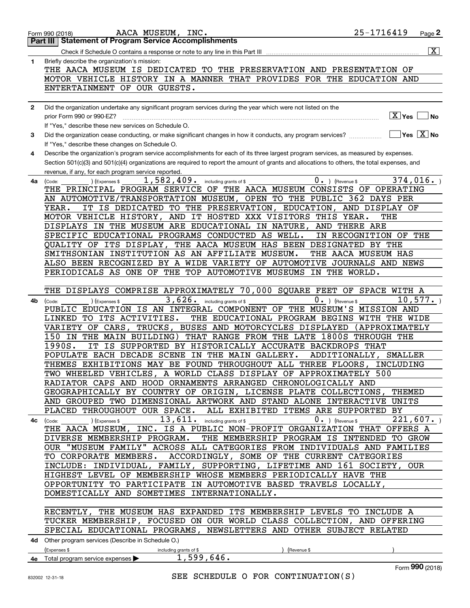|              | AACA MUSEUM, INC.<br>Form 990 (2018)                                                                                                         | 25-1716419             | Page $2$                |
|--------------|----------------------------------------------------------------------------------------------------------------------------------------------|------------------------|-------------------------|
|              | <b>Statement of Program Service Accomplishments</b><br>Part III                                                                              |                        |                         |
|              |                                                                                                                                              |                        | $\overline{\mathbf{x}}$ |
| 1            | Briefly describe the organization's mission:                                                                                                 |                        |                         |
|              | THE AACA MUSEUM IS DEDICATED TO THE PRESERVATION AND PRESENTATION OF                                                                         |                        |                         |
|              |                                                                                                                                              |                        |                         |
|              | MOTOR VEHICLE HISTORY IN A MANNER THAT PROVIDES FOR THE EDUCATION AND                                                                        |                        |                         |
|              | ENTERTAINMENT OF OUR GUESTS.                                                                                                                 |                        |                         |
|              |                                                                                                                                              |                        |                         |
| $\mathbf{2}$ | Did the organization undertake any significant program services during the year which were not listed on the                                 |                        |                         |
|              | prior Form 990 or 990-EZ?                                                                                                                    | $\boxed{\text{X}}$ Yes | ∣No                     |
|              | If "Yes," describe these new services on Schedule O.                                                                                         |                        |                         |
| 3            | Did the organization cease conducting, or make significant changes in how it conducts, any program services?                                 | $\Box$ Yes $\Box$ No   |                         |
|              | If "Yes," describe these changes on Schedule O.                                                                                              |                        |                         |
|              |                                                                                                                                              |                        |                         |
| 4            | Describe the organization's program service accomplishments for each of its three largest program services, as measured by expenses.         |                        |                         |
|              | Section 501(c)(3) and 501(c)(4) organizations are required to report the amount of grants and allocations to others, the total expenses, and |                        |                         |
|              | revenue, if any, for each program service reported.                                                                                          |                        |                         |
| 4a           | 1,582,409. including grants of \$<br>$0.$ (Revenue \$<br>(Expenses \$<br>(Code:                                                              |                        | 374,016.                |
|              | THE PRINCIPAL PROGRAM SERVICE OF THE AACA MUSEUM CONSISTS OF OPERATING                                                                       |                        |                         |
|              | AN AUTOMOTIVE/TRANSPORTATION MUSEUM, OPEN TO THE PUBLIC 362 DAYS PER                                                                         |                        |                         |
|              | IT IS DEDICATED TO THE PRESERVATION, EDUCATION, AND DISPLAY OF<br>YEAR.                                                                      |                        |                         |
|              | MOTOR VEHICLE HISTORY, AND IT HOSTED XXX VISITORS THIS YEAR.                                                                                 | THE                    |                         |
|              | DISPLAYS IN THE MUSEUM ARE EDUCATIONAL IN NATURE,                                                                                            | AND THERE ARE          |                         |
|              |                                                                                                                                              |                        |                         |
|              | SPECIFIC EDUCATIONAL PROGRAMS CONDUCTED AS WELL.                                                                                             | IN RECOGNITION OF THE  |                         |
|              | QUALITY OF ITS DISPLAY, THE AACA MUSEUM HAS BEEN DESIGNATED BY THE                                                                           |                        |                         |
|              | SMITHSONIAN INSTITUTION AS AN AFFILIATE MUSEUM.                                                                                              | THE AACA MUSEUM HAS    |                         |
|              | ALSO BEEN RECOGNIZED BY A WIDE VARIETY OF AUTOMOTIVE JOURNALS AND NEWS                                                                       |                        |                         |
|              | PERIODICALS AS ONE OF THE TOP AUTOMOTIVE MUSEUMS IN THE WORLD.                                                                               |                        |                         |
|              |                                                                                                                                              |                        |                         |
|              | THE DISPLAYS COMPRISE APPROXIMATELY 70,000 SQUARE FEET OF SPACE WITH A                                                                       |                        |                         |
| 4b           | $3,626$ . including grants of \$<br>$0.$ (Revenue \$                                                                                         |                        | 10,577.                 |
|              | (Expenses \$<br>(Code:<br>PUBLIC EDUCATION IS AN INTEGRAL COMPONENT OF THE MUSEUM'S MISSION AND                                              |                        |                         |
|              |                                                                                                                                              |                        |                         |
|              | LINKED TO ITS ACTIVITIES.<br>THE EDUCATIONAL PROGRAM BEGINS WITH THE WIDE                                                                    |                        |                         |
|              | VARIETY OF CARS, TRUCKS, BUSES AND MOTORCYCLES DISPLAYED (APPROXIMATELY                                                                      |                        |                         |
|              | 150 IN THE MAIN BUILDING) THAT RANGE FROM THE LATE 1800S THROUGH THE                                                                         |                        |                         |
|              | 1990S.<br>IS SUPPORTED BY HISTORICALLY ACCURATE BACKDROPS THAT<br>IT                                                                         |                        |                         |
|              | POPULATE EACH DECADE SCENE IN THE MAIN GALLERY.                                                                                              | ADDITIONALLY, SMALLER  |                         |
|              | THEMES EXHIBITIONS MAY BE FOUND THROUGHOUT ALL THREE FLOORS, INCLUDING                                                                       |                        |                         |
|              | TWO WHEELED VEHICLES, A WORLD CLASS DISPLAY OF APPROXIMATELY 500                                                                             |                        |                         |
|              | RADIATOR CAPS AND HOOD ORNAMENTS ARRANGED CHRONOLOGICALLY AND                                                                                |                        |                         |
|              | GEOGRAPHICALLY BY COUNTRY OF ORIGIN, LICENSE PLATE COLLECTIONS, THEMED                                                                       |                        |                         |
|              | AND GROUPED TWO DIMENSIONAL ARTWORK AND STAND ALONE INTERACTIVE UNITS                                                                        |                        |                         |
|              |                                                                                                                                              |                        |                         |
|              | PLACED THROUGHOUT OUR SPACE. ALL EXHIBITED ITEMS ARE SUPPORTED BY                                                                            |                        |                         |
|              | $13$ , $611$ and including grants of \$<br>$0 \cdot$ ) (Revenue \$<br>) (Expenses \$<br>4c (Code:                                            |                        | 221,607.                |
|              | THE AACA MUSEUM, INC. IS A PUBLIC NON-PROFIT ORGANIZATION THAT OFFERS A                                                                      |                        |                         |
|              | DIVERSE MEMBERSHIP PROGRAM. THE MEMBERSHIP PROGRAM IS INTENDED TO GROW                                                                       |                        |                         |
|              | OUR "MUSEUM FAMILY" ACROSS ALL CATEGORIES FROM INDIVIDUALS AND FAMILIES                                                                      |                        |                         |
|              | TO CORPORATE MEMBERS. ACCORDINGLY, SOME OF THE CURRENT CATEGORIES                                                                            |                        |                         |
|              | INCLUDE: INDIVIDUAL, FAMILY, SUPPORTING, LIFETIME AND 161 SOCIETY, OUR                                                                       |                        |                         |
|              | HIGHEST LEVEL OF MEMBERSHIP WHOSE MEMBERS PERIODICALLY HAVE THE                                                                              |                        |                         |
|              | OPPORTUNITY TO PARTICIPATE IN AUTOMOTIVE BASED TRAVELS LOCALLY,                                                                              |                        |                         |
|              |                                                                                                                                              |                        |                         |
|              | DOMESTICALLY AND SOMETIMES INTERNATIONALLY.                                                                                                  |                        |                         |
|              |                                                                                                                                              |                        |                         |
|              | RECENTLY, THE MUSEUM HAS EXPANDED ITS MEMBERSHIP LEVELS TO INCLUDE A                                                                         |                        |                         |
|              | TUCKER MEMBERSHIP, FOCUSED ON OUR WORLD CLASS COLLECTION, AND OFFERING                                                                       |                        |                         |
|              | SPECIAL EDUCATIONAL PROGRAMS, NEWSLETTERS AND OTHER SUBJECT RELATED                                                                          |                        |                         |
|              | 4d Other program services (Describe in Schedule O.)                                                                                          |                        |                         |
|              | (Expenses \$<br>(Revenue \$                                                                                                                  |                        |                         |
|              | including grants of \$<br>1,599,646.                                                                                                         |                        |                         |
|              | 4e Total program service expenses $\blacktriangleright$                                                                                      |                        | $000$ ( $0.22$          |

Form (2018) **990**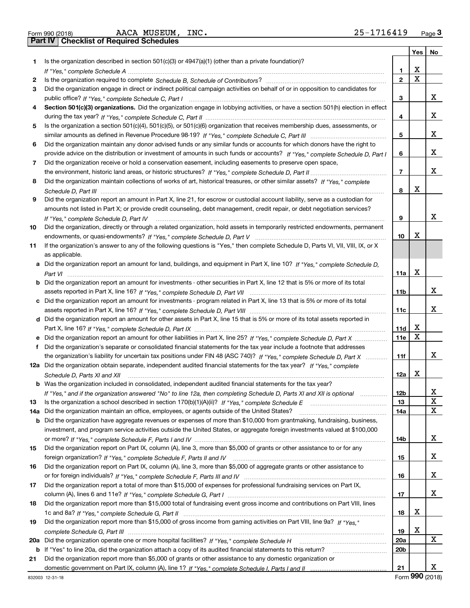|     |                                                                                                                                      |                 | Yes | No |
|-----|--------------------------------------------------------------------------------------------------------------------------------------|-----------------|-----|----|
| 1.  | Is the organization described in section $501(c)(3)$ or $4947(a)(1)$ (other than a private foundation)?                              |                 |     |    |
|     |                                                                                                                                      | 1               | х   |    |
| 2   |                                                                                                                                      | $\mathbf{2}$    | X   |    |
| 3   | Did the organization engage in direct or indirect political campaign activities on behalf of or in opposition to candidates for      |                 |     |    |
|     |                                                                                                                                      | 3               |     | x. |
| 4   | Section 501(c)(3) organizations. Did the organization engage in lobbying activities, or have a section 501(h) election in effect     |                 |     |    |
|     |                                                                                                                                      | 4               |     | х  |
| 5   | Is the organization a section 501(c)(4), 501(c)(5), or 501(c)(6) organization that receives membership dues, assessments, or         |                 |     |    |
|     |                                                                                                                                      | 5               |     | х  |
| 6   | Did the organization maintain any donor advised funds or any similar funds or accounts for which donors have the right to            |                 |     |    |
|     | provide advice on the distribution or investment of amounts in such funds or accounts? If "Yes," complete Schedule D, Part I         | 6               |     | х  |
| 7   | Did the organization receive or hold a conservation easement, including easements to preserve open space,                            |                 |     |    |
|     |                                                                                                                                      | 7               |     | х  |
| 8   | Did the organization maintain collections of works of art, historical treasures, or other similar assets? If "Yes," complete         |                 |     |    |
|     |                                                                                                                                      | 8               | х   |    |
|     |                                                                                                                                      |                 |     |    |
| 9   | Did the organization report an amount in Part X, line 21, for escrow or custodial account liability, serve as a custodian for        |                 |     |    |
|     | amounts not listed in Part X; or provide credit counseling, debt management, credit repair, or debt negotiation services?            |                 |     | x  |
|     |                                                                                                                                      | 9               |     |    |
| 10  | Did the organization, directly or through a related organization, hold assets in temporarily restricted endowments, permanent        |                 |     |    |
|     |                                                                                                                                      | 10              | х   |    |
| 11  | If the organization's answer to any of the following questions is "Yes," then complete Schedule D, Parts VI, VII, VIII, IX, or X     |                 |     |    |
|     | as applicable.                                                                                                                       |                 |     |    |
|     | a Did the organization report an amount for land, buildings, and equipment in Part X, line 10? If "Yes," complete Schedule D,        |                 |     |    |
|     |                                                                                                                                      | 11a             | х   |    |
|     | <b>b</b> Did the organization report an amount for investments - other securities in Part X, line 12 that is 5% or more of its total |                 |     |    |
|     |                                                                                                                                      | 11 <sub>b</sub> |     | x  |
|     | c Did the organization report an amount for investments - program related in Part X, line 13 that is 5% or more of its total         |                 |     |    |
|     |                                                                                                                                      | 11c             |     | х  |
|     | d Did the organization report an amount for other assets in Part X, line 15 that is 5% or more of its total assets reported in       |                 |     |    |
|     |                                                                                                                                      | 11d             | х   |    |
|     | e Did the organization report an amount for other liabilities in Part X, line 25? If "Yes," complete Schedule D, Part X              | 11e             | Х   |    |
|     | f Did the organization's separate or consolidated financial statements for the tax year include a footnote that addresses            |                 |     |    |
|     | the organization's liability for uncertain tax positions under FIN 48 (ASC 740)? If "Yes," complete Schedule D, Part X               | 11f             |     | x  |
|     | 12a Did the organization obtain separate, independent audited financial statements for the tax year? If "Yes," complete              |                 |     |    |
|     | Schedule D, Parts XI and XII                                                                                                         | 12a             | Х   |    |
|     | <b>b</b> Was the organization included in consolidated, independent audited financial statements for the tax year?                   |                 |     |    |
|     | If "Yes," and if the organization answered "No" to line 12a, then completing Schedule D, Parts XI and XII is optional                | 12 <sub>b</sub> |     | х  |
| 13  |                                                                                                                                      | 13              |     | X  |
|     | 14a Did the organization maintain an office, employees, or agents outside of the United States?                                      | 14a             |     | x  |
|     | <b>b</b> Did the organization have aggregate revenues or expenses of more than \$10,000 from grantmaking, fundraising, business,     |                 |     |    |
|     | investment, and program service activities outside the United States, or aggregate foreign investments valued at \$100,000           |                 |     |    |
|     |                                                                                                                                      | 14b             |     | x  |
| 15  | Did the organization report on Part IX, column (A), line 3, more than \$5,000 of grants or other assistance to or for any            |                 |     |    |
|     |                                                                                                                                      | 15              |     | x  |
| 16  | Did the organization report on Part IX, column (A), line 3, more than \$5,000 of aggregate grants or other assistance to             |                 |     |    |
|     |                                                                                                                                      | 16              |     | х  |
| 17  | Did the organization report a total of more than \$15,000 of expenses for professional fundraising services on Part IX,              |                 |     |    |
|     |                                                                                                                                      |                 |     | х  |
|     |                                                                                                                                      | 17              |     |    |
| 18  | Did the organization report more than \$15,000 total of fundraising event gross income and contributions on Part VIII, lines         |                 | х   |    |
|     |                                                                                                                                      | 18              |     |    |
| 19  | Did the organization report more than \$15,000 of gross income from gaming activities on Part VIII, line 9a? If "Yes."               |                 |     |    |
|     |                                                                                                                                      | 19              | X   |    |
| 20a |                                                                                                                                      | <b>20a</b>      |     | x  |
| b   | If "Yes" to line 20a, did the organization attach a copy of its audited financial statements to this return?                         | 20 <sub>b</sub> |     |    |
| 21  | Did the organization report more than \$5,000 of grants or other assistance to any domestic organization or                          |                 |     |    |
|     |                                                                                                                                      | 21              |     | x  |

Form (2018) **990**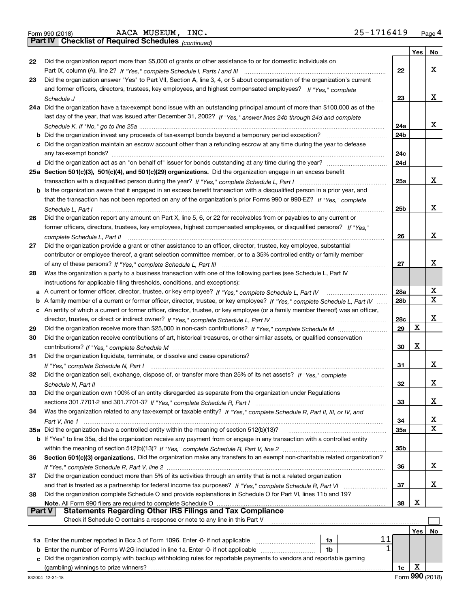|  | Form 990 (2018) |  |
|--|-----------------|--|
|  |                 |  |

*(continued)*

|               |                                                                                                                                     |                 | Yes | No |
|---------------|-------------------------------------------------------------------------------------------------------------------------------------|-----------------|-----|----|
| 22            | Did the organization report more than \$5,000 of grants or other assistance to or for domestic individuals on                       |                 |     |    |
|               |                                                                                                                                     | 22              |     | x  |
| 23            | Did the organization answer "Yes" to Part VII, Section A, line 3, 4, or 5 about compensation of the organization's current          |                 |     |    |
|               | and former officers, directors, trustees, key employees, and highest compensated employees? If "Yes," complete                      |                 |     |    |
|               |                                                                                                                                     | 23              |     | x  |
|               | 24a Did the organization have a tax-exempt bond issue with an outstanding principal amount of more than \$100,000 as of the         |                 |     |    |
|               | last day of the year, that was issued after December 31, 2002? If "Yes," answer lines 24b through 24d and complete                  |                 |     |    |
|               |                                                                                                                                     | 24a             |     | x  |
| b             | Did the organization invest any proceeds of tax-exempt bonds beyond a temporary period exception?                                   | 24 <sub>b</sub> |     |    |
|               | c Did the organization maintain an escrow account other than a refunding escrow at any time during the year to defease              |                 |     |    |
|               |                                                                                                                                     | 24c             |     |    |
|               |                                                                                                                                     | 24d             |     |    |
|               | 25a Section 501(c)(3), 501(c)(4), and 501(c)(29) organizations. Did the organization engage in an excess benefit                    |                 |     |    |
|               |                                                                                                                                     | 25a             |     | x  |
|               | <b>b</b> Is the organization aware that it engaged in an excess benefit transaction with a disqualified person in a prior year, and |                 |     |    |
|               | that the transaction has not been reported on any of the organization's prior Forms 990 or 990-EZ? If "Yes," complete               |                 |     |    |
|               | Schedule L. Part I                                                                                                                  | 25b             |     | x  |
| 26            | Did the organization report any amount on Part X, line 5, 6, or 22 for receivables from or payables to any current or               |                 |     |    |
|               | former officers, directors, trustees, key employees, highest compensated employees, or disqualified persons? If "Yes."              |                 |     |    |
|               | complete Schedule L, Part II                                                                                                        | 26              |     | x  |
| 27            | Did the organization provide a grant or other assistance to an officer, director, trustee, key employee, substantial                |                 |     |    |
|               | contributor or employee thereof, a grant selection committee member, or to a 35% controlled entity or family member                 |                 |     |    |
|               |                                                                                                                                     | 27              |     | x  |
| 28            | Was the organization a party to a business transaction with one of the following parties (see Schedule L, Part IV                   |                 |     |    |
|               | instructions for applicable filing thresholds, conditions, and exceptions):                                                         |                 |     |    |
| а             | A current or former officer, director, trustee, or key employee? If "Yes," complete Schedule L, Part IV                             | 28a             |     | X  |
| b             | A family member of a current or former officer, director, trustee, or key employee? If "Yes," complete Schedule L, Part IV          | 28 <sub>b</sub> |     | X  |
| с             | An entity of which a current or former officer, director, trustee, or key employee (or a family member thereof) was an officer,     |                 |     |    |
|               |                                                                                                                                     | 28c             |     | х  |
| 29            |                                                                                                                                     | 29              | X   |    |
| 30            | Did the organization receive contributions of art, historical treasures, or other similar assets, or qualified conservation         |                 |     |    |
|               |                                                                                                                                     | 30              | x   |    |
| 31            | Did the organization liquidate, terminate, or dissolve and cease operations?                                                        |                 |     |    |
|               |                                                                                                                                     | 31              |     | x  |
| 32            | Did the organization sell, exchange, dispose of, or transfer more than 25% of its net assets? If "Yes," complete                    |                 |     |    |
|               |                                                                                                                                     | 32              |     | x  |
| 33            | Did the organization own 100% of an entity disregarded as separate from the organization under Regulations                          |                 |     |    |
|               |                                                                                                                                     | 33              |     | x  |
| 34            | Was the organization related to any tax-exempt or taxable entity? If "Yes," complete Schedule R, Part II, III, or IV, and           |                 |     |    |
|               |                                                                                                                                     | 34              |     | x  |
|               | 35a Did the organization have a controlled entity within the meaning of section 512(b)(13)?                                         | 35a             |     | X  |
|               | b If "Yes" to line 35a, did the organization receive any payment from or engage in any transaction with a controlled entity         |                 |     |    |
|               |                                                                                                                                     | 35b             |     |    |
| 36            | Section 501(c)(3) organizations. Did the organization make any transfers to an exempt non-charitable related organization?          |                 |     |    |
|               |                                                                                                                                     | 36              |     | x  |
| 37            | Did the organization conduct more than 5% of its activities through an entity that is not a related organization                    |                 |     |    |
|               | and that is treated as a partnership for federal income tax purposes? If "Yes," complete Schedule R, Part VI                        | 37              |     | x  |
| 38            | Did the organization complete Schedule O and provide explanations in Schedule O for Part VI, lines 11b and 19?                      |                 |     |    |
|               | Note. All Form 990 filers are required to complete Schedule O                                                                       | 38              | х   |    |
| <b>Part V</b> | <b>Statements Regarding Other IRS Filings and Tax Compliance</b>                                                                    |                 |     |    |
|               | Check if Schedule O contains a response or note to any line in this Part V                                                          |                 |     |    |
|               |                                                                                                                                     |                 | Yes | No |
|               | 11<br>1a                                                                                                                            |                 |     |    |
| b             | Enter the number of Forms W-2G included in line 1a. Enter -0- if not applicable<br>1b                                               |                 |     |    |
| c             | Did the organization comply with backup withholding rules for reportable payments to vendors and reportable gaming                  |                 |     |    |
|               |                                                                                                                                     | 1c              | х   |    |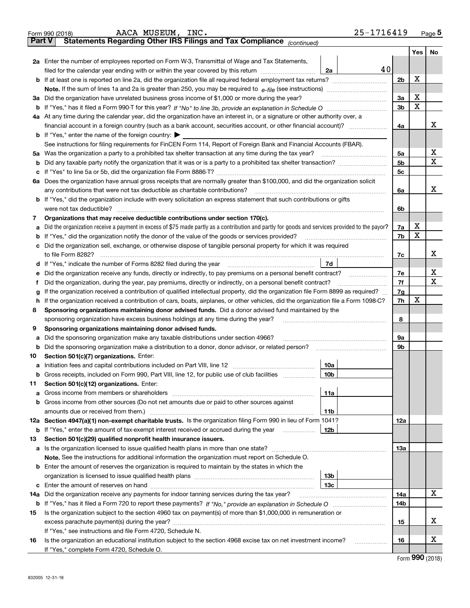|               | $25 - 1716419$<br>AACA MUSEUM, INC.<br>Form 990 (2018)                                                                                          |                |     | Page $5$    |  |  |  |  |  |
|---------------|-------------------------------------------------------------------------------------------------------------------------------------------------|----------------|-----|-------------|--|--|--|--|--|
| <b>Part V</b> | Statements Regarding Other IRS Filings and Tax Compliance (continued)                                                                           |                |     |             |  |  |  |  |  |
|               |                                                                                                                                                 |                | Yes | No          |  |  |  |  |  |
|               | <b>2a</b> Enter the number of employees reported on Form W-3, Transmittal of Wage and Tax Statements,                                           |                |     |             |  |  |  |  |  |
|               | 40<br>2a<br>filed for the calendar year ending with or within the year covered by this return                                                   |                |     |             |  |  |  |  |  |
| b             | If at least one is reported on line 2a, did the organization file all required federal employment tax returns?                                  | 2 <sub>b</sub> | X   |             |  |  |  |  |  |
|               | <b>Note.</b> If the sum of lines 1a and 2a is greater than 250, you may be required to $e$ -file (see instructions) <i>marrouum</i> manu-       |                |     |             |  |  |  |  |  |
|               | 3a Did the organization have unrelated business gross income of \$1,000 or more during the year?                                                | 3a             | X   |             |  |  |  |  |  |
|               |                                                                                                                                                 | 3 <sub>b</sub> | X   |             |  |  |  |  |  |
|               | 4a At any time during the calendar year, did the organization have an interest in, or a signature or other authority over, a                    |                |     |             |  |  |  |  |  |
|               |                                                                                                                                                 | 4a             |     | х           |  |  |  |  |  |
|               | <b>b</b> If "Yes," enter the name of the foreign country: $\blacktriangleright$                                                                 |                |     |             |  |  |  |  |  |
|               | See instructions for filing requirements for FinCEN Form 114, Report of Foreign Bank and Financial Accounts (FBAR).                             |                |     |             |  |  |  |  |  |
|               | 5a Was the organization a party to a prohibited tax shelter transaction at any time during the tax year?                                        | 5a             |     | х           |  |  |  |  |  |
| b             |                                                                                                                                                 | 5 <sub>b</sub> |     | х           |  |  |  |  |  |
| с             |                                                                                                                                                 | 5 <sub>c</sub> |     |             |  |  |  |  |  |
|               | 6a Does the organization have annual gross receipts that are normally greater than \$100,000, and did the organization solicit                  |                |     |             |  |  |  |  |  |
|               | any contributions that were not tax deductible as charitable contributions?                                                                     | 6a             |     | х           |  |  |  |  |  |
|               | <b>b</b> If "Yes," did the organization include with every solicitation an express statement that such contributions or gifts                   |                |     |             |  |  |  |  |  |
|               | were not tax deductible?                                                                                                                        | 6b             |     |             |  |  |  |  |  |
| 7             | Organizations that may receive deductible contributions under section 170(c).                                                                   |                |     |             |  |  |  |  |  |
| a             | Did the organization receive a payment in excess of \$75 made partly as a contribution and partly for goods and services provided to the payor? | 7a             | X   |             |  |  |  |  |  |
| b             | If "Yes," did the organization notify the donor of the value of the goods or services provided?                                                 | 7b             | X   |             |  |  |  |  |  |
| c             | Did the organization sell, exchange, or otherwise dispose of tangible personal property for which it was required                               |                |     |             |  |  |  |  |  |
|               | to file Form 8282?                                                                                                                              | 7c             |     | Χ           |  |  |  |  |  |
| d             | 7d                                                                                                                                              |                |     |             |  |  |  |  |  |
| е             | Did the organization receive any funds, directly or indirectly, to pay premiums on a personal benefit contract?                                 | 7e             |     | х           |  |  |  |  |  |
| Ť.            | Did the organization, during the year, pay premiums, directly or indirectly, on a personal benefit contract?                                    | 7f             |     | $\mathbf X$ |  |  |  |  |  |
| g             | If the organization received a contribution of qualified intellectual property, did the organization file Form 8899 as required?                |                |     |             |  |  |  |  |  |
| h             | If the organization received a contribution of cars, boats, airplanes, or other vehicles, did the organization file a Form 1098-C?              |                |     |             |  |  |  |  |  |
| 8             | Sponsoring organizations maintaining donor advised funds. Did a donor advised fund maintained by the                                            |                |     |             |  |  |  |  |  |
|               | sponsoring organization have excess business holdings at any time during the year?                                                              | 8              |     |             |  |  |  |  |  |
| 9             | Sponsoring organizations maintaining donor advised funds.                                                                                       |                |     |             |  |  |  |  |  |
| а             | Did the sponsoring organization make any taxable distributions under section 4966?                                                              | 9a             |     |             |  |  |  |  |  |
| b             | Did the sponsoring organization make a distribution to a donor, donor advisor, or related person?                                               | 9b             |     |             |  |  |  |  |  |
| 10            | Section 501(c)(7) organizations. Enter:                                                                                                         |                |     |             |  |  |  |  |  |
| а             | 10a                                                                                                                                             |                |     |             |  |  |  |  |  |
| b             | Gross receipts, included on Form 990, Part VIII, line 12, for public use of club facilities<br>10b                                              |                |     |             |  |  |  |  |  |
| 11            | Section 501(c)(12) organizations. Enter:                                                                                                        |                |     |             |  |  |  |  |  |
| а             | 11a                                                                                                                                             |                |     |             |  |  |  |  |  |
| b             | Gross income from other sources (Do not net amounts due or paid to other sources against                                                        |                |     |             |  |  |  |  |  |
|               | 11b                                                                                                                                             |                |     |             |  |  |  |  |  |
|               | 12a Section 4947(a)(1) non-exempt charitable trusts. Is the organization filing Form 990 in lieu of Form 1041?                                  | 12a            |     |             |  |  |  |  |  |
| b             | If "Yes," enter the amount of tax-exempt interest received or accrued during the year<br>12b                                                    |                |     |             |  |  |  |  |  |
| 13            | Section 501(c)(29) qualified nonprofit health insurance issuers.                                                                                |                |     |             |  |  |  |  |  |
|               |                                                                                                                                                 | 1За            |     |             |  |  |  |  |  |
|               | <b>Note.</b> See the instructions for additional information the organization must report on Schedule O.                                        |                |     |             |  |  |  |  |  |
|               | <b>b</b> Enter the amount of reserves the organization is required to maintain by the states in which the                                       |                |     |             |  |  |  |  |  |
|               | 13 <sub>b</sub>                                                                                                                                 |                |     |             |  |  |  |  |  |
| с             | 13 <sub>c</sub>                                                                                                                                 |                |     |             |  |  |  |  |  |
| 14a           | Did the organization receive any payments for indoor tanning services during the tax year?                                                      | 14a            |     | х           |  |  |  |  |  |
| b             |                                                                                                                                                 | 14b            |     |             |  |  |  |  |  |
| 15            | Is the organization subject to the section 4960 tax on payment(s) of more than \$1,000,000 in remuneration or                                   |                |     |             |  |  |  |  |  |
|               |                                                                                                                                                 | 15             |     | х           |  |  |  |  |  |
|               | If "Yes," see instructions and file Form 4720, Schedule N.                                                                                      |                |     |             |  |  |  |  |  |
| 16            | Is the organization an educational institution subject to the section 4968 excise tax on net investment income?<br>.                            | 16             |     | х           |  |  |  |  |  |
|               | If "Yes," complete Form 4720, Schedule O.                                                                                                       |                |     |             |  |  |  |  |  |

Form (2018) **990**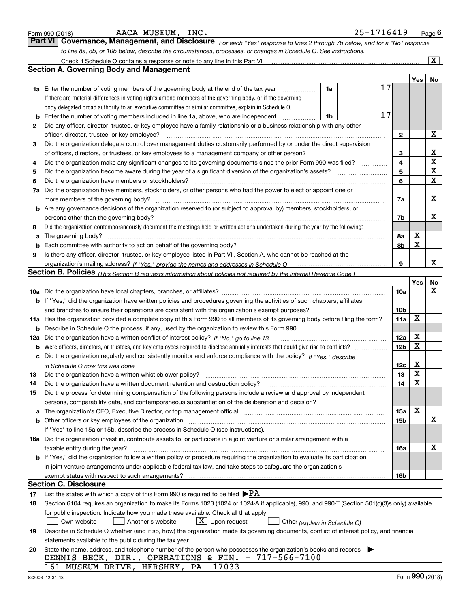|          | AACA MUSEUM, INC.<br>Form 990 (2018)                                                                                                                                                                                                                                                                                                                                        | 25-1716419 |                 |                         | Page $6$           |
|----------|-----------------------------------------------------------------------------------------------------------------------------------------------------------------------------------------------------------------------------------------------------------------------------------------------------------------------------------------------------------------------------|------------|-----------------|-------------------------|--------------------|
|          | <b>Part VI</b><br>Governance, Management, and Disclosure For each "Yes" response to lines 2 through 7b below, and for a "No" response                                                                                                                                                                                                                                       |            |                 |                         |                    |
|          | to line 8a, 8b, or 10b below, describe the circumstances, processes, or changes in Schedule O. See instructions.                                                                                                                                                                                                                                                            |            |                 |                         |                    |
|          | Check if Schedule O contains a response or note to any line in this Part VI [11] [12] Check if Schedule O contains a response or note to any line in this Part VI                                                                                                                                                                                                           |            |                 |                         | $\boxed{\text{X}}$ |
|          | <b>Section A. Governing Body and Management</b>                                                                                                                                                                                                                                                                                                                             |            |                 |                         |                    |
|          |                                                                                                                                                                                                                                                                                                                                                                             |            |                 | Yes                     | No                 |
|          | 1a Enter the number of voting members of the governing body at the end of the tax year<br>1a                                                                                                                                                                                                                                                                                | 17         |                 |                         |                    |
|          | If there are material differences in voting rights among members of the governing body, or if the governing                                                                                                                                                                                                                                                                 |            |                 |                         |                    |
|          | body delegated broad authority to an executive committee or similar committee, explain in Schedule O.                                                                                                                                                                                                                                                                       |            |                 |                         |                    |
| b        | Enter the number of voting members included in line 1a, above, who are independent<br>1b                                                                                                                                                                                                                                                                                    | 17         |                 |                         |                    |
| 2        | Did any officer, director, trustee, or key employee have a family relationship or a business relationship with any other                                                                                                                                                                                                                                                    |            |                 |                         |                    |
|          | officer, director, trustee, or key employee?                                                                                                                                                                                                                                                                                                                                |            | 2               |                         | х                  |
| з        | Did the organization delegate control over management duties customarily performed by or under the direct supervision                                                                                                                                                                                                                                                       |            |                 |                         |                    |
|          |                                                                                                                                                                                                                                                                                                                                                                             |            | 3               |                         | x                  |
| 4        | Did the organization make any significant changes to its governing documents since the prior Form 990 was filed?                                                                                                                                                                                                                                                            |            | 4               |                         | X                  |
| 5        |                                                                                                                                                                                                                                                                                                                                                                             |            | 5               |                         | X                  |
| 6        | Did the organization have members or stockholders?                                                                                                                                                                                                                                                                                                                          |            | 6               |                         | X                  |
| 7a       | Did the organization have members, stockholders, or other persons who had the power to elect or appoint one or                                                                                                                                                                                                                                                              |            |                 |                         |                    |
|          | $\begin{bmatrix} \begin{bmatrix} 0 & 0 & 0 & 0 \\ 0 & 0 & 0 & 0 \\ 0 & 0 & 0 & 0 \\ 0 & 0 & 0 & 0 \\ 0 & 0 & 0 & 0 \\ 0 & 0 & 0 & 0 & 0 \\ 0 & 0 & 0 & 0 & 0 \\ 0 & 0 & 0 & 0 & 0 \\ 0 & 0 & 0 & 0 & 0 \\ 0 & 0 & 0 & 0 & 0 \\ 0 & 0 & 0 & 0 & 0 \\ 0 & 0 & 0 & 0 & 0 \\ 0 & 0 & 0 & 0 & 0 & 0 \\ 0 & 0 & 0 & 0 & 0 & 0 \\ 0 & 0 & $<br>more members of the governing body? |            | 7a              |                         | х                  |
|          | b Are any governance decisions of the organization reserved to (or subject to approval by) members, stockholders, or                                                                                                                                                                                                                                                        |            |                 |                         |                    |
|          | persons other than the governing body?                                                                                                                                                                                                                                                                                                                                      |            | 7b              |                         | х                  |
| 8        | Did the organization contemporaneously document the meetings held or written actions undertaken during the year by the following:                                                                                                                                                                                                                                           |            |                 |                         |                    |
| a        |                                                                                                                                                                                                                                                                                                                                                                             |            | 8a              | х                       |                    |
| b        | Each committee with authority to act on behalf of the governing body?                                                                                                                                                                                                                                                                                                       |            | 8b              | X                       |                    |
| 9        | Is there any officer, director, trustee, or key employee listed in Part VII, Section A, who cannot be reached at the                                                                                                                                                                                                                                                        |            |                 |                         |                    |
|          |                                                                                                                                                                                                                                                                                                                                                                             |            | 9               |                         | x                  |
|          | Section B. Policies <sub>(This</sub> Section B requests information about policies not required by the Internal Revenue Code.)                                                                                                                                                                                                                                              |            |                 |                         |                    |
|          |                                                                                                                                                                                                                                                                                                                                                                             |            |                 | Yes                     | No                 |
|          |                                                                                                                                                                                                                                                                                                                                                                             |            | 10a             |                         | Χ                  |
|          | b If "Yes," did the organization have written policies and procedures governing the activities of such chapters, affiliates,                                                                                                                                                                                                                                                |            |                 |                         |                    |
|          | and branches to ensure their operations are consistent with the organization's exempt purposes?                                                                                                                                                                                                                                                                             |            | 10 <sub>b</sub> |                         |                    |
| 11a      | Has the organization provided a complete copy of this Form 990 to all members of its governing body before filing the form?                                                                                                                                                                                                                                                 |            | 11a             | X                       |                    |
|          | <b>b</b> Describe in Schedule O the process, if any, used by the organization to review this Form 990.                                                                                                                                                                                                                                                                      |            |                 |                         |                    |
|          | 12a Did the organization have a written conflict of interest policy? If "No," go to line 13                                                                                                                                                                                                                                                                                 |            | 12a             | х                       |                    |
|          |                                                                                                                                                                                                                                                                                                                                                                             |            | 12 <sub>b</sub> | X                       |                    |
| с        | Did the organization regularly and consistently monitor and enforce compliance with the policy? If "Yes," describe                                                                                                                                                                                                                                                          |            |                 |                         |                    |
|          | in Schedule O how this was done with the continuum control of the control of the control of the control of the                                                                                                                                                                                                                                                              |            | 12c             | x                       |                    |
|          |                                                                                                                                                                                                                                                                                                                                                                             |            | 13              | $\overline{\textbf{X}}$ |                    |
| 14       | Did the organization have a written document retention and destruction policy?                                                                                                                                                                                                                                                                                              |            | 14              | X                       |                    |
| 15       | Did the process for determining compensation of the following persons include a review and approval by independent                                                                                                                                                                                                                                                          |            |                 |                         |                    |
|          | persons, comparability data, and contemporaneous substantiation of the deliberation and decision?                                                                                                                                                                                                                                                                           |            |                 | х                       |                    |
| a        | The organization's CEO, Executive Director, or top management official manufactured contains and contained a support of the Director, or top management official manufactured and contain a support of the state of the state                                                                                                                                               |            | 15a             |                         |                    |
|          | Other officers or key employees of the organization                                                                                                                                                                                                                                                                                                                         |            | 15b             |                         | X                  |
|          | If "Yes" to line 15a or 15b, describe the process in Schedule O (see instructions).                                                                                                                                                                                                                                                                                         |            |                 |                         |                    |
|          | 16a Did the organization invest in, contribute assets to, or participate in a joint venture or similar arrangement with a                                                                                                                                                                                                                                                   |            |                 |                         | x                  |
|          | taxable entity during the year?<br>b If "Yes," did the organization follow a written policy or procedure requiring the organization to evaluate its participation                                                                                                                                                                                                           |            | 16a             |                         |                    |
|          |                                                                                                                                                                                                                                                                                                                                                                             |            |                 |                         |                    |
|          | in joint venture arrangements under applicable federal tax law, and take steps to safeguard the organization's                                                                                                                                                                                                                                                              |            |                 |                         |                    |
|          | <b>Section C. Disclosure</b>                                                                                                                                                                                                                                                                                                                                                |            | 16b             |                         |                    |
|          | List the states with which a copy of this Form 990 is required to be filed $\blacktriangleright$ PA                                                                                                                                                                                                                                                                         |            |                 |                         |                    |
| 17<br>18 | Section 6104 requires an organization to make its Forms 1023 (1024 or 1024-A if applicable), 990, and 990-T (Section 501(c)(3)s only) available                                                                                                                                                                                                                             |            |                 |                         |                    |
|          | for public inspection. Indicate how you made these available. Check all that apply.                                                                                                                                                                                                                                                                                         |            |                 |                         |                    |
|          | $X$ Upon request<br>Another's website<br>Own website                                                                                                                                                                                                                                                                                                                        |            |                 |                         |                    |
| 19       | Other (explain in Schedule O)<br>Describe in Schedule O whether (and if so, how) the organization made its governing documents, conflict of interest policy, and financial                                                                                                                                                                                                  |            |                 |                         |                    |
|          | statements available to the public during the tax year.                                                                                                                                                                                                                                                                                                                     |            |                 |                         |                    |
| 20       | State the name, address, and telephone number of the person who possesses the organization's books and records                                                                                                                                                                                                                                                              |            |                 |                         |                    |
|          | DENNIS BECK, DIR., OPERATIONS & FIN. - 717-566-7100                                                                                                                                                                                                                                                                                                                         |            |                 |                         |                    |
|          | 17033<br>161 MUSEUM DRIVE, HERSHEY, PA                                                                                                                                                                                                                                                                                                                                      |            |                 |                         |                    |
|          |                                                                                                                                                                                                                                                                                                                                                                             |            |                 |                         |                    |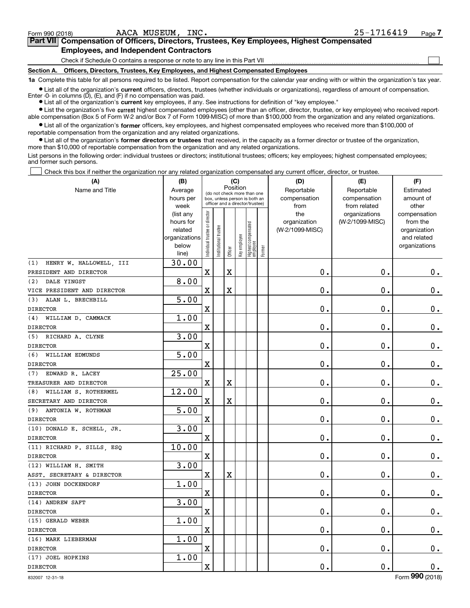$\mathcal{L}^{\text{max}}$ 

| orm 990 (2018) <sup>.</sup>                   | AACA MUSEUM, INC. | 25-1716419                                                                                 | Page <i>I</i> |
|-----------------------------------------------|-------------------|--------------------------------------------------------------------------------------------|---------------|
|                                               |                   | Part VII Compensation of Officers, Directors, Trustees, Key Employees, Highest Compensated |               |
| <b>Employees, and Independent Contractors</b> |                   |                                                                                            |               |

Check if Schedule O contains a response or note to any line in this Part VII

**Section A. Officers, Directors, Trustees, Key Employees, and Highest Compensated Employees**

**1a**  Complete this table for all persons required to be listed. Report compensation for the calendar year ending with or within the organization's tax year.

**•** List all of the organization's current officers, directors, trustees (whether individuals or organizations), regardless of amount of compensation. Enter -0- in columns  $(D)$ ,  $(E)$ , and  $(F)$  if no compensation was paid.

● List all of the organization's **current** key employees, if any. See instructions for definition of "key employee."

**•** List the organization's five current highest compensated employees (other than an officer, director, trustee, or key employee) who received reportable compensation (Box 5 of Form W-2 and/or Box 7 of Form 1099-MISC) of more than \$100,000 from the organization and any related organizations.

 $\bullet$  List all of the organization's **former** officers, key employees, and highest compensated employees who received more than \$100,000 of reportable compensation from the organization and any related organizations.

**•** List all of the organization's former directors or trustees that received, in the capacity as a former director or trustee of the organization, more than \$10,000 of reportable compensation from the organization and any related organizations.

List persons in the following order: individual trustees or directors; institutional trustees; officers; key employees; highest compensated employees; and former such persons.

Check this box if neither the organization nor any related organization compensated any current officer, director, or trustee.  $\mathcal{L}^{\text{max}}$ 

| (A)                            | (B)                                                                          |                               |                      | (C)                                                                                                         |              |                                   |        | (D)                                            | (E)                                              | (F)                                                                               |
|--------------------------------|------------------------------------------------------------------------------|-------------------------------|----------------------|-------------------------------------------------------------------------------------------------------------|--------------|-----------------------------------|--------|------------------------------------------------|--------------------------------------------------|-----------------------------------------------------------------------------------|
| Name and Title                 | Average<br>hours per                                                         |                               |                      | Position<br>(do not check more than one<br>box, unless person is both an<br>officer and a director/trustee) |              |                                   |        | Reportable<br>compensation                     | Reportable<br>compensation                       | Estimated<br>amount of                                                            |
|                                | week<br>(list any<br>hours for<br>related<br>organizations<br>below<br>line) | ndividual trustee or director | nstitutional trustee | Officer                                                                                                     | Key employee | Highest compensated<br>  employee | Former | from<br>the<br>organization<br>(W-2/1099-MISC) | from related<br>organizations<br>(W-2/1099-MISC) | other<br>compensation<br>from the<br>organization<br>and related<br>organizations |
| HENRY W. HALLOWELL, III<br>(1) | 30.00                                                                        |                               |                      |                                                                                                             |              |                                   |        |                                                |                                                  |                                                                                   |
| PRESIDENT AND DIRECTOR         |                                                                              | $\mathbf X$                   |                      | X                                                                                                           |              |                                   |        | $\mathbf 0$ .                                  | $\mathbf 0$ .                                    | $0_{.}$                                                                           |
| DALE YINGST<br>(2)             | 8.00                                                                         |                               |                      |                                                                                                             |              |                                   |        |                                                |                                                  |                                                                                   |
| VICE PRESIDENT AND DIRECTOR    |                                                                              | X                             |                      | X                                                                                                           |              |                                   |        | $\mathbf 0$ .                                  | $\mathbf 0$ .                                    | $\mathbf 0$ .                                                                     |
| ALAN L. BRECHBILL<br>(3)       | 5.00                                                                         |                               |                      |                                                                                                             |              |                                   |        |                                                |                                                  |                                                                                   |
| <b>DIRECTOR</b>                |                                                                              | X                             |                      |                                                                                                             |              |                                   |        | $\mathbf 0$ .                                  | $\mathbf 0$ .                                    | $0_{.}$                                                                           |
| WILLIAM D. CAMMACK<br>(4)      | 1.00                                                                         |                               |                      |                                                                                                             |              |                                   |        |                                                |                                                  |                                                                                   |
| <b>DIRECTOR</b>                |                                                                              | $\mathbf X$                   |                      |                                                                                                             |              |                                   |        | $\mathbf 0$ .                                  | $\mathbf 0$ .                                    | $\mathbf 0$ .                                                                     |
| (5) RICHARD A. CLYNE           | 3.00                                                                         |                               |                      |                                                                                                             |              |                                   |        |                                                |                                                  |                                                                                   |
| <b>DIRECTOR</b>                |                                                                              | $\mathbf X$                   |                      |                                                                                                             |              |                                   |        | $\mathbf 0$ .                                  | $\mathbf 0$ .                                    | $\mathbf 0$ .                                                                     |
| (6)<br>WILLIAM EDMUNDS         | 5.00                                                                         |                               |                      |                                                                                                             |              |                                   |        |                                                |                                                  |                                                                                   |
| <b>DIRECTOR</b>                |                                                                              | $\mathbf X$                   |                      |                                                                                                             |              |                                   |        | $\mathbf 0$ .                                  | $\mathbf 0$ .                                    | $\mathbf 0$ .                                                                     |
| EDWARD R. LACEY<br>(7)         | 25.00                                                                        |                               |                      |                                                                                                             |              |                                   |        |                                                |                                                  |                                                                                   |
| TREASURER AND DIRECTOR         |                                                                              | $\mathbf X$                   |                      | X                                                                                                           |              |                                   |        | $\mathbf 0$ .                                  | $\mathbf 0$ .                                    | $\mathbf 0$ .                                                                     |
| WILLIAM S. ROTHERMEL<br>(8)    | 12.00                                                                        |                               |                      |                                                                                                             |              |                                   |        |                                                |                                                  |                                                                                   |
| SECRETARY AND DIRECTOR         |                                                                              | $\mathbf X$                   |                      | X                                                                                                           |              |                                   |        | $\mathbf 0$ .                                  | $\mathbf 0$ .                                    | $\mathbf 0$ .                                                                     |
| (9) ANTONIA W. ROTHMAN         | 5.00                                                                         |                               |                      |                                                                                                             |              |                                   |        |                                                |                                                  |                                                                                   |
| <b>DIRECTOR</b>                |                                                                              | $\mathbf X$                   |                      |                                                                                                             |              |                                   |        | $\mathbf 0$ .                                  | $\mathbf 0$ .                                    | $\mathbf 0$ .                                                                     |
| (10) DONALD E. SCHELL, JR.     | 3.00                                                                         |                               |                      |                                                                                                             |              |                                   |        |                                                |                                                  |                                                                                   |
| <b>DIRECTOR</b>                |                                                                              | $\mathbf X$                   |                      |                                                                                                             |              |                                   |        | $\mathbf 0$ .                                  | $\mathbf 0$ .                                    | $\mathbf 0$ .                                                                     |
| (11) RICHARD P. SILLS, ESQ     | 10.00                                                                        |                               |                      |                                                                                                             |              |                                   |        |                                                |                                                  |                                                                                   |
| <b>DIRECTOR</b>                |                                                                              | $\mathbf X$                   |                      |                                                                                                             |              |                                   |        | $\mathbf 0$ .                                  | $\mathbf 0$ .                                    | $0_{.}$                                                                           |
| (12) WILLIAM H. SMITH          | 3.00                                                                         |                               |                      |                                                                                                             |              |                                   |        |                                                |                                                  |                                                                                   |
| ASST. SECRETARY & DIRECTOR     |                                                                              | $\mathbf X$                   |                      | X                                                                                                           |              |                                   |        | $\mathbf 0$ .                                  | $\mathbf 0$ .                                    | $\mathbf 0$ .                                                                     |
| (13) JOHN DOCKENDORF           | 1.00                                                                         |                               |                      |                                                                                                             |              |                                   |        |                                                |                                                  |                                                                                   |
| <b>DIRECTOR</b>                |                                                                              | $\mathbf X$                   |                      |                                                                                                             |              |                                   |        | $\mathbf 0$ .                                  | $\mathbf 0$ .                                    | $\mathbf 0$ .                                                                     |
| (14) ANDREW SAFT               | 3.00                                                                         |                               |                      |                                                                                                             |              |                                   |        |                                                |                                                  |                                                                                   |
| <b>DIRECTOR</b>                |                                                                              | $\mathbf X$                   |                      |                                                                                                             |              |                                   |        | $\mathbf 0$ .                                  | $\mathbf 0$ .                                    | $0_{.}$                                                                           |
| (15) GERALD WEBER              | 1.00                                                                         |                               |                      |                                                                                                             |              |                                   |        |                                                |                                                  |                                                                                   |
| <b>DIRECTOR</b>                |                                                                              | $\mathbf X$                   |                      |                                                                                                             |              |                                   |        | $\mathbf 0$ .                                  | $\mathbf 0$ .                                    | $0_{.}$                                                                           |
| (16) MARK LIEBERMAN            | 1.00                                                                         |                               |                      |                                                                                                             |              |                                   |        |                                                |                                                  |                                                                                   |
| <b>DIRECTOR</b>                |                                                                              | $\mathbf X$                   |                      |                                                                                                             |              |                                   |        | $\mathbf 0$ .                                  | $\mathbf 0$ .                                    | $\mathbf 0$ .                                                                     |
| (17) JOEL HOPKINS              | 1.00                                                                         |                               |                      |                                                                                                             |              |                                   |        |                                                |                                                  |                                                                                   |
| <b>DIRECTOR</b>                |                                                                              | $\mathbf X$                   |                      |                                                                                                             |              |                                   |        | $\mathbf 0$ .                                  | $\mathbf 0$ .                                    | $\mathbf 0$ .                                                                     |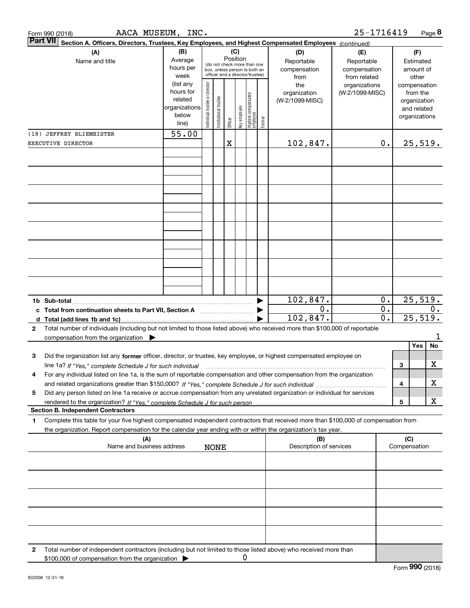| AACA MUSEUM, INC.<br>Form 990 (2018)                                                                                                                                                                                                                        |                                                                      |                                                                                                                    |                       |         |              |                                 |        |                                           | 25-1716419                                        |                                      |                                                                          | Page 8           |
|-------------------------------------------------------------------------------------------------------------------------------------------------------------------------------------------------------------------------------------------------------------|----------------------------------------------------------------------|--------------------------------------------------------------------------------------------------------------------|-----------------------|---------|--------------|---------------------------------|--------|-------------------------------------------|---------------------------------------------------|--------------------------------------|--------------------------------------------------------------------------|------------------|
| <b>Part VII</b><br>Section A. Officers, Directors, Trustees, Key Employees, and Highest Compensated Employees (continued)                                                                                                                                   |                                                                      |                                                                                                                    |                       |         |              |                                 |        |                                           |                                                   |                                      |                                                                          |                  |
| (A)<br>Name and title                                                                                                                                                                                                                                       | (B)<br>Average<br>hours per<br>week                                  | (C)<br>Position<br>(do not check more than one<br>box, unless person is both an<br>officer and a director/trustee) |                       |         |              |                                 |        | (D)<br>Reportable<br>compensation<br>from | (E)<br>Reportable<br>compensation<br>from related |                                      | (F)<br>Estimated<br>amount of                                            | other            |
|                                                                                                                                                                                                                                                             | (list any<br>hours for<br>related<br>organizations<br>below<br>line) | ndividual trustee or director                                                                                      | Institutional trustee | Officer | key employee | Highest compensated<br>employee | Former | the<br>organization<br>(W-2/1099-MISC)    | organizations<br>(W-2/1099-MISC)                  |                                      | compensation<br>from the<br>organization<br>and related<br>organizations |                  |
| (18) JEFFREY BLIEMEISTER                                                                                                                                                                                                                                    | 55.00                                                                |                                                                                                                    |                       |         |              |                                 |        |                                           |                                                   |                                      |                                                                          |                  |
| EXECUTIVE DIRECTOR                                                                                                                                                                                                                                          |                                                                      |                                                                                                                    |                       | X       |              |                                 |        | 102,847.                                  |                                                   | 0.                                   |                                                                          | 25,519.          |
|                                                                                                                                                                                                                                                             |                                                                      |                                                                                                                    |                       |         |              |                                 |        |                                           |                                                   |                                      |                                                                          |                  |
|                                                                                                                                                                                                                                                             |                                                                      |                                                                                                                    |                       |         |              |                                 |        |                                           |                                                   |                                      |                                                                          |                  |
|                                                                                                                                                                                                                                                             |                                                                      |                                                                                                                    |                       |         |              |                                 |        |                                           |                                                   |                                      |                                                                          |                  |
|                                                                                                                                                                                                                                                             |                                                                      |                                                                                                                    |                       |         |              |                                 |        |                                           |                                                   |                                      |                                                                          |                  |
|                                                                                                                                                                                                                                                             |                                                                      |                                                                                                                    |                       |         |              |                                 |        | 102,847.                                  |                                                   | 0.                                   |                                                                          | 25,519.          |
| c Total from continuation sheets to Part VII, Section A <b>Constanting the Continuum</b>                                                                                                                                                                    |                                                                      |                                                                                                                    |                       |         |              |                                 |        | 0.<br>102,847.                            |                                                   | $\overline{0}$ .<br>$\overline{0}$ . |                                                                          | $0$ .<br>25,519. |
| Total number of individuals (including but not limited to those listed above) who received more than \$100,000 of reportable<br>$\mathbf{2}$                                                                                                                |                                                                      |                                                                                                                    |                       |         |              |                                 |        |                                           |                                                   |                                      |                                                                          |                  |
| compensation from the organization $\blacktriangleright$                                                                                                                                                                                                    |                                                                      |                                                                                                                    |                       |         |              |                                 |        |                                           |                                                   |                                      |                                                                          | 1                |
|                                                                                                                                                                                                                                                             |                                                                      |                                                                                                                    |                       |         |              |                                 |        |                                           |                                                   |                                      | Yes                                                                      | No               |
| Did the organization list any former officer, director, or trustee, key employee, or highest compensated employee on<br>3                                                                                                                                   |                                                                      |                                                                                                                    |                       |         |              |                                 |        |                                           |                                                   |                                      |                                                                          |                  |
| line 1a? If "Yes," complete Schedule J for such individual manufactured contained and the Ves," complete Schedule J for such individual                                                                                                                     |                                                                      |                                                                                                                    |                       |         |              |                                 |        |                                           |                                                   |                                      | 3                                                                        | х                |
| For any individual listed on line 1a, is the sum of reportable compensation and other compensation from the organization<br>4                                                                                                                               |                                                                      |                                                                                                                    |                       |         |              |                                 |        |                                           |                                                   |                                      | 4                                                                        | х                |
| Did any person listed on line 1a receive or accrue compensation from any unrelated organization or individual for services<br>5                                                                                                                             |                                                                      |                                                                                                                    |                       |         |              |                                 |        |                                           |                                                   |                                      |                                                                          |                  |
|                                                                                                                                                                                                                                                             |                                                                      |                                                                                                                    |                       |         |              |                                 |        |                                           |                                                   |                                      | 5                                                                        | х                |
| <b>Section B. Independent Contractors</b>                                                                                                                                                                                                                   |                                                                      |                                                                                                                    |                       |         |              |                                 |        |                                           |                                                   |                                      |                                                                          |                  |
| Complete this table for your five highest compensated independent contractors that received more than \$100,000 of compensation from<br>1<br>the organization. Report compensation for the calendar year ending with or within the organization's tax year. |                                                                      |                                                                                                                    |                       |         |              |                                 |        |                                           |                                                   |                                      |                                                                          |                  |
| (A)<br>Name and business address                                                                                                                                                                                                                            |                                                                      |                                                                                                                    | <b>NONE</b>           |         |              |                                 |        | (B)<br>Description of services            |                                                   |                                      | (C)<br>Compensation                                                      |                  |
|                                                                                                                                                                                                                                                             |                                                                      |                                                                                                                    |                       |         |              |                                 |        |                                           |                                                   |                                      |                                                                          |                  |
|                                                                                                                                                                                                                                                             |                                                                      |                                                                                                                    |                       |         |              |                                 |        |                                           |                                                   |                                      |                                                                          |                  |
|                                                                                                                                                                                                                                                             |                                                                      |                                                                                                                    |                       |         |              |                                 |        |                                           |                                                   |                                      |                                                                          |                  |
|                                                                                                                                                                                                                                                             |                                                                      |                                                                                                                    |                       |         |              |                                 |        |                                           |                                                   |                                      |                                                                          |                  |
|                                                                                                                                                                                                                                                             |                                                                      |                                                                                                                    |                       |         |              |                                 |        |                                           |                                                   |                                      |                                                                          |                  |
| Total number of independent contractors (including but not limited to those listed above) who received more than<br>2<br>\$100,000 of compensation from the organization                                                                                    |                                                                      |                                                                                                                    |                       |         | 0            |                                 |        |                                           |                                                   |                                      |                                                                          |                  |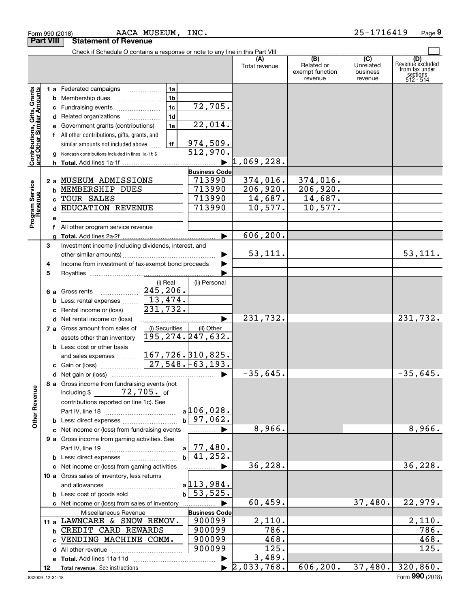|                                                           |    | Check if Schedule O contains a response or note to any line in this Part VIII      |                              |                                  |                                                 |                                         |                                                                    |
|-----------------------------------------------------------|----|------------------------------------------------------------------------------------|------------------------------|----------------------------------|-------------------------------------------------|-----------------------------------------|--------------------------------------------------------------------|
|                                                           |    |                                                                                    |                              | Total revenue                    | (B)<br>Related or<br>exempt function<br>revenue | (C)<br>Unrelated<br>business<br>revenue | (D)<br>Revenuè excluded<br>from tax under<br>sections<br>512 - 514 |
|                                                           |    | 1 a Federated campaigns                                                            | 1a                           |                                  |                                                 |                                         |                                                                    |
|                                                           |    | <b>b</b> Membership dues                                                           | 1 <sub>b</sub>               |                                  |                                                 |                                         |                                                                    |
| Contributions, Gifts, Grants<br>and Other Similar Amounts |    | c Fundraising events                                                               | 72,705.<br>1c                |                                  |                                                 |                                         |                                                                    |
|                                                           |    | d Related organizations                                                            | 1d                           |                                  |                                                 |                                         |                                                                    |
|                                                           |    | e Government grants (contributions)                                                | 22,014.<br>1e                |                                  |                                                 |                                         |                                                                    |
|                                                           |    | f All other contributions, gifts, grants, and                                      |                              |                                  |                                                 |                                         |                                                                    |
|                                                           |    | similar amounts not included above                                                 | 974,509.<br>1f               |                                  |                                                 |                                         |                                                                    |
|                                                           |    | g Noncash contributions included in lines 1a-1f: \$                                | 512,970.                     |                                  |                                                 |                                         |                                                                    |
|                                                           |    |                                                                                    | ▶                            | 1,069,228.                       |                                                 |                                         |                                                                    |
|                                                           |    |                                                                                    | <b>Business Code</b>         |                                  |                                                 |                                         |                                                                    |
|                                                           |    | 2 a MUSEUM ADMISSIONS                                                              | 713990                       | 374,016.                         | 374,016.                                        |                                         |                                                                    |
|                                                           |    | <b>b MEMBERSHIP DUES</b>                                                           | 713990                       | 206,920.                         | 206,920.                                        |                                         |                                                                    |
|                                                           |    | c TOUR SALES                                                                       | 713990                       | 14,687.                          | 14,687.                                         |                                         |                                                                    |
|                                                           |    | d EDUCATION REVENUE                                                                | 713990                       | 10,577.                          | 10,577.                                         |                                         |                                                                    |
| Program Service<br>Revenue                                | е  |                                                                                    |                              |                                  |                                                 |                                         |                                                                    |
|                                                           |    | f All other program service revenue                                                |                              |                                  |                                                 |                                         |                                                                    |
|                                                           | a  |                                                                                    |                              | 606, 200.                        |                                                 |                                         |                                                                    |
|                                                           | 3  | Investment income (including dividends, interest, and                              |                              |                                  |                                                 |                                         |                                                                    |
|                                                           |    |                                                                                    |                              | 53,111.                          |                                                 |                                         | 53,111.                                                            |
|                                                           | 4  | Income from investment of tax-exempt bond proceeds                                 |                              |                                  |                                                 |                                         |                                                                    |
|                                                           | 5  |                                                                                    |                              |                                  |                                                 |                                         |                                                                    |
|                                                           |    |                                                                                    | (i) Real<br>(ii) Personal    |                                  |                                                 |                                         |                                                                    |
|                                                           |    | 6 a Gross rents                                                                    | 245, 206.                    |                                  |                                                 |                                         |                                                                    |
|                                                           |    | <b>b</b> Less: rental expenses                                                     | $\sqrt{13,474}$ .            |                                  |                                                 |                                         |                                                                    |
|                                                           |    | c Rental income or (loss)                                                          | 231,732.                     |                                  |                                                 |                                         |                                                                    |
|                                                           |    | d Net rental income or (loss)                                                      |                              | 231,732.                         |                                                 |                                         | 231,732.                                                           |
|                                                           |    | 7 a Gross amount from sales of                                                     | (i) Securities<br>(ii) Other |                                  |                                                 |                                         |                                                                    |
|                                                           |    | assets other than inventory                                                        | 195,274.247,632.             |                                  |                                                 |                                         |                                                                    |
|                                                           |    | <b>b</b> Less: cost or other basis                                                 |                              |                                  |                                                 |                                         |                                                                    |
|                                                           |    | and sales expenses  [167,726. 310,825.                                             |                              |                                  |                                                 |                                         |                                                                    |
|                                                           |    |                                                                                    |                              |                                  |                                                 |                                         |                                                                    |
|                                                           |    |                                                                                    |                              | $-35,645.$                       |                                                 |                                         | $-35,645.$                                                         |
| g                                                         |    | 8 a Gross income from fundraising events (not<br>including \$ ________ 72, 705. of |                              |                                  |                                                 |                                         |                                                                    |
| Other Reven                                               |    | contributions reported on line 1c). See                                            |                              |                                  |                                                 |                                         |                                                                    |
|                                                           |    |                                                                                    | $a$ 106,028.                 |                                  |                                                 |                                         |                                                                    |
|                                                           |    |                                                                                    | $b$ 97,062.                  |                                  |                                                 |                                         |                                                                    |
|                                                           |    | c Net income or (loss) from fundraising events                                     | ▶<br>.                       | 8,966.                           |                                                 |                                         | 8,966.                                                             |
|                                                           |    | 9 a Gross income from gaming activities. See                                       |                              |                                  |                                                 |                                         |                                                                    |
|                                                           |    |                                                                                    | $a$ 77,480.                  |                                  |                                                 |                                         |                                                                    |
|                                                           |    | <b>b</b> Less: direct expenses                                                     | $b \overline{41,252}$ .      |                                  |                                                 |                                         |                                                                    |
|                                                           |    | c Net income or (loss) from gaming activities                                      |                              | 36, 228.                         |                                                 |                                         | 36,228.                                                            |
|                                                           |    | 10 a Gross sales of inventory, less returns                                        |                              |                                  |                                                 |                                         |                                                                    |
|                                                           |    |                                                                                    | $a$ 113,984.                 |                                  |                                                 |                                         |                                                                    |
|                                                           |    |                                                                                    | $b \mid 53, 525.$            |                                  |                                                 |                                         |                                                                    |
|                                                           |    | c Net income or (loss) from sales of inventory                                     |                              | 60,459.                          |                                                 | 37,480.                                 | 22,979.                                                            |
|                                                           |    | Miscellaneous Revenue                                                              | <b>Business Code</b>         |                                  |                                                 |                                         |                                                                    |
|                                                           |    | 11 a LAWNCARE & SNOW REMOV.                                                        | 900099                       | 2,110.                           |                                                 |                                         | 2,110.                                                             |
|                                                           |    | b CREDIT CARD REWARDS                                                              | 900099                       | 786.                             |                                                 |                                         | $\overline{786}$ .                                                 |
|                                                           |    | c VENDING MACHINE COMM.                                                            | 900099                       | 468.                             |                                                 |                                         | 468.                                                               |
|                                                           |    |                                                                                    | 900099                       | 125.                             |                                                 |                                         | 125.                                                               |
|                                                           |    |                                                                                    |                              | 3,489.                           |                                                 |                                         |                                                                    |
|                                                           | 12 |                                                                                    |                              | $\blacktriangleright$ 2,033,768. | 606, 200.                                       |                                         | $37,480.$ 320,860.                                                 |

Form 990 (2018) Page

AACA MUSEUM, INC. 25-1716419

**Part VIII Statement of Revenue**

**9**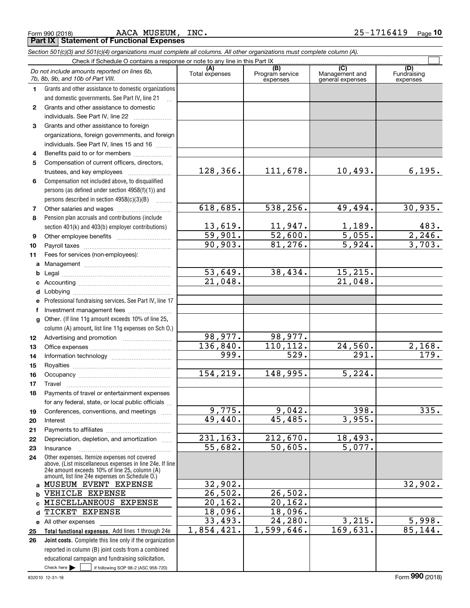|  | Form 990 (2018) |
|--|-----------------|

AACA MUSEUM, INC. 25-1716419

*Section 501(c)(3) and 501(c)(4) organizations must complete all columns. All other organizations must complete column (A).*

|              | Do not include amounts reported on lines 6b,<br>7b, 8b, 9b, and 10b of Part VIII.                        | (A)<br>Total expenses                  | (B)<br>Program service<br>expenses | $\overline{(C)}$<br>Management and<br>general expenses | (D)<br>Fundraising<br>expenses |
|--------------|----------------------------------------------------------------------------------------------------------|----------------------------------------|------------------------------------|--------------------------------------------------------|--------------------------------|
| 1.           | Grants and other assistance to domestic organizations                                                    |                                        |                                    |                                                        |                                |
|              | and domestic governments. See Part IV, line 21                                                           |                                        |                                    |                                                        |                                |
| $\mathbf{2}$ | Grants and other assistance to domestic                                                                  |                                        |                                    |                                                        |                                |
|              | individuals. See Part IV, line 22                                                                        |                                        |                                    |                                                        |                                |
| 3            | Grants and other assistance to foreign                                                                   |                                        |                                    |                                                        |                                |
|              | organizations, foreign governments, and foreign                                                          |                                        |                                    |                                                        |                                |
|              | individuals. See Part IV, lines 15 and 16                                                                |                                        |                                    |                                                        |                                |
| 4            | Benefits paid to or for members                                                                          |                                        |                                    |                                                        |                                |
| 5            | Compensation of current officers, directors,                                                             |                                        |                                    |                                                        |                                |
|              | trustees, and key employees                                                                              | 128, 366.                              | 111,678.                           | 10,493.                                                | 6, 195.                        |
| 6            | Compensation not included above, to disqualified                                                         |                                        |                                    |                                                        |                                |
|              | persons (as defined under section 4958(f)(1)) and                                                        |                                        |                                    |                                                        |                                |
|              | persons described in section $4958(c)(3)(B)$<br>.                                                        |                                        |                                    |                                                        |                                |
| 7            |                                                                                                          | 618,685.                               | 538, 256.                          | 49,494.                                                | 30,935.                        |
| 8            | Pension plan accruals and contributions (include                                                         |                                        |                                    |                                                        |                                |
|              | section 401(k) and 403(b) employer contributions)                                                        | <u>13,619.</u><br>$\overline{59,901.}$ | $\frac{11,947.}{52,600.}$          | $\frac{1,189}{5,055}$                                  | 483.<br>2,246.                 |
| 9            |                                                                                                          | 90,903.                                | 81,276.                            | 5,924.                                                 | 3,703.                         |
| 10           |                                                                                                          |                                        |                                    |                                                        |                                |
| 11           | Fees for services (non-employees):                                                                       |                                        |                                    |                                                        |                                |
| a            |                                                                                                          | $\overline{53,649}$ .                  | 38,434.                            | 15, 215.                                               |                                |
| b            |                                                                                                          | 21,048.                                |                                    | 21,048.                                                |                                |
| c            |                                                                                                          |                                        |                                    |                                                        |                                |
| d<br>e       | Professional fundraising services. See Part IV, line 17                                                  |                                        |                                    |                                                        |                                |
| f            | Investment management fees                                                                               |                                        |                                    |                                                        |                                |
| $\mathbf{q}$ | Other. (If line 11g amount exceeds 10% of line 25,                                                       |                                        |                                    |                                                        |                                |
|              | column (A) amount, list line 11g expenses on Sch O.)                                                     |                                        |                                    |                                                        |                                |
| 12           |                                                                                                          | 98, 977.                               | 98,977.                            |                                                        |                                |
| 13           |                                                                                                          | 136,840.                               | 110, 112.                          | 24,560.                                                | 2,168.                         |
| 14           |                                                                                                          | 999.                                   | $\overline{529}$ .                 | $\overline{291}$ .                                     | $\overline{179}$ .             |
| 15           |                                                                                                          |                                        |                                    |                                                        |                                |
| 16           |                                                                                                          | 154, 219.                              | 148,995.                           | 5,224.                                                 |                                |
| 17           | Travel                                                                                                   |                                        |                                    |                                                        |                                |
| 18           | Payments of travel or entertainment expenses                                                             |                                        |                                    |                                                        |                                |
|              | for any federal, state, or local public officials                                                        |                                        |                                    |                                                        |                                |
| 19           | Conferences, conventions, and meetings                                                                   | 9,775.                                 | 9,042.                             | 398.                                                   | 335.                           |
| 20           | Interest                                                                                                 | 49,440.                                | 45,485.                            | 3,955.                                                 |                                |
| 21           |                                                                                                          |                                        |                                    |                                                        |                                |
| 22           | Depreciation, depletion, and amortization                                                                | 231, 163.                              | 212,670.                           | 18,493.                                                |                                |
| 23           | Insurance                                                                                                | 55,682.                                | 50,605.                            | 5,077.                                                 |                                |
| 24           | Other expenses. Itemize expenses not covered<br>above. (List miscellaneous expenses in line 24e. If line |                                        |                                    |                                                        |                                |
|              | 24e amount exceeds 10% of line 25, column (A)<br>amount, list line 24e expenses on Schedule O.)          |                                        |                                    |                                                        |                                |
| a            | MUSEUM EVENT EXPENSE                                                                                     | 32,902.                                |                                    |                                                        | 32,902.                        |
| b            | VEHICLE EXPENSE                                                                                          | 26,502.                                | 26,502.                            |                                                        |                                |
| C            | MISCELLANEOUS EXPENSE                                                                                    | 20, 162.                               | $\overline{20,162.}$               |                                                        |                                |
| d            | TICKET EXPENSE                                                                                           | 18,096.                                | 18,096.                            |                                                        |                                |
|              | e All other expenses                                                                                     | 33,493.                                | 24, 280.                           | 3,215.                                                 | 5,998.                         |
| 25           | Total functional expenses. Add lines 1 through 24e                                                       | 1,854,421.                             | 1,599,646.                         | 169,631.                                               | 85,144.                        |
| 26           | Joint costs. Complete this line only if the organization                                                 |                                        |                                    |                                                        |                                |
|              | reported in column (B) joint costs from a combined                                                       |                                        |                                    |                                                        |                                |
|              | educational campaign and fundraising solicitation.                                                       |                                        |                                    |                                                        |                                |
|              | Check here $\blacktriangleright$<br>if following SOP 98-2 (ASC 958-720)                                  |                                        |                                    |                                                        |                                |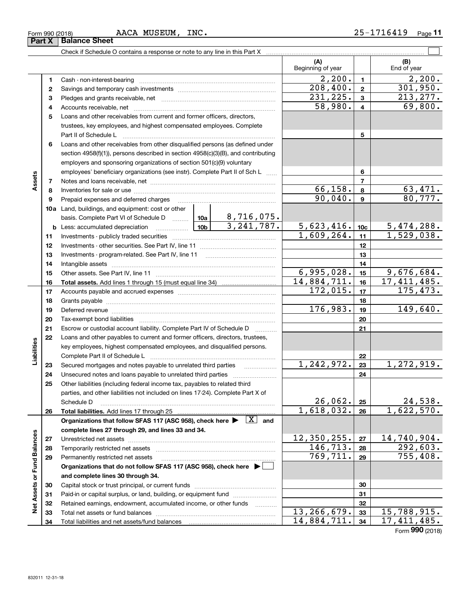|                             |    | Check if Schedule O contains a response or note to any line in this Part X [11] manufacture in the Schedule O contains a response or note to any line in this Part X [11] manufacture in the Schedule O contains and the Sched |  |                         |                          |                |                                 |
|-----------------------------|----|--------------------------------------------------------------------------------------------------------------------------------------------------------------------------------------------------------------------------------|--|-------------------------|--------------------------|----------------|---------------------------------|
|                             |    |                                                                                                                                                                                                                                |  |                         | (A)<br>Beginning of year |                | (B)<br>End of year              |
|                             | 1  |                                                                                                                                                                                                                                |  |                         | $\overline{2,200}$ .     | $\mathbf{1}$   | 2,200.                          |
|                             | 2  |                                                                                                                                                                                                                                |  |                         | 208,400.                 | $\mathbf{2}$   | 301,950.                        |
|                             | 3  |                                                                                                                                                                                                                                |  |                         | 231, 225.                | $\mathbf{3}$   | 213, 277.                       |
|                             | 4  |                                                                                                                                                                                                                                |  |                         | 58,980.                  | $\overline{4}$ | 69,800.                         |
|                             | 5  | Loans and other receivables from current and former officers, directors,                                                                                                                                                       |  |                         |                          |                |                                 |
|                             |    | trustees, key employees, and highest compensated employees. Complete                                                                                                                                                           |  |                         |                          |                |                                 |
|                             |    | Part II of Schedule L                                                                                                                                                                                                          |  |                         |                          | 5              |                                 |
|                             | 6  | Loans and other receivables from other disqualified persons (as defined under                                                                                                                                                  |  |                         |                          |                |                                 |
|                             |    | section 4958(f)(1)), persons described in section 4958(c)(3)(B), and contributing                                                                                                                                              |  |                         |                          |                |                                 |
|                             |    | employers and sponsoring organizations of section 501(c)(9) voluntary                                                                                                                                                          |  |                         |                          |                |                                 |
|                             |    | employees' beneficiary organizations (see instr). Complete Part II of Sch L                                                                                                                                                    |  |                         |                          | 6              |                                 |
| Assets                      | 7  |                                                                                                                                                                                                                                |  |                         |                          | $\overline{7}$ |                                 |
|                             | 8  |                                                                                                                                                                                                                                |  |                         | 66, 158.                 | 8              | 63,471.                         |
|                             | 9  | Prepaid expenses and deferred charges                                                                                                                                                                                          |  |                         | 90,040.                  | $\mathbf{9}$   | 80,777.                         |
|                             |    | <b>10a</b> Land, buildings, and equipment: cost or other                                                                                                                                                                       |  |                         |                          |                |                                 |
|                             |    | basis. Complete Part VI of Schedule D  10a                                                                                                                                                                                     |  | <u>8,716,075.</u>       |                          |                |                                 |
|                             |    | $\frac{10b}{2}$<br><b>b</b> Less: accumulated depreciation                                                                                                                                                                     |  | $\overline{3,241,787.}$ | 5,623,416.               | 10c            | $\frac{5,474,288.}{1,529,038.}$ |
|                             | 11 |                                                                                                                                                                                                                                |  |                         | 1,609,264.               | 11             |                                 |
|                             | 12 |                                                                                                                                                                                                                                |  |                         |                          | 12             |                                 |
|                             | 13 |                                                                                                                                                                                                                                |  |                         |                          | 13             |                                 |
|                             | 14 |                                                                                                                                                                                                                                |  | 14                      |                          |                |                                 |
|                             | 15 |                                                                                                                                                                                                                                |  |                         | 6,995,028.               | 15             | 9,676,684.                      |
|                             | 16 |                                                                                                                                                                                                                                |  |                         | 14,884,711.              | 16             | 17, 411, 485.                   |
|                             | 17 |                                                                                                                                                                                                                                |  | 172,015.                | 17                       | 175,473.       |                                 |
|                             | 18 |                                                                                                                                                                                                                                |  |                         |                          | 18             |                                 |
|                             | 19 |                                                                                                                                                                                                                                |  |                         | 176,983.                 | 19             | 149,640.                        |
|                             | 20 |                                                                                                                                                                                                                                |  |                         |                          | 20             |                                 |
|                             | 21 | Escrow or custodial account liability. Complete Part IV of Schedule D                                                                                                                                                          |  |                         |                          | 21             |                                 |
|                             | 22 | Loans and other payables to current and former officers, directors, trustees,                                                                                                                                                  |  |                         |                          |                |                                 |
|                             |    | key employees, highest compensated employees, and disqualified persons.                                                                                                                                                        |  |                         |                          |                |                                 |
| Liabilities                 |    |                                                                                                                                                                                                                                |  |                         | 1,242,972.               | 22             | 1,272,919.                      |
|                             | 23 | Secured mortgages and notes payable to unrelated third parties                                                                                                                                                                 |  |                         |                          | 23             |                                 |
|                             | 24 |                                                                                                                                                                                                                                |  |                         |                          | 24             |                                 |
|                             | 25 | Other liabilities (including federal income tax, payables to related third<br>parties, and other liabilities not included on lines 17-24). Complete Part X of                                                                  |  |                         |                          |                |                                 |
|                             |    | Schedule D                                                                                                                                                                                                                     |  |                         | 26,062.                  | 25             | 24,538.                         |
|                             | 26 | Total liabilities. Add lines 17 through 25                                                                                                                                                                                     |  |                         | 1,618,032.               | 26             | 1,622,570.                      |
|                             |    | Organizations that follow SFAS 117 (ASC 958), check here $\blacktriangleright \begin{array}{c} \boxed{X} \end{array}$ and                                                                                                      |  |                         |                          |                |                                 |
|                             |    | complete lines 27 through 29, and lines 33 and 34.                                                                                                                                                                             |  |                         |                          |                |                                 |
|                             | 27 |                                                                                                                                                                                                                                |  |                         | 12,350,255.              | 27             | 14,740,904.                     |
|                             | 28 | Temporarily restricted net assets                                                                                                                                                                                              |  |                         | 146, 713.                | 28             | 292,603.                        |
|                             | 29 | Permanently restricted net assets                                                                                                                                                                                              |  |                         | 769, 711.                | 29             | 755,408.                        |
| Net Assets or Fund Balances |    | Organizations that do not follow SFAS 117 (ASC 958), check here ▶ □                                                                                                                                                            |  |                         |                          |                |                                 |
|                             |    | and complete lines 30 through 34.                                                                                                                                                                                              |  |                         |                          |                |                                 |
|                             | 30 |                                                                                                                                                                                                                                |  |                         |                          | 30             |                                 |
|                             | 31 | Paid-in or capital surplus, or land, building, or equipment fund                                                                                                                                                               |  |                         |                          | 31             |                                 |
|                             | 32 | Retained earnings, endowment, accumulated income, or other funds                                                                                                                                                               |  |                         |                          | 32             |                                 |
|                             | 33 | Total net assets or fund balances                                                                                                                                                                                              |  |                         | 13, 266, 679.            | 33             | 15,788,915.                     |
|                             | 34 |                                                                                                                                                                                                                                |  |                         | 14,884,711.              | 34             | 17, 411, 485.                   |

Form (2018) **990**

# **Part X** | Balance Sheet

| Form 990 (2018 |  |  |
|----------------|--|--|
|                |  |  |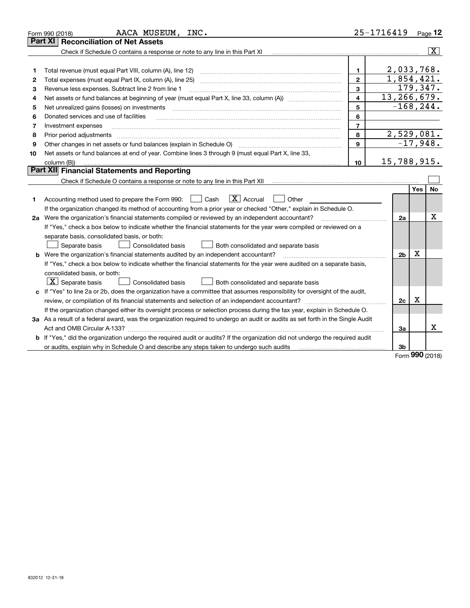|    | AACA MUSEUM, INC.<br>Form 990 (2018)                                                                                            | 25-1716419              |                         |     | Page $12$                |
|----|---------------------------------------------------------------------------------------------------------------------------------|-------------------------|-------------------------|-----|--------------------------|
|    | <b>Reconciliation of Net Assets</b><br><b>Part XI</b>                                                                           |                         |                         |     |                          |
|    | Check if Schedule O contains a response or note to any line in this Part XI                                                     |                         |                         |     | $\lceil \text{X} \rceil$ |
|    |                                                                                                                                 |                         |                         |     |                          |
| 1  | Total revenue (must equal Part VIII, column (A), line 12)                                                                       | 1                       | 2,033,768.              |     |                          |
| 2  | Total expenses (must equal Part IX, column (A), line 25)                                                                        | $\mathbf{2}$            | $\overline{1,854,421.}$ |     |                          |
| З  | Revenue less expenses. Subtract line 2 from line 1                                                                              | 3                       | 179,347.                |     |                          |
| 4  |                                                                                                                                 | $\overline{\mathbf{4}}$ | 13,266,679.             |     |                          |
| 5  | Net unrealized gains (losses) on investments                                                                                    | 5                       | $-168, 244.$            |     |                          |
| 6  | Donated services and use of facilities                                                                                          | 6                       |                         |     |                          |
| 7  | Investment expenses                                                                                                             | $\overline{7}$          |                         |     |                          |
| 8  | Prior period adjustments                                                                                                        | 8                       | 2,529,081.              |     |                          |
| 9  |                                                                                                                                 | 9                       |                         |     | $-17,948.$               |
| 10 | Net assets or fund balances at end of year. Combine lines 3 through 9 (must equal Part X, line 33,                              |                         |                         |     |                          |
|    | column (B))                                                                                                                     | 10                      | 15,788,915.             |     |                          |
|    | Part XII Financial Statements and Reporting                                                                                     |                         |                         |     |                          |
|    |                                                                                                                                 |                         |                         |     |                          |
|    |                                                                                                                                 |                         |                         | Yes | No                       |
| 1  | $\boxed{\mathbf{X}}$ Accrual<br>Accounting method used to prepare the Form 990: <u>June</u> Cash<br>Other                       |                         |                         |     |                          |
|    | If the organization changed its method of accounting from a prior year or checked "Other," explain in Schedule O.               |                         |                         |     |                          |
|    | 2a Were the organization's financial statements compiled or reviewed by an independent accountant?                              |                         | 2a                      |     | Χ                        |
|    | If "Yes," check a box below to indicate whether the financial statements for the year were compiled or reviewed on a            |                         |                         |     |                          |
|    | separate basis, consolidated basis, or both:                                                                                    |                         |                         |     |                          |
|    | Separate basis<br><b>Consolidated basis</b><br>Both consolidated and separate basis                                             |                         |                         |     |                          |
|    | <b>b</b> Were the organization's financial statements audited by an independent accountant?                                     |                         | 2 <sub>b</sub>          | X   |                          |
|    | If "Yes," check a box below to indicate whether the financial statements for the year were audited on a separate basis,         |                         |                         |     |                          |
|    | consolidated basis, or both:                                                                                                    |                         |                         |     |                          |
|    | $X$ Separate basis<br>Consolidated basis<br>Both consolidated and separate basis                                                |                         |                         |     |                          |
|    | c If "Yes" to line 2a or 2b, does the organization have a committee that assumes responsibility for oversight of the audit,     |                         |                         |     |                          |
|    |                                                                                                                                 |                         | 2c                      | x   |                          |
|    | If the organization changed either its oversight process or selection process during the tax year, explain in Schedule O.       |                         |                         |     |                          |
|    | 3a As a result of a federal award, was the organization required to undergo an audit or audits as set forth in the Single Audit |                         |                         |     |                          |
|    |                                                                                                                                 |                         | За                      |     | x                        |
|    | b If "Yes," did the organization undergo the required audit or audits? If the organization did not undergo the required audit   |                         |                         |     |                          |
|    | or audits, explain why in Schedule O and describe any steps taken to undergo such audits                                        |                         | 3b                      |     |                          |

Form (2018) **990**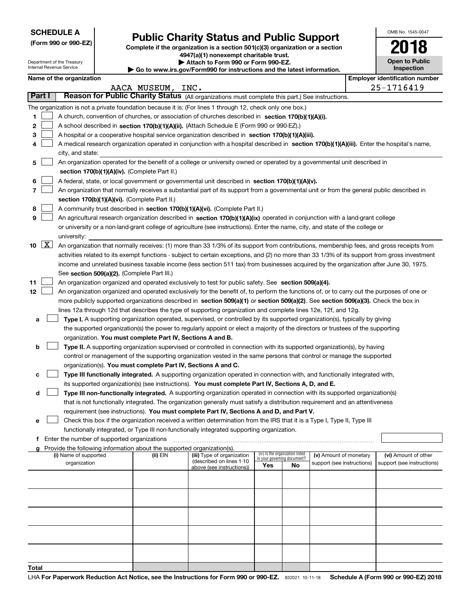**(Form 990 or 990-EZ)**

## **Public Charity Status and Public Support**

**Complete if the organization is a section 501(c)(3) organization or a section 4947(a)(1) nonexempt charitable trust. | Attach to Form 990 or Form 990-EZ.** 

| OMB No. 1545-0047            |
|------------------------------|
| 2018                         |
| Open to Public<br>Inspection |

| Department of the Treasury<br>Internal Revenue Service |                      |                          |                                               | Attach to Form 990 or Form 990-EZ.<br>Go to www.irs.gov/Form990 for instructions and the latest information. |                                                                                                                                               |     |                                                                |                            |  | <b>Open to Public</b><br>Inspection |  |  |  |
|--------------------------------------------------------|----------------------|--------------------------|-----------------------------------------------|--------------------------------------------------------------------------------------------------------------|-----------------------------------------------------------------------------------------------------------------------------------------------|-----|----------------------------------------------------------------|----------------------------|--|-------------------------------------|--|--|--|
|                                                        |                      | Name of the organization |                                               |                                                                                                              | <b>Employer identification number</b>                                                                                                         |     |                                                                |                            |  |                                     |  |  |  |
|                                                        |                      |                          |                                               | AACA MUSEUM,                                                                                                 | INC.                                                                                                                                          |     |                                                                |                            |  |                                     |  |  |  |
|                                                        | Part I               |                          |                                               |                                                                                                              | Reason for Public Charity Status (All organizations must complete this part.) See instructions.                                               |     |                                                                |                            |  |                                     |  |  |  |
|                                                        |                      |                          |                                               |                                                                                                              | The organization is not a private foundation because it is: (For lines 1 through 12, check only one box.)                                     |     |                                                                |                            |  |                                     |  |  |  |
| 1.                                                     |                      |                          |                                               |                                                                                                              | A church, convention of churches, or association of churches described in section 170(b)(1)(A)(i).                                            |     |                                                                |                            |  |                                     |  |  |  |
| 2                                                      |                      |                          |                                               |                                                                                                              | A school described in section 170(b)(1)(A)(ii). (Attach Schedule E (Form 990 or 990-EZ).)                                                     |     |                                                                |                            |  |                                     |  |  |  |
| 3                                                      |                      |                          |                                               |                                                                                                              | A hospital or a cooperative hospital service organization described in section 170(b)(1)(A)(iii).                                             |     |                                                                |                            |  |                                     |  |  |  |
| 4                                                      |                      |                          |                                               |                                                                                                              | A medical research organization operated in conjunction with a hospital described in section 170(b)(1)(A)(iii). Enter the hospital's name,    |     |                                                                |                            |  |                                     |  |  |  |
|                                                        |                      | city, and state:         |                                               |                                                                                                              |                                                                                                                                               |     |                                                                |                            |  |                                     |  |  |  |
| 5                                                      |                      |                          |                                               |                                                                                                              | An organization operated for the benefit of a college or university owned or operated by a governmental unit described in                     |     |                                                                |                            |  |                                     |  |  |  |
|                                                        |                      |                          |                                               | section 170(b)(1)(A)(iv). (Complete Part II.)                                                                |                                                                                                                                               |     |                                                                |                            |  |                                     |  |  |  |
| 6                                                      |                      |                          |                                               |                                                                                                              | A federal, state, or local government or governmental unit described in section 170(b)(1)(A)(v).                                              |     |                                                                |                            |  |                                     |  |  |  |
| 7                                                      |                      |                          |                                               |                                                                                                              | An organization that normally receives a substantial part of its support from a governmental unit or from the general public described in     |     |                                                                |                            |  |                                     |  |  |  |
|                                                        |                      |                          |                                               | section 170(b)(1)(A)(vi). (Complete Part II.)                                                                |                                                                                                                                               |     |                                                                |                            |  |                                     |  |  |  |
| 8                                                      |                      |                          |                                               |                                                                                                              | A community trust described in section 170(b)(1)(A)(vi). (Complete Part II.)                                                                  |     |                                                                |                            |  |                                     |  |  |  |
| 9                                                      |                      |                          |                                               |                                                                                                              | An agricultural research organization described in section 170(b)(1)(A)(ix) operated in conjunction with a land-grant college                 |     |                                                                |                            |  |                                     |  |  |  |
|                                                        |                      |                          |                                               |                                                                                                              | or university or a non-land-grant college of agriculture (see instructions). Enter the name, city, and state of the college or                |     |                                                                |                            |  |                                     |  |  |  |
|                                                        |                      | university:              |                                               |                                                                                                              |                                                                                                                                               |     |                                                                |                            |  |                                     |  |  |  |
|                                                        | $10 \quad \boxed{X}$ |                          |                                               |                                                                                                              | An organization that normally receives: (1) more than 33 1/3% of its support from contributions, membership fees, and gross receipts from     |     |                                                                |                            |  |                                     |  |  |  |
|                                                        |                      |                          |                                               |                                                                                                              | activities related to its exempt functions - subject to certain exceptions, and (2) no more than 33 1/3% of its support from gross investment |     |                                                                |                            |  |                                     |  |  |  |
|                                                        |                      |                          |                                               |                                                                                                              | income and unrelated business taxable income (less section 511 tax) from businesses acquired by the organization after June 30, 1975.         |     |                                                                |                            |  |                                     |  |  |  |
|                                                        |                      |                          |                                               | See section 509(a)(2). (Complete Part III.)                                                                  |                                                                                                                                               |     |                                                                |                            |  |                                     |  |  |  |
| 11                                                     |                      |                          |                                               |                                                                                                              | An organization organized and operated exclusively to test for public safety. See section 509(a)(4).                                          |     |                                                                |                            |  |                                     |  |  |  |
| 12 <sub>2</sub>                                        |                      |                          |                                               |                                                                                                              | An organization organized and operated exclusively for the benefit of, to perform the functions of, or to carry out the purposes of one or    |     |                                                                |                            |  |                                     |  |  |  |
|                                                        |                      |                          |                                               |                                                                                                              | more publicly supported organizations described in section 509(a)(1) or section 509(a)(2). See section 509(a)(3). Check the box in            |     |                                                                |                            |  |                                     |  |  |  |
|                                                        |                      |                          |                                               |                                                                                                              | lines 12a through 12d that describes the type of supporting organization and complete lines 12e, 12f, and 12g.                                |     |                                                                |                            |  |                                     |  |  |  |
| а                                                      |                      |                          |                                               |                                                                                                              | Type I. A supporting organization operated, supervised, or controlled by its supported organization(s), typically by giving                   |     |                                                                |                            |  |                                     |  |  |  |
|                                                        |                      |                          |                                               |                                                                                                              | the supported organization(s) the power to regularly appoint or elect a majority of the directors or trustees of the supporting               |     |                                                                |                            |  |                                     |  |  |  |
|                                                        |                      |                          |                                               | organization. You must complete Part IV, Sections A and B.                                                   |                                                                                                                                               |     |                                                                |                            |  |                                     |  |  |  |
| b                                                      |                      |                          |                                               |                                                                                                              | Type II. A supporting organization supervised or controlled in connection with its supported organization(s), by having                       |     |                                                                |                            |  |                                     |  |  |  |
|                                                        |                      |                          |                                               |                                                                                                              | control or management of the supporting organization vested in the same persons that control or manage the supported                          |     |                                                                |                            |  |                                     |  |  |  |
|                                                        |                      |                          |                                               | organization(s). You must complete Part IV, Sections A and C.                                                |                                                                                                                                               |     |                                                                |                            |  |                                     |  |  |  |
| c                                                      |                      |                          |                                               |                                                                                                              | Type III functionally integrated. A supporting organization operated in connection with, and functionally integrated with,                    |     |                                                                |                            |  |                                     |  |  |  |
|                                                        |                      |                          |                                               |                                                                                                              | its supported organization(s) (see instructions). You must complete Part IV, Sections A, D, and E.                                            |     |                                                                |                            |  |                                     |  |  |  |
| d                                                      |                      |                          |                                               |                                                                                                              | Type III non-functionally integrated. A supporting organization operated in connection with its supported organization(s)                     |     |                                                                |                            |  |                                     |  |  |  |
|                                                        |                      |                          |                                               |                                                                                                              | that is not functionally integrated. The organization generally must satisfy a distribution requirement and an attentiveness                  |     |                                                                |                            |  |                                     |  |  |  |
|                                                        |                      |                          |                                               |                                                                                                              | requirement (see instructions). You must complete Part IV, Sections A and D, and Part V.                                                      |     |                                                                |                            |  |                                     |  |  |  |
| е                                                      |                      |                          |                                               |                                                                                                              | Check this box if the organization received a written determination from the IRS that it is a Type I, Type II, Type III                       |     |                                                                |                            |  |                                     |  |  |  |
|                                                        |                      |                          |                                               |                                                                                                              | functionally integrated, or Type III non-functionally integrated supporting organization.                                                     |     |                                                                |                            |  |                                     |  |  |  |
|                                                        |                      |                          | f Enter the number of supported organizations |                                                                                                              |                                                                                                                                               |     |                                                                |                            |  |                                     |  |  |  |
|                                                        |                      |                          |                                               | Provide the following information about the supported organization(s).                                       |                                                                                                                                               |     |                                                                |                            |  |                                     |  |  |  |
|                                                        |                      | (i) Name of supported    |                                               | (ii) EIN                                                                                                     | (iii) Type of organization                                                                                                                    |     | (iv) Is the organization listed<br>in your governing document? | (v) Amount of monetary     |  | (vi) Amount of other                |  |  |  |
|                                                        |                      | organization             |                                               |                                                                                                              | (described on lines 1-10<br>above (see instructions))                                                                                         | Yes | No                                                             | support (see instructions) |  | support (see instructions)          |  |  |  |
|                                                        |                      |                          |                                               |                                                                                                              |                                                                                                                                               |     |                                                                |                            |  |                                     |  |  |  |
|                                                        |                      |                          |                                               |                                                                                                              |                                                                                                                                               |     |                                                                |                            |  |                                     |  |  |  |
|                                                        |                      |                          |                                               |                                                                                                              |                                                                                                                                               |     |                                                                |                            |  |                                     |  |  |  |
|                                                        |                      |                          |                                               |                                                                                                              |                                                                                                                                               |     |                                                                |                            |  |                                     |  |  |  |
|                                                        |                      |                          |                                               |                                                                                                              |                                                                                                                                               |     |                                                                |                            |  |                                     |  |  |  |
|                                                        |                      |                          |                                               |                                                                                                              |                                                                                                                                               |     |                                                                |                            |  |                                     |  |  |  |
|                                                        |                      |                          |                                               |                                                                                                              |                                                                                                                                               |     |                                                                |                            |  |                                     |  |  |  |
|                                                        |                      |                          |                                               |                                                                                                              |                                                                                                                                               |     |                                                                |                            |  |                                     |  |  |  |
|                                                        |                      |                          |                                               |                                                                                                              |                                                                                                                                               |     |                                                                |                            |  |                                     |  |  |  |
|                                                        |                      |                          |                                               |                                                                                                              |                                                                                                                                               |     |                                                                |                            |  |                                     |  |  |  |
|                                                        |                      |                          |                                               |                                                                                                              |                                                                                                                                               |     |                                                                |                            |  |                                     |  |  |  |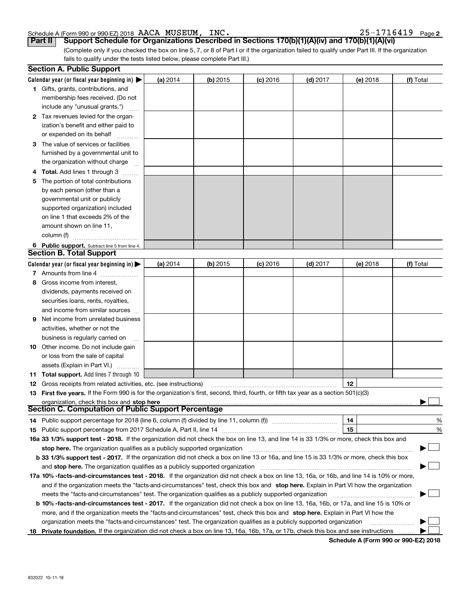### Schedule A (Form 990 or 990-EZ) 2018 Page AACA MUSEUM, INC. 25-1716419

|  |  |  |  |  |  |  | $25 - 1716419$ Page 2 |
|--|--|--|--|--|--|--|-----------------------|
|--|--|--|--|--|--|--|-----------------------|

**Part II Support Schedule for Organizations Described in Sections 170(b)(1)(A)(iv) and 170(b)(1)(A)(vi)** 

(Complete only if you checked the box on line 5, 7, or 8 of Part I or if the organization failed to qualify under Part III. If the organization fails to qualify under the tests listed below, please complete Part III.)

|     | <b>Section A. Public Support</b>                                                                                                                                                                                |          |          |            |            |                 |           |  |  |
|-----|-----------------------------------------------------------------------------------------------------------------------------------------------------------------------------------------------------------------|----------|----------|------------|------------|-----------------|-----------|--|--|
|     | Calendar year (or fiscal year beginning in) $\blacktriangleright$                                                                                                                                               | (a) 2014 | (b) 2015 | $(c)$ 2016 | $(d)$ 2017 | (e) 2018        | (f) Total |  |  |
|     | 1 Gifts, grants, contributions, and                                                                                                                                                                             |          |          |            |            |                 |           |  |  |
|     | membership fees received. (Do not                                                                                                                                                                               |          |          |            |            |                 |           |  |  |
|     | include any "unusual grants.")                                                                                                                                                                                  |          |          |            |            |                 |           |  |  |
|     | 2 Tax revenues levied for the organ-                                                                                                                                                                            |          |          |            |            |                 |           |  |  |
|     | ization's benefit and either paid to                                                                                                                                                                            |          |          |            |            |                 |           |  |  |
|     | or expended on its behalf                                                                                                                                                                                       |          |          |            |            |                 |           |  |  |
| з   | The value of services or facilities                                                                                                                                                                             |          |          |            |            |                 |           |  |  |
|     | furnished by a governmental unit to                                                                                                                                                                             |          |          |            |            |                 |           |  |  |
|     | the organization without charge                                                                                                                                                                                 |          |          |            |            |                 |           |  |  |
|     | Total. Add lines 1 through 3                                                                                                                                                                                    |          |          |            |            |                 |           |  |  |
| 5   | The portion of total contributions                                                                                                                                                                              |          |          |            |            |                 |           |  |  |
|     | by each person (other than a                                                                                                                                                                                    |          |          |            |            |                 |           |  |  |
|     | governmental unit or publicly                                                                                                                                                                                   |          |          |            |            |                 |           |  |  |
|     | supported organization) included                                                                                                                                                                                |          |          |            |            |                 |           |  |  |
|     | on line 1 that exceeds 2% of the                                                                                                                                                                                |          |          |            |            |                 |           |  |  |
|     | amount shown on line 11,                                                                                                                                                                                        |          |          |            |            |                 |           |  |  |
|     | column (f)                                                                                                                                                                                                      |          |          |            |            |                 |           |  |  |
|     | 6 Public support. Subtract line 5 from line 4.                                                                                                                                                                  |          |          |            |            |                 |           |  |  |
|     | <b>Section B. Total Support</b>                                                                                                                                                                                 |          |          |            |            |                 |           |  |  |
|     | Calendar year (or fiscal year beginning in)                                                                                                                                                                     | (a) 2014 | (b) 2015 | $(c)$ 2016 | $(d)$ 2017 | (e) 2018        | (f) Total |  |  |
|     | 7 Amounts from line 4                                                                                                                                                                                           |          |          |            |            |                 |           |  |  |
| 8   | Gross income from interest,                                                                                                                                                                                     |          |          |            |            |                 |           |  |  |
|     | dividends, payments received on                                                                                                                                                                                 |          |          |            |            |                 |           |  |  |
|     | securities loans, rents, royalties,                                                                                                                                                                             |          |          |            |            |                 |           |  |  |
|     | and income from similar sources                                                                                                                                                                                 |          |          |            |            |                 |           |  |  |
| 9   | Net income from unrelated business                                                                                                                                                                              |          |          |            |            |                 |           |  |  |
|     | activities, whether or not the                                                                                                                                                                                  |          |          |            |            |                 |           |  |  |
|     | business is regularly carried on                                                                                                                                                                                |          |          |            |            |                 |           |  |  |
| 10  | Other income. Do not include gain                                                                                                                                                                               |          |          |            |            |                 |           |  |  |
|     | or loss from the sale of capital                                                                                                                                                                                |          |          |            |            |                 |           |  |  |
|     | assets (Explain in Part VI.)                                                                                                                                                                                    |          |          |            |            |                 |           |  |  |
|     | 11 Total support. Add lines 7 through 10                                                                                                                                                                        |          |          |            |            | 12 <sup>2</sup> |           |  |  |
|     | <b>12</b> Gross receipts from related activities, etc. (see instructions)<br>First five years. If the Form 990 is for the organization's first, second, third, fourth, or fifth tax year as a section 501(c)(3) |          |          |            |            |                 |           |  |  |
| 13  |                                                                                                                                                                                                                 |          |          |            |            |                 |           |  |  |
|     | Section C. Computation of Public Support Percentage                                                                                                                                                             |          |          |            |            |                 |           |  |  |
| 14. |                                                                                                                                                                                                                 |          |          |            |            | 14              | %         |  |  |
| 15  | Public support percentage from 2017 Schedule A, Part II, line 14 [2010] contains a manuscription of Public support percentage from 2017 Schedule A, Part II, line 14                                            |          |          |            |            | 15              | %         |  |  |
|     | 16a 33 1/3% support test - 2018. If the organization did not check the box on line 13, and line 14 is 33 1/3% or more, check this box and                                                                       |          |          |            |            |                 |           |  |  |
|     | stop here. The organization qualifies as a publicly supported organization                                                                                                                                      |          |          |            |            |                 |           |  |  |
|     | b 33 1/3% support test - 2017. If the organization did not check a box on line 13 or 16a, and line 15 is 33 1/3% or more, check this box                                                                        |          |          |            |            |                 |           |  |  |
|     | and stop here. The organization qualifies as a publicly supported organization                                                                                                                                  |          |          |            |            |                 |           |  |  |
|     | 17a 10% -facts-and-circumstances test - 2018. If the organization did not check a box on line 13, 16a, or 16b, and line 14 is 10% or more,                                                                      |          |          |            |            |                 |           |  |  |
|     | and if the organization meets the "facts-and-circumstances" test, check this box and stop here. Explain in Part VI how the organization                                                                         |          |          |            |            |                 |           |  |  |
|     | meets the "facts-and-circumstances" test. The organization qualifies as a publicly supported organization <i>marroummumumum</i>                                                                                 |          |          |            |            |                 |           |  |  |
|     | <b>b 10% -facts-and-circumstances test - 2017.</b> If the organization did not check a box on line 13, 16a, 16b, or 17a, and line 15 is 10% or                                                                  |          |          |            |            |                 |           |  |  |
|     | more, and if the organization meets the "facts-and-circumstances" test, check this box and stop here. Explain in Part VI how the                                                                                |          |          |            |            |                 |           |  |  |
|     | organization meets the "facts-and-circumstances" test. The organization qualifies as a publicly supported organization                                                                                          |          |          |            |            |                 |           |  |  |
| 18. | Private foundation. If the organization did not check a box on line 13, 16a, 16b, 17a, or 17b, check this box and see instructions                                                                              |          |          |            |            |                 |           |  |  |

**Schedule A (Form 990 or 990-EZ) 2018**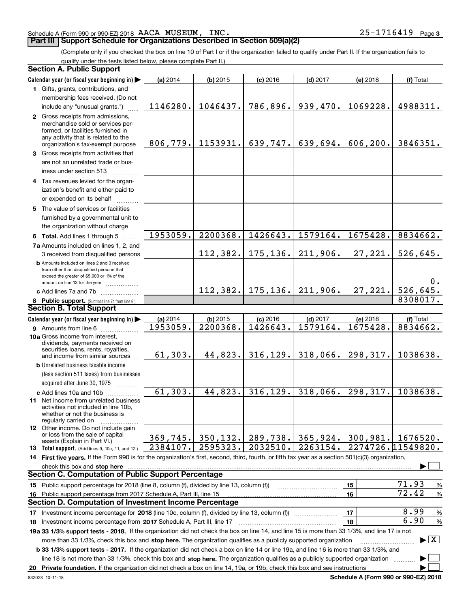#### Schedule A (Form 990 or 990-EZ) 2018 Page AACA MUSEUM, INC. 25-1716419

### **Part III Support Schedule for Organizations Described in Section 509(a)(2)**

(Complete only if you checked the box on line 10 of Part I or if the organization failed to qualify under Part II. If the organization fails to qualify under the tests listed below, please complete Part II.)

#### **8 Public support.** (Subtract line 7c from line 6.) **b** Amounts included on lines 2 and 3 received from other than disqualified persons that exceed the greater of \$5,000 or 1% of the amount on line 13 for the year  $\ldots$ ............... **13 Total support.** (Add lines 9, 10c, 11, and 12.) **Calendar year (or fiscal year beginning in) | Calendar year (or fiscal year beginning in) | (a)** 2014 **| (b)** 2015 **| (c)** 2016 **| (d)** 2017 **| (e)** 2018 **| (f) 1**Gifts, grants, contributions, and **2** Gross receipts from admissions, **3** Gross receipts from activities that **4**Tax revenues levied for the organ-**5** The value of services or facilities **6 Total.** Add lines 1 through 5  $\,\ldots\ldots\,$ **7a**Amounts included on lines 1, 2, and **c** Add lines 7a and 7b  $\ldots$   $\ldots$   $\ldots$  ... **(a)** 2014 **| (b)** 2015 **| (c)** 2016 **| (d)** 2017 **| (e)** 2018 **| (f) 9** Amounts from line 6  $^{10}$ **10a**Gross income from interest, **b** Unrelated business taxable income **c** Add lines 10a and 10b  $^{100}$ **11** Net income from unrelated business **12** Other income. Do not include gain **14 First five years.** If the Form 990 is for the organization's first, second, third, fourth, or fifth tax year as a section 501(c)(3) organization, **stop here** check this box and | **15** Public support percentage for 2018 (line 8, column (f), divided by line 13, column (f)) **16151617** Investment income percentage for 2018 (line 10c, column (f), divided by line 13, column (f)) **18 2017** Investment income percentage from Schedule A, Part III, line 17 ~~~~~~~~~~~~~~~~~~**19a 33 1/3% support tests - 2018.** If the organization did not check the box on line 14, and line 15 is more than 33 1/3%, and line 17 is not **20Private foundation.**  If the organization did not check a box on line 14, 19a, or 19b, check this box and see instructions | **1718b 33 1/3% support tests - 2017.** If the organization did not check a box on line 14 or line 19a, and line 16 is more than 33 1/3%, and more than 33 1/3%, check this box and stop here. The organization qualifies as a publicly supported organization *manimumment* line 18 is not more than 33 1/3%, check this box and stop here. The organization qualifies as a publicly supported organization  $\Box$ (less section 511 taxes) from businesses acquired after June 30, 1975 (a) 2014 14 **| (b)** 2015 **| (c)** 2016 **| (d)** 2017 **| (e)** 2018 **| (f)** Total membership fees received. (Do not include any "unusual grants.") merchandise sold or services performed, or facilities furnished in any activity that is related to the organization's tax-exempt purpose are not an unrelated trade or business under section 513  $\quad$ ization's benefit and either paid to or expended on its behalf  $^{+}_{-}\,$   $^{+}\,$   $^{+}\,$ furnished by a governmental unit to the organization without charge 3 received from disqualified persons (a) 2014 14 **| (b)** 2015 **| (c)** 2016 **| (d)** 2017 **| (e)** 2018 **| (f)** Total dividends, payments received on securities loans, rents, royalties, and income from similar sources activities not included in line 10b, whether or not the business is regularly carried on or loss from the sale of capital assets (Explain in Part VI.) ............ Public support percentage from 2017 Schedule A, Part III, line 15 % 71.93 % 72.42 % 8.99 % 6.90 **Section A. Public Support Section B. Total Support Section C. Computation of Public Support Percentage Section D. Computation of Investment Income Percentage**  $\mathcal{L}^{\text{max}}$  $\boxed{\text{X}}$  $\mathcal{L}^{\text{max}}$  $\mathcal{L}^{\text{max}}$ 1146280. 1046437. 786,896. 939,470. 1069228. 4988311. 806,779. 1153931. 639,747. 639,694. 606,200. 3846351. 1953059. 2200368. 1426643. 1579164. 1675428. 8834662. 1953059. 2200368. 1426643. 1579164. 1675428. 8834662. 112,382. 175,136. 211,906. 27,221. 526,645. 0. 112,382. 175,136. 211,906. 27,221. 526,645. 8308017. 61,303. 44,823. 316,129. 318,066. 298,317. 1038638. 61,303. 44,823. 316,129. 318,066. 298,317. 1038638. 369,745. 350,132. 289,738. 365,924. 300,981. 1676520. 2274726.11549820. 2384107. 2595323. 2032510. 2263154.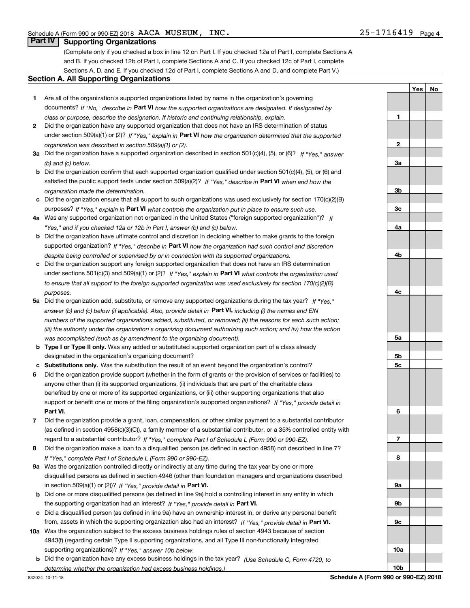**1**

**2**

**3a**

**3b**

**3c**

**4a**

**4b**

**4c**

**5a**

**5b5c**

**6**

**7**

**8**

**9a**

**9b**

**9c**

**10a**

**10b**

**YesNo**

## **Part IV Supporting Organizations**

(Complete only if you checked a box in line 12 on Part I. If you checked 12a of Part I, complete Sections A and B. If you checked 12b of Part I, complete Sections A and C. If you checked 12c of Part I, complete Sections A, D, and E. If you checked 12d of Part I, complete Sections A and D, and complete Part V.)

#### **Section A. All Supporting Organizations**

- **1** Are all of the organization's supported organizations listed by name in the organization's governing documents? If "No," describe in **Part VI** how the supported organizations are designated. If designated by *class or purpose, describe the designation. If historic and continuing relationship, explain.*
- **2** Did the organization have any supported organization that does not have an IRS determination of status under section 509(a)(1) or (2)? If "Yes," explain in Part VI how the organization determined that the supported *organization was described in section 509(a)(1) or (2).*
- **3a** Did the organization have a supported organization described in section 501(c)(4), (5), or (6)? If "Yes," answer *(b) and (c) below.*
- **b** Did the organization confirm that each supported organization qualified under section 501(c)(4), (5), or (6) and satisfied the public support tests under section 509(a)(2)? If "Yes," describe in **Part VI** when and how the *organization made the determination.*
- **c**Did the organization ensure that all support to such organizations was used exclusively for section 170(c)(2)(B) purposes? If "Yes," explain in **Part VI** what controls the organization put in place to ensure such use.
- **4a***If* Was any supported organization not organized in the United States ("foreign supported organization")? *"Yes," and if you checked 12a or 12b in Part I, answer (b) and (c) below.*
- **b** Did the organization have ultimate control and discretion in deciding whether to make grants to the foreign supported organization? If "Yes," describe in **Part VI** how the organization had such control and discretion *despite being controlled or supervised by or in connection with its supported organizations.*
- **c** Did the organization support any foreign supported organization that does not have an IRS determination under sections 501(c)(3) and 509(a)(1) or (2)? If "Yes," explain in **Part VI** what controls the organization used *to ensure that all support to the foreign supported organization was used exclusively for section 170(c)(2)(B) purposes.*
- **5a***If "Yes,"* Did the organization add, substitute, or remove any supported organizations during the tax year? answer (b) and (c) below (if applicable). Also, provide detail in **Part VI,** including (i) the names and EIN *numbers of the supported organizations added, substituted, or removed; (ii) the reasons for each such action; (iii) the authority under the organization's organizing document authorizing such action; and (iv) how the action was accomplished (such as by amendment to the organizing document).*
- **b** Type I or Type II only. Was any added or substituted supported organization part of a class already designated in the organization's organizing document?
- **cSubstitutions only.**  Was the substitution the result of an event beyond the organization's control?
- **6** Did the organization provide support (whether in the form of grants or the provision of services or facilities) to **Part VI.** *If "Yes," provide detail in* support or benefit one or more of the filing organization's supported organizations? anyone other than (i) its supported organizations, (ii) individuals that are part of the charitable class benefited by one or more of its supported organizations, or (iii) other supporting organizations that also
- **7**Did the organization provide a grant, loan, compensation, or other similar payment to a substantial contributor *If "Yes," complete Part I of Schedule L (Form 990 or 990-EZ).* regard to a substantial contributor? (as defined in section 4958(c)(3)(C)), a family member of a substantial contributor, or a 35% controlled entity with
- **8** Did the organization make a loan to a disqualified person (as defined in section 4958) not described in line 7? *If "Yes," complete Part I of Schedule L (Form 990 or 990-EZ).*
- **9a** Was the organization controlled directly or indirectly at any time during the tax year by one or more in section 509(a)(1) or (2))? If "Yes," *provide detail in* <code>Part VI.</code> disqualified persons as defined in section 4946 (other than foundation managers and organizations described
- **b** Did one or more disqualified persons (as defined in line 9a) hold a controlling interest in any entity in which the supporting organization had an interest? If "Yes," provide detail in P**art VI**.
- **c**Did a disqualified person (as defined in line 9a) have an ownership interest in, or derive any personal benefit from, assets in which the supporting organization also had an interest? If "Yes," provide detail in P**art VI.**
- **10a** Was the organization subject to the excess business holdings rules of section 4943 because of section supporting organizations)? If "Yes," answer 10b below. 4943(f) (regarding certain Type II supporting organizations, and all Type III non-functionally integrated
	- **b** Did the organization have any excess business holdings in the tax year? (Use Schedule C, Form 4720, to *determine whether the organization had excess business holdings.)*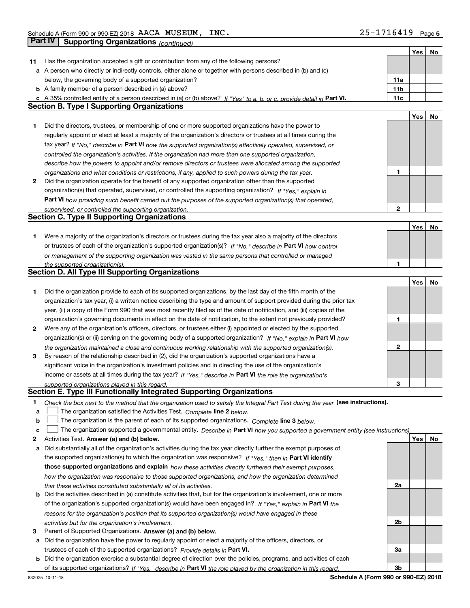|    |                                                                                                                                   |     | Yes | No |
|----|-----------------------------------------------------------------------------------------------------------------------------------|-----|-----|----|
| 11 | Has the organization accepted a gift or contribution from any of the following persons?                                           |     |     |    |
|    | a A person who directly or indirectly controls, either alone or together with persons described in (b) and (c)                    |     |     |    |
|    | below, the governing body of a supported organization?                                                                            | 11a |     |    |
|    | <b>b</b> A family member of a person described in (a) above?                                                                      | 11b |     |    |
|    | c A 35% controlled entity of a person described in (a) or (b) above? If "Yes" to a, b, or c, provide detail in Part VI.           | 11c |     |    |
|    | <b>Section B. Type I Supporting Organizations</b>                                                                                 |     |     |    |
|    |                                                                                                                                   |     | Yes | No |
| 1  | Did the directors, trustees, or membership of one or more supported organizations have the power to                               |     |     |    |
|    | regularly appoint or elect at least a majority of the organization's directors or trustees at all times during the                |     |     |    |
|    | tax year? If "No," describe in Part VI how the supported organization(s) effectively operated, supervised, or                     |     |     |    |
|    | controlled the organization's activities. If the organization had more than one supported organization,                           |     |     |    |
|    | describe how the powers to appoint and/or remove directors or trustees were allocated among the supported                         |     |     |    |
|    | organizations and what conditions or restrictions, if any, applied to such powers during the tax year.                            | 1   |     |    |
| 2  | Did the organization operate for the benefit of any supported organization other than the supported                               |     |     |    |
|    | organization(s) that operated, supervised, or controlled the supporting organization? If "Yes," explain in                        |     |     |    |
|    | Part VI how providing such benefit carried out the purposes of the supported organization(s) that operated,                       |     |     |    |
|    | supervised, or controlled the supporting organization.                                                                            | 2   |     |    |
|    | <b>Section C. Type II Supporting Organizations</b>                                                                                |     |     |    |
|    |                                                                                                                                   |     | Yes | No |
| 1. | Were a majority of the organization's directors or trustees during the tax year also a majority of the directors                  |     |     |    |
|    | or trustees of each of the organization's supported organization(s)? If "No," describe in Part VI how control                     |     |     |    |
|    | or management of the supporting organization was vested in the same persons that controlled or managed                            |     |     |    |
|    | the supported organization(s).                                                                                                    | 1   |     |    |
|    | Section D. All Type III Supporting Organizations                                                                                  |     |     |    |
|    |                                                                                                                                   |     | Yes | No |
| 1  | Did the organization provide to each of its supported organizations, by the last day of the fifth month of the                    |     |     |    |
|    | organization's tax year, (i) a written notice describing the type and amount of support provided during the prior tax             |     |     |    |
|    | year, (ii) a copy of the Form 990 that was most recently filed as of the date of notification, and (iii) copies of the            |     |     |    |
|    | organization's governing documents in effect on the date of notification, to the extent not previously provided?                  | 1   |     |    |
| 2  | Were any of the organization's officers, directors, or trustees either (i) appointed or elected by the supported                  |     |     |    |
|    | organization(s) or (ii) serving on the governing body of a supported organization? If "No," explain in Part VI how                |     |     |    |
|    | the organization maintained a close and continuous working relationship with the supported organization(s).                       | 2   |     |    |
| 3  | By reason of the relationship described in (2), did the organization's supported organizations have a                             |     |     |    |
|    | significant voice in the organization's investment policies and in directing the use of the organization's                        |     |     |    |
|    | income or assets at all times during the tax year? If "Yes," describe in Part VI the role the organization's                      |     |     |    |
|    | supported organizations played in this regard.                                                                                    | З   |     |    |
|    | Section E. Type III Functionally Integrated Supporting Organizations                                                              |     |     |    |
| 1  | Check the box next to the method that the organization used to satisfy the Integral Part Test during the year (see instructions). |     |     |    |
| a  | The organization satisfied the Activities Test. Complete line 2 below.                                                            |     |     |    |
| b  | The organization is the parent of each of its supported organizations. Complete line 3 below.                                     |     |     |    |
| c  | The organization supported a governmental entity. Describe in Part VI how you supported a government entity (see instructions),   |     |     |    |
| 2  | Activities Test. Answer (a) and (b) below.                                                                                        |     | Yes | No |
| a  | Did substantially all of the organization's activities during the tax year directly further the exempt purposes of                |     |     |    |
|    | the supported organization(s) to which the organization was responsive? If "Yes," then in Part VI identify                        |     |     |    |
|    | those supported organizations and explain how these activities directly furthered their exempt purposes,                          |     |     |    |
|    | how the organization was responsive to those supported organizations, and how the organization determined                         |     |     |    |
|    | that these activities constituted substantially all of its activities.                                                            | 2a  |     |    |
|    | <b>b</b> Did the activities described in (a) constitute activities that, but for the organization's involvement, one or more      |     |     |    |
|    | of the organization's supported organization(s) would have been engaged in? If "Yes," explain in Part VI the                      |     |     |    |
|    | reasons for the organization's position that its supported organization(s) would have engaged in these                            |     |     |    |
|    | activities but for the organization's involvement.                                                                                | 2b  |     |    |
| 3  | Parent of Supported Organizations. Answer (a) and (b) below.                                                                      |     |     |    |
| а  | Did the organization have the power to regularly appoint or elect a majority of the officers, directors, or                       |     |     |    |
|    | trustees of each of the supported organizations? Provide details in Part VI.                                                      | За  |     |    |
|    | <b>b</b> Did the organization exercise a substantial degree of direction over the policies, programs, and activities of each      |     |     |    |
|    | of its supported organizations? If "Yes," describe in Part VI the role played by the organization in this regard.                 | Зb  |     |    |

**Schedule A (Form 990 or 990-EZ) 2018**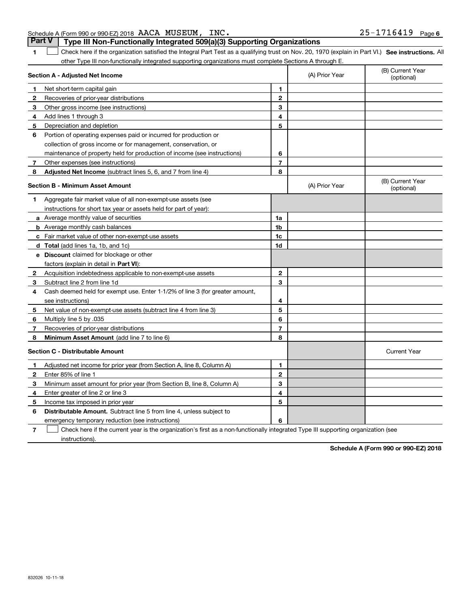|  | 2 Subtract line 2 from |  |
|--|------------------------|--|
|  |                        |  |

**Section A - Adjusted Net Income**

Net short-term capital gain

Depreciation and depletion

**4**Add lines 1 through 3

**3** Other gross income (see instructions)

Recoveries of prior-year distributions

**7** Other expenses (see instructions)

**12**

**5**

| Section B - Minimum Asset Amount |                                                                              |              | (A) Prior Year | (B) Current Year<br>(optional) |
|----------------------------------|------------------------------------------------------------------------------|--------------|----------------|--------------------------------|
| 1.                               | Aggregate fair market value of all non-exempt-use assets (see                |              |                |                                |
|                                  | instructions for short tax year or assets held for part of year):            |              |                |                                |
|                                  | a Average monthly value of securities                                        | 1a           |                |                                |
|                                  | <b>b</b> Average monthly cash balances                                       | 1b           |                |                                |
|                                  | c Fair market value of other non-exempt-use assets                           | 1c           |                |                                |
|                                  | d Total (add lines 1a, 1b, and 1c)                                           | 1d           |                |                                |
| е                                | <b>Discount</b> claimed for blockage or other                                |              |                |                                |
|                                  | factors (explain in detail in Part VI):                                      |              |                |                                |
| $\mathbf{2}$                     | Acquisition indebtedness applicable to non-exempt-use assets                 | $\mathbf{2}$ |                |                                |
| 3                                | Subtract line 2 from line 1d                                                 | 3            |                |                                |
| 4                                | Cash deemed held for exempt use. Enter 1-1/2% of line 3 (for greater amount, |              |                |                                |
|                                  | see instructions)                                                            | 4            |                |                                |
| 5                                | Net value of non-exempt-use assets (subtract line 4 from line 3)             | 5            |                |                                |
| 6                                | Multiply line 5 by .035                                                      | 6            |                |                                |
| 7                                | Recoveries of prior-year distributions                                       | 7            |                |                                |
| 8                                | Minimum Asset Amount (add line 7 to line 6)                                  | 8            |                |                                |
|                                  | Section C - Distributable Amount                                             |              |                | <b>Current Year</b>            |
|                                  | Adjusted net income for prior year (from Section A, line 8, Column A)        | 1            |                |                                |
| $\mathbf{2}$                     | Enter 85% of line 1                                                          | 2            |                |                                |
| 3                                | Minimum asset amount for prior year (from Section B, line 8, Column A)       | з            |                |                                |
| 4                                | Enter greater of line 2 or line 3                                            | 4            |                |                                |
| 5                                | Income tax imposed in prior year                                             | 5            |                |                                |
| 6                                | <b>Distributable Amount.</b> Subtract line 5 from line 4, unless subject to  |              |                |                                |
|                                  | emergency temporary reduction (see instructions)                             | 6            |                |                                |

## Schedule A (Form 990 or 990-EZ) 2018 Page AACA MUSEUM, INC. 25-1716419

**6** Portion of operating expenses paid or incurred for production or

collection of gross income or for management, conservation, or

maintenance of property held for production of income (see instructions)

**8 Adjusted Net Income** (subtract lines 5, 6, and 7 from line 4) **8 8** 

**1SEP 10. See instructions.** All antegral Part Test as a qualifying trust on Nov. 20, 1970 (explain in Part VI.) See instructions. All other Type III non-functionally integrated supporting organizations must complete Sections A through E.  $\mathcal{L}^{\text{max}}$ 

**Part V Type III Non-Functionally Integrated 509(a)(3) Supporting Organizations** 

(A) Prior Year

**67**

**7**Check here if the current year is the organization's first as a non-functionally integrated Type III supporting organization (see instructions). $\mathcal{L}^{\text{max}}$ 

**Schedule A (Form 990 or 990-EZ) 2018**

(B) Current Year (optional)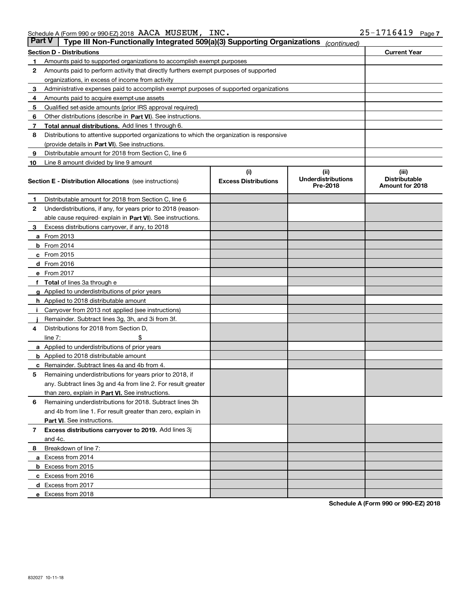| Part V | Type III Non-Functionally Integrated 509(a)(3) Supporting Organizations                    |                             | (continued)                           |                                         |  |
|--------|--------------------------------------------------------------------------------------------|-----------------------------|---------------------------------------|-----------------------------------------|--|
|        | <b>Section D - Distributions</b>                                                           |                             |                                       | <b>Current Year</b>                     |  |
| 1      | Amounts paid to supported organizations to accomplish exempt purposes                      |                             |                                       |                                         |  |
| 2      | Amounts paid to perform activity that directly furthers exempt purposes of supported       |                             |                                       |                                         |  |
|        | organizations, in excess of income from activity                                           |                             |                                       |                                         |  |
| з      | Administrative expenses paid to accomplish exempt purposes of supported organizations      |                             |                                       |                                         |  |
| 4      | Amounts paid to acquire exempt-use assets                                                  |                             |                                       |                                         |  |
| 5      | Qualified set-aside amounts (prior IRS approval required)                                  |                             |                                       |                                         |  |
| 6      | Other distributions (describe in Part VI). See instructions.                               |                             |                                       |                                         |  |
| 7      | <b>Total annual distributions.</b> Add lines 1 through 6.                                  |                             |                                       |                                         |  |
| 8      | Distributions to attentive supported organizations to which the organization is responsive |                             |                                       |                                         |  |
|        | (provide details in Part VI). See instructions.                                            |                             |                                       |                                         |  |
| 9      | Distributable amount for 2018 from Section C, line 6                                       |                             |                                       |                                         |  |
| 10     | Line 8 amount divided by line 9 amount                                                     |                             |                                       |                                         |  |
|        |                                                                                            | (i)                         | (iii)                                 | (iii)                                   |  |
|        | <b>Section E - Distribution Allocations</b> (see instructions)                             | <b>Excess Distributions</b> | <b>Underdistributions</b><br>Pre-2018 | <b>Distributable</b><br>Amount for 2018 |  |
| 1      | Distributable amount for 2018 from Section C, line 6                                       |                             |                                       |                                         |  |
| 2      | Underdistributions, if any, for years prior to 2018 (reason-                               |                             |                                       |                                         |  |
|        | able cause required- explain in <b>Part VI</b> ). See instructions.                        |                             |                                       |                                         |  |
| з      | Excess distributions carryover, if any, to 2018                                            |                             |                                       |                                         |  |
|        | <b>a</b> From 2013                                                                         |                             |                                       |                                         |  |
|        | $b$ From 2014                                                                              |                             |                                       |                                         |  |
|        | c From 2015                                                                                |                             |                                       |                                         |  |
|        | d From 2016                                                                                |                             |                                       |                                         |  |
|        | e From 2017                                                                                |                             |                                       |                                         |  |
|        | Total of lines 3a through e                                                                |                             |                                       |                                         |  |
|        | <b>g</b> Applied to underdistributions of prior years                                      |                             |                                       |                                         |  |
|        | <b>h</b> Applied to 2018 distributable amount                                              |                             |                                       |                                         |  |
|        | Carryover from 2013 not applied (see instructions)                                         |                             |                                       |                                         |  |
|        | Remainder. Subtract lines 3g, 3h, and 3i from 3f.                                          |                             |                                       |                                         |  |
| 4      | Distributions for 2018 from Section D,                                                     |                             |                                       |                                         |  |
|        | line $7:$                                                                                  |                             |                                       |                                         |  |
|        | <b>a</b> Applied to underdistributions of prior years                                      |                             |                                       |                                         |  |
|        | <b>b</b> Applied to 2018 distributable amount                                              |                             |                                       |                                         |  |
| c      | Remainder. Subtract lines 4a and 4b from 4.                                                |                             |                                       |                                         |  |
| 5      | Remaining underdistributions for years prior to 2018, if                                   |                             |                                       |                                         |  |
|        | any. Subtract lines 3g and 4a from line 2. For result greater                              |                             |                                       |                                         |  |
|        | than zero, explain in Part VI. See instructions.                                           |                             |                                       |                                         |  |
| 6      | Remaining underdistributions for 2018. Subtract lines 3h                                   |                             |                                       |                                         |  |
|        | and 4b from line 1. For result greater than zero, explain in                               |                             |                                       |                                         |  |
|        | Part VI. See instructions.                                                                 |                             |                                       |                                         |  |
| 7      | Excess distributions carryover to 2019. Add lines 3j                                       |                             |                                       |                                         |  |
|        | and 4c.                                                                                    |                             |                                       |                                         |  |
| 8      | Breakdown of line 7:                                                                       |                             |                                       |                                         |  |
|        | a Excess from 2014                                                                         |                             |                                       |                                         |  |
|        | <b>b</b> Excess from 2015                                                                  |                             |                                       |                                         |  |
|        | c Excess from 2016                                                                         |                             |                                       |                                         |  |
|        | d Excess from 2017                                                                         |                             |                                       |                                         |  |
|        | e Excess from 2018                                                                         |                             |                                       |                                         |  |
|        |                                                                                            |                             |                                       |                                         |  |

**Schedule A (Form 990 or 990-EZ) 2018**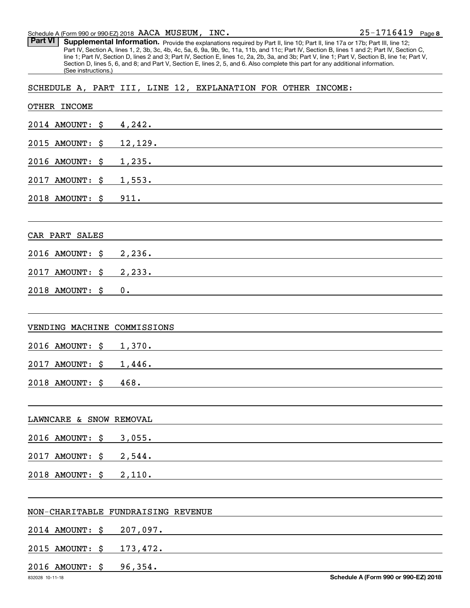Schedule A (Form 990 or 990-EZ) 2018 Page AACA MUSEUM, INC.

Part VI | Supplemental Information. Provide the explanations required by Part II, line 10; Part II, line 17a or 17b; Part III, line 12; Part IV, Section A, lines 1, 2, 3b, 3c, 4b, 4c, 5a, 6, 9a, 9b, 9c, 11a, 11b, and 11c; Part IV, Section B, lines 1 and 2; Part IV, Section C, line 1; Part IV, Section D, lines 2 and 3; Part IV, Section E, lines 1c, 2a, 2b, 3a, and 3b; Part V, line 1; Part V, Section B, line 1e; Part V, Section D, lines 5, 6, and 8; and Part V, Section E, lines 2, 5, and 6. Also complete this part for any additional information. (See instructions.)

SCHEDULE A, PART III, LINE 12, EXPLANATION FOR OTHER INCOME:

| OTHER INCOME            |                                                                                                                                |
|-------------------------|--------------------------------------------------------------------------------------------------------------------------------|
| $2014$ AMOUNT: $\sharp$ | 4,242.                                                                                                                         |
| 2015 AMOUNT:            | \$<br>12,129.                                                                                                                  |
| 2016 AMOUNT:            | \$<br>$1,235.$ $\qquad \qquad \qquad$                                                                                          |
| 2017 AMOUNT: \$         | 1,553. 2010 11:05:07 11:05:07 12:07:07 12:07:07 12:07:07 12:07:07 12:07:07 12:07:07:07:07:07:07:07:07:07:0                     |
| 2018 AMOUNT: \$         | 911.                                                                                                                           |
|                         |                                                                                                                                |
| CAR PART SALES          |                                                                                                                                |
| 2016 AMOUNT: \$         | 2,236.                                                                                                                         |
| 2017 AMOUNT: \$         | 2,233.                                                                                                                         |
| 2018 AMOUNT: \$         | 0.                                                                                                                             |
|                         |                                                                                                                                |
|                         | VENDING MACHINE COMMISSIONS                                                                                                    |
| 2016 AMOUNT: \$         |                                                                                                                                |
| 2017 AMOUNT: \$         | 1,446.                                                                                                                         |
| 2018 AMOUNT: \$         | 468.<br><u>a sa mga salawang mga sangang ng mga sangang ng mga sangang ng mga sangang ng mga sangang ng mga sangang ng mga</u> |
|                         |                                                                                                                                |
| LAWNCARE & SNOW REMOVAL |                                                                                                                                |
| 2016 AMOUNT: \$ 3,055.  |                                                                                                                                |
| 2017 AMOUNT: \$         | 2,544.                                                                                                                         |
| 2018 AMOUNT: \$         | 2,110.                                                                                                                         |
|                         |                                                                                                                                |
|                         | NON-CHARITABLE FUNDRAISING REVENUE                                                                                             |
| 2014 AMOUNT: \$         | 207,097.                                                                                                                       |
| 2015 AMOUNT: \$         | 173,472.                                                                                                                       |
| 2016 AMOUNT: \$         | 96,354.                                                                                                                        |
| 832028 10-11-18         | Schedule A (Form 990 or 990-EZ) 2018                                                                                           |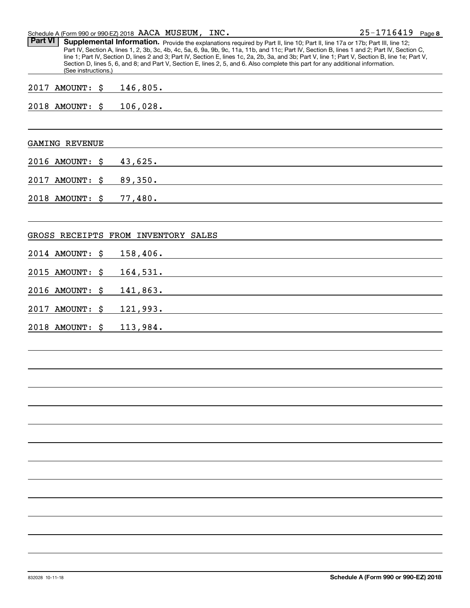| $25 - 1716419$ Page 8<br>INC.<br>Schedule A (Form 990 or 990-EZ) 2018 $\,$ AACA $\,$ MUSEUM , |  |
|-----------------------------------------------------------------------------------------------|--|
|-----------------------------------------------------------------------------------------------|--|

| <b>Part VI</b><br>Supplemental Information. Provide the explanations required by Part II, line 10; Part II, line 17a or 17b; Part III, line 12;<br>Part IV, Section A, lines 1, 2, 3b, 3c, 4b, 4c, 5a, 6, 9a, 9b, 9c, 11a, 11b, and 11c; Part IV, Section B, lines 1 and 2; Part IV, Section C,<br>line 1; Part IV, Section D, lines 2 and 3; Part IV, Section E, lines 1c, 2a, 2b, 3a, and 3b; Part V, line 1; Part V, Section B, line 1e; Part V,<br>Section D, lines 5, 6, and 8; and Part V, Section E, lines 2, 5, and 6. Also complete this part for any additional information.<br>(See instructions.) |    |                                                                          |  |  |
|---------------------------------------------------------------------------------------------------------------------------------------------------------------------------------------------------------------------------------------------------------------------------------------------------------------------------------------------------------------------------------------------------------------------------------------------------------------------------------------------------------------------------------------------------------------------------------------------------------------|----|--------------------------------------------------------------------------|--|--|
| 2017 AMOUNT: \$                                                                                                                                                                                                                                                                                                                                                                                                                                                                                                                                                                                               |    |                                                                          |  |  |
| 2018 AMOUNT: \$                                                                                                                                                                                                                                                                                                                                                                                                                                                                                                                                                                                               |    | 106,028.                                                                 |  |  |
| <b>GAMING REVENUE</b>                                                                                                                                                                                                                                                                                                                                                                                                                                                                                                                                                                                         |    |                                                                          |  |  |
| 2016 AMOUNT:                                                                                                                                                                                                                                                                                                                                                                                                                                                                                                                                                                                                  | \$ | 43,625.                                                                  |  |  |
| 2017 AMOUNT: \$                                                                                                                                                                                                                                                                                                                                                                                                                                                                                                                                                                                               |    |                                                                          |  |  |
| 2018 AMOUNT: \$                                                                                                                                                                                                                                                                                                                                                                                                                                                                                                                                                                                               |    |                                                                          |  |  |
|                                                                                                                                                                                                                                                                                                                                                                                                                                                                                                                                                                                                               |    | GROSS RECEIPTS FROM INVENTORY SALES                                      |  |  |
| 2014 AMOUNT: \$                                                                                                                                                                                                                                                                                                                                                                                                                                                                                                                                                                                               |    |                                                                          |  |  |
| 2015 AMOUNT: \$                                                                                                                                                                                                                                                                                                                                                                                                                                                                                                                                                                                               |    |                                                                          |  |  |
| 2016 AMOUNT: $$$                                                                                                                                                                                                                                                                                                                                                                                                                                                                                                                                                                                              |    |                                                                          |  |  |
| 2017 AMOUNT: \$                                                                                                                                                                                                                                                                                                                                                                                                                                                                                                                                                                                               |    |                                                                          |  |  |
| 2018 AMOUNT: \$                                                                                                                                                                                                                                                                                                                                                                                                                                                                                                                                                                                               |    | 113,984.<br><u> 1989 - Johann Stein, mars an de Britannich (b. 1989)</u> |  |  |
|                                                                                                                                                                                                                                                                                                                                                                                                                                                                                                                                                                                                               |    |                                                                          |  |  |
|                                                                                                                                                                                                                                                                                                                                                                                                                                                                                                                                                                                                               |    |                                                                          |  |  |
|                                                                                                                                                                                                                                                                                                                                                                                                                                                                                                                                                                                                               |    |                                                                          |  |  |
|                                                                                                                                                                                                                                                                                                                                                                                                                                                                                                                                                                                                               |    |                                                                          |  |  |
|                                                                                                                                                                                                                                                                                                                                                                                                                                                                                                                                                                                                               |    |                                                                          |  |  |
|                                                                                                                                                                                                                                                                                                                                                                                                                                                                                                                                                                                                               |    |                                                                          |  |  |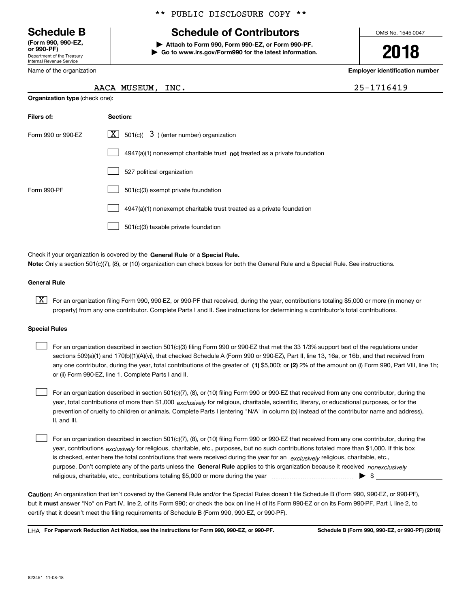Department of the Treasury Internal Revenue Service **(Form 990, 990-EZ, or 990-PF)**

Name of the organization

**Organization type** (check one):

### \*\* PUBLIC DISCLOSURE COPY \*\*

# **Schedule B Schedule of Contributors**

**| Attach to Form 990, Form 990-EZ, or Form 990-PF. | Go to www.irs.gov/Form990 for the latest information.** OMB No. 1545-0047

# **2018**

**Employer identification number**

| AACA MUSEUM, INC. | 25-1716419 |
|-------------------|------------|
|                   |            |

| Filers of:         | Section:                                                                  |
|--------------------|---------------------------------------------------------------------------|
| Form 990 or 990-EZ | $\lfloor x \rfloor$ 501(c)( 3) (enter number) organization                |
|                    | 4947(a)(1) nonexempt charitable trust not treated as a private foundation |
|                    | 527 political organization                                                |
| Form 990-PF        | 501(c)(3) exempt private foundation                                       |
|                    | 4947(a)(1) nonexempt charitable trust treated as a private foundation     |
|                    | 501(c)(3) taxable private foundation                                      |

Check if your organization is covered by the **General Rule** or a **Special Rule. Note:**  Only a section 501(c)(7), (8), or (10) organization can check boxes for both the General Rule and a Special Rule. See instructions.

### **General Rule**

 $\boxed{\textbf{X}}$  For an organization filing Form 990, 990-EZ, or 990-PF that received, during the year, contributions totaling \$5,000 or more (in money or property) from any one contributor. Complete Parts I and II. See instructions for determining a contributor's total contributions.

### **Special Rules**

any one contributor, during the year, total contributions of the greater of  $\,$  (1) \$5,000; or **(2)** 2% of the amount on (i) Form 990, Part VIII, line 1h; For an organization described in section 501(c)(3) filing Form 990 or 990-EZ that met the 33 1/3% support test of the regulations under sections 509(a)(1) and 170(b)(1)(A)(vi), that checked Schedule A (Form 990 or 990-EZ), Part II, line 13, 16a, or 16b, and that received from or (ii) Form 990-EZ, line 1. Complete Parts I and II.  $\mathcal{L}^{\text{max}}$ 

year, total contributions of more than \$1,000 *exclusively* for religious, charitable, scientific, literary, or educational purposes, or for the For an organization described in section 501(c)(7), (8), or (10) filing Form 990 or 990-EZ that received from any one contributor, during the prevention of cruelty to children or animals. Complete Parts I (entering "N/A" in column (b) instead of the contributor name and address), II, and III.  $\mathcal{L}^{\text{max}}$ 

purpose. Don't complete any of the parts unless the **General Rule** applies to this organization because it received *nonexclusively* year, contributions <sub>exclusively</sub> for religious, charitable, etc., purposes, but no such contributions totaled more than \$1,000. If this box is checked, enter here the total contributions that were received during the year for an  $\;$ exclusively religious, charitable, etc., For an organization described in section 501(c)(7), (8), or (10) filing Form 990 or 990-EZ that received from any one contributor, during the religious, charitable, etc., contributions totaling \$5,000 or more during the year  $\Box$ — $\Box$   $\Box$  $\mathcal{L}^{\text{max}}$ 

**Caution:**  An organization that isn't covered by the General Rule and/or the Special Rules doesn't file Schedule B (Form 990, 990-EZ, or 990-PF),  **must** but it answer "No" on Part IV, line 2, of its Form 990; or check the box on line H of its Form 990-EZ or on its Form 990-PF, Part I, line 2, to certify that it doesn't meet the filing requirements of Schedule B (Form 990, 990-EZ, or 990-PF).

**For Paperwork Reduction Act Notice, see the instructions for Form 990, 990-EZ, or 990-PF. Schedule B (Form 990, 990-EZ, or 990-PF) (2018)** LHA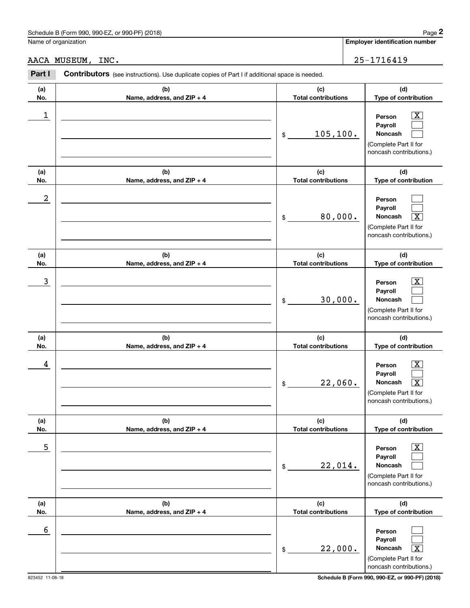# Schedule B (Form 990, 990-EZ, or 990-PF) (2018) Page 2

|            | Schedule B (Form 990, 990-EZ, or 990-PF) (2018)                                                |                                   | Page 2                                                                                                                               |
|------------|------------------------------------------------------------------------------------------------|-----------------------------------|--------------------------------------------------------------------------------------------------------------------------------------|
|            | Name of organization                                                                           |                                   | <b>Employer identification number</b>                                                                                                |
|            | AACA MUSEUM, INC.                                                                              |                                   | 25-1716419                                                                                                                           |
| Part I     | Contributors (see instructions). Use duplicate copies of Part I if additional space is needed. |                                   |                                                                                                                                      |
| (a)<br>No. | (b)<br>Name, address, and ZIP + 4                                                              | (c)<br><b>Total contributions</b> | (d)<br>Type of contribution                                                                                                          |
| 1          |                                                                                                | 105, 100.<br>\$                   | $\overline{\text{X}}$<br>Person<br>Payroll<br>Noncash<br>(Complete Part II for<br>noncash contributions.)                            |
| (a)<br>No. | (b)<br>Name, address, and ZIP + 4                                                              | (c)<br><b>Total contributions</b> | (d)<br>Type of contribution                                                                                                          |
| 2          |                                                                                                | 80,000.<br>\$                     | Person<br>Payroll<br>Noncash<br>$\overline{\texttt{X}}$<br>(Complete Part II for<br>noncash contributions.)                          |
| (a)<br>No. | (b)<br>Name, address, and ZIP + 4                                                              | (c)<br><b>Total contributions</b> | (d)<br>Type of contribution                                                                                                          |
| 3          |                                                                                                | 30,000.<br>\$                     | X<br>Person<br>Payroll<br>Noncash<br>(Complete Part II for<br>noncash contributions.)                                                |
| (a)<br>No. | (b)<br>Name, address, and ZIP + 4                                                              | (c)<br><b>Total contributions</b> | (d)<br>Type of contribution                                                                                                          |
| 4          |                                                                                                | 22,060.<br>\$                     | $\overline{\text{X}}$<br>Person<br>Payroll<br>Noncash<br>$\overline{\mathbf{X}}$<br>(Complete Part II for<br>noncash contributions.) |
| (a)<br>No. | (b)<br>Name, address, and ZIP + 4                                                              | (c)<br><b>Total contributions</b> | (d)<br>Type of contribution                                                                                                          |
| 5          |                                                                                                | 22,014.<br>\$                     | $\overline{\text{X}}$<br>Person<br>Payroll<br>Noncash<br>(Complete Part II for<br>noncash contributions.)                            |
| (a)<br>No. | (b)<br>Name, address, and ZIP + 4                                                              | (c)<br><b>Total contributions</b> | (d)<br>Type of contribution                                                                                                          |
| 6          |                                                                                                | 22,000.<br>\$                     | Person<br>Payroll<br>Noncash<br>$\overline{\text{X}}$<br>(Complete Part II for<br>noncash contributions.)                            |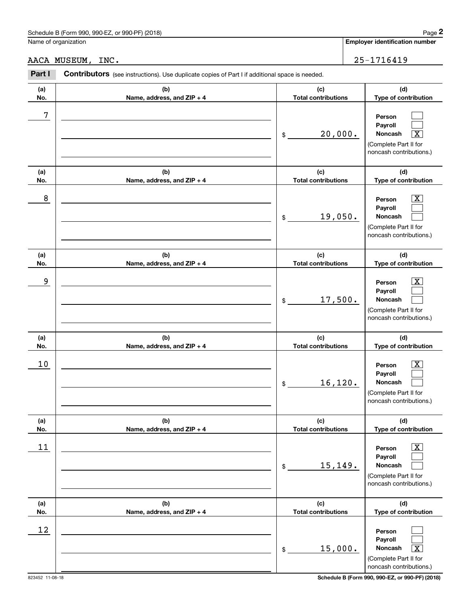# Schedule B (Form 990, 990-EZ, or 990-PF) (2018) Page 2

|                      | Schedule B (Form 990, 990-EZ, or 990-PF) (2018)                                                |                                   | Page 2                                                                                                             |
|----------------------|------------------------------------------------------------------------------------------------|-----------------------------------|--------------------------------------------------------------------------------------------------------------------|
| Name of organization |                                                                                                |                                   | Employer identification number                                                                                     |
|                      | AACA MUSEUM, INC.                                                                              |                                   | 25-1716419                                                                                                         |
| Part I               | Contributors (see instructions). Use duplicate copies of Part I if additional space is needed. |                                   |                                                                                                                    |
| (a)<br>No.           | (b)<br>Name, address, and ZIP + 4                                                              | (c)<br><b>Total contributions</b> | (d)<br>Type of contribution                                                                                        |
| 7                    |                                                                                                | 20,000.<br>\$                     | Person<br>Payroll<br>$\overline{\text{X}}$<br>Noncash<br>(Complete Part II for<br>noncash contributions.)          |
| (a)<br>No.           | (b)<br>Name, address, and ZIP + 4                                                              | (c)<br><b>Total contributions</b> | (d)<br>Type of contribution                                                                                        |
| 8                    |                                                                                                | 19,050.<br>\$                     | $\overline{\mathbf{X}}$<br>Person<br>Payroll<br><b>Noncash</b><br>(Complete Part II for<br>noncash contributions.) |
| (a)<br>No.           | (b)<br>Name, address, and ZIP + 4                                                              | (c)<br><b>Total contributions</b> | (d)<br>Type of contribution                                                                                        |
| 9                    |                                                                                                | 17,500.<br>\$                     | $\overline{\mathbf{X}}$<br>Person<br>Payroll<br>Noncash<br>(Complete Part II for<br>noncash contributions.)        |
| (a)<br>No.           | (b)<br>Name, address, and ZIP + 4                                                              | (c)<br><b>Total contributions</b> | (d)<br>Type of contribution                                                                                        |
| 10                   |                                                                                                | 16,120.<br>\$                     | $\mathbf{X}$<br>Person<br>Payroll<br>Noncash<br>(Complete Part II for<br>noncash contributions.)                   |
| (a)<br>No.           | (b)<br>Name, address, and ZIP + 4                                                              | (c)<br><b>Total contributions</b> | (d)<br>Type of contribution                                                                                        |
| 11                   |                                                                                                | 15,149.<br>\$                     | $\overline{\text{X}}$<br>Person<br>Payroll<br>Noncash<br>(Complete Part II for<br>noncash contributions.)          |
| (a)<br>No.           | (b)<br>Name, address, and ZIP + 4                                                              | (c)<br><b>Total contributions</b> | (d)<br>Type of contribution                                                                                        |
| 12                   |                                                                                                | 15,000.<br>\$                     | Person<br>Payroll<br>Noncash<br>$\overline{\text{X}}$<br>(Complete Part II for<br>noncash contributions.)          |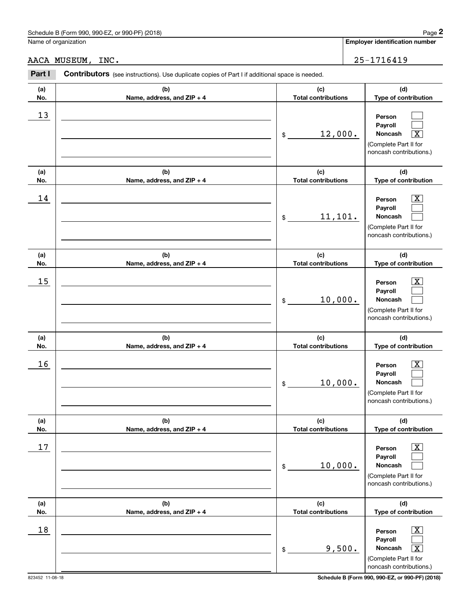|                   | Schedule B (Form 990, 990-EZ, or 990-PF) (2018)                                                       |                                   | Page 2                                                                                                                          |
|-------------------|-------------------------------------------------------------------------------------------------------|-----------------------------------|---------------------------------------------------------------------------------------------------------------------------------|
|                   | Name of organization                                                                                  |                                   | Employer identification number                                                                                                  |
| AACA MUSEUM, INC. |                                                                                                       |                                   | 25-1716419                                                                                                                      |
| Part I            | <b>Contributors</b> (see instructions). Use duplicate copies of Part I if additional space is needed. |                                   |                                                                                                                                 |
| (a)<br>No.        | (b)<br>Name, address, and ZIP + 4                                                                     | (c)<br><b>Total contributions</b> | (d)<br>Type of contribution                                                                                                     |
| 13                |                                                                                                       | 12,000.<br>\$                     | Person<br>Payroll<br>Noncash<br>$\overline{\texttt{X}}$<br>(Complete Part II for<br>noncash contributions.)                     |
| (a)<br>No.        | (b)<br>Name, address, and ZIP + 4                                                                     | (c)<br><b>Total contributions</b> | (d)<br>Type of contribution                                                                                                     |
| 14                |                                                                                                       | 11, 101.<br>\$                    | $\overline{\text{X}}$<br>Person<br>Payroll<br>Noncash<br>(Complete Part II for<br>noncash contributions.)                       |
| (a)<br>No.        | (b)<br>Name, address, and ZIP + 4                                                                     | (c)<br><b>Total contributions</b> | (d)<br>Type of contribution                                                                                                     |
| 15                |                                                                                                       | 10,000.<br>\$                     | $\overline{\text{X}}$<br>Person<br>Payroll<br>Noncash<br>(Complete Part II for<br>noncash contributions.)                       |
| (a)<br>No.        | (b)<br>Name, address, and ZIP + 4                                                                     | (c)<br><b>Total contributions</b> | (d)<br>Type of contribution                                                                                                     |
| 16                |                                                                                                       | 10,000.<br>\$                     | $\mathbf{X}$<br>Person<br>Payroll<br>Noncash<br>(Complete Part II for<br>noncash contributions.)                                |
| (a)<br>No.        | (b)<br>Name, address, and ZIP + 4                                                                     | (c)<br><b>Total contributions</b> | (d)<br>Type of contribution                                                                                                     |
| 17                |                                                                                                       | 10,000.<br>\$                     | $\boxed{\text{X}}$<br>Person<br>Payroll<br>Noncash<br>(Complete Part II for<br>noncash contributions.)                          |
| (a)<br>No.        | (b)<br>Name, address, and ZIP + 4                                                                     | (c)<br><b>Total contributions</b> | (d)<br>Type of contribution                                                                                                     |
| 18                |                                                                                                       | 9,500.<br>\$                      | $\boxed{\text{X}}$<br>Person<br>Payroll<br>Noncash<br>$\overline{\text{X}}$<br>(Complete Part II for<br>noncash contributions.) |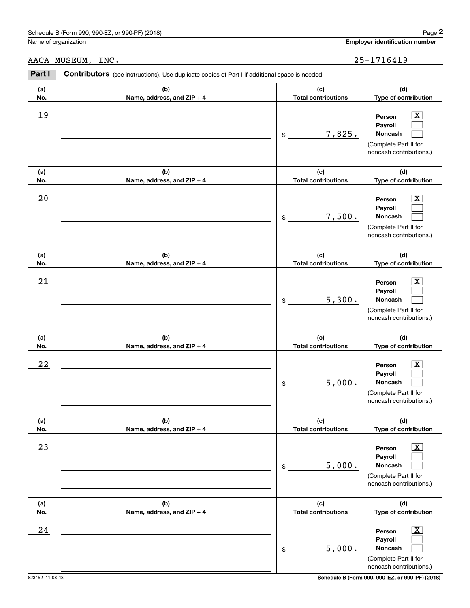|            | Schedule B (Form 990, 990-EZ, or 990-PF) (2018)                                                |                                   | Page 2                                                                                                                |
|------------|------------------------------------------------------------------------------------------------|-----------------------------------|-----------------------------------------------------------------------------------------------------------------------|
|            | Name of organization                                                                           |                                   | Employer identification number                                                                                        |
|            | AACA MUSEUM, INC.                                                                              |                                   | 25-1716419                                                                                                            |
| Part I     | Contributors (see instructions). Use duplicate copies of Part I if additional space is needed. |                                   |                                                                                                                       |
| (a)<br>No. | (b)<br>Name, address, and ZIP + 4                                                              | (c)<br><b>Total contributions</b> | (d)<br>Type of contribution                                                                                           |
| 19         |                                                                                                | \$                                | $\overline{\mathbf{X}}$<br>Person<br>Payroll<br>7,825.<br>Noncash<br>(Complete Part II for<br>noncash contributions.) |
| (a)<br>No. | (b)<br>Name, address, and ZIP + 4                                                              | (c)<br><b>Total contributions</b> | (d)<br>Type of contribution                                                                                           |
| 20         |                                                                                                | \$                                | $\overline{\mathbf{X}}$<br>Person<br>Payroll<br>7,500.<br>Noncash<br>(Complete Part II for<br>noncash contributions.) |
| (a)<br>No. | (b)<br>Name, address, and ZIP + 4                                                              | (c)<br><b>Total contributions</b> | (d)<br>Type of contribution                                                                                           |
| 21         |                                                                                                | \$                                | $\overline{\mathbf{X}}$<br>Person<br>Payroll<br>5,300.<br>Noncash<br>(Complete Part II for<br>noncash contributions.) |
| (a)<br>No. | (b)<br>Name, address, and ZIP + 4                                                              | (c)<br><b>Total contributions</b> | (d)<br>Type of contribution                                                                                           |
| 22         |                                                                                                | \$                                | $\mathbf{X}$<br>Person<br>Payroll<br>5,000.<br>Noncash<br>(Complete Part II for<br>noncash contributions.)            |
| (a)<br>No. | (b)<br>Name, address, and ZIP + 4                                                              | (c)<br><b>Total contributions</b> | (d)<br>Type of contribution                                                                                           |
| 23         |                                                                                                | \$                                | $\boxed{\text{X}}$<br>Person<br>Payroll<br>5,000.<br>Noncash<br>(Complete Part II for<br>noncash contributions.)      |
| (a)<br>No. | (b)<br>Name, address, and ZIP + 4                                                              | (c)<br><b>Total contributions</b> | (d)<br>Type of contribution                                                                                           |
| 24         |                                                                                                | \$                                | $\boxed{\text{X}}$<br>Person<br>Payroll<br>5,000.<br>Noncash<br>(Complete Part II for<br>noncash contributions.)      |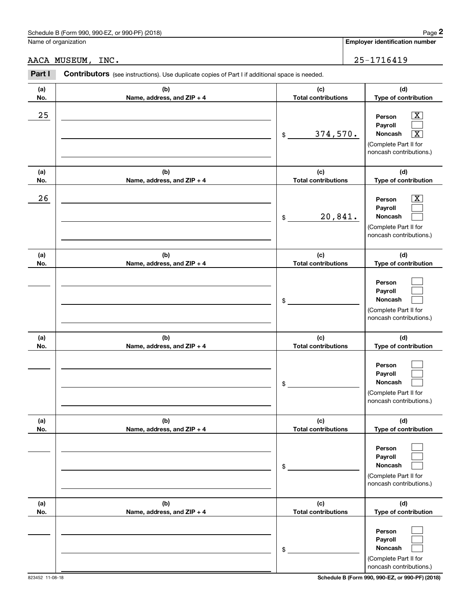|            | Schedule B (Form 990, 990-EZ, or 990-PF) (2018)                                                |                                   | Page 2                                                                                                                               |
|------------|------------------------------------------------------------------------------------------------|-----------------------------------|--------------------------------------------------------------------------------------------------------------------------------------|
|            | Name of organization                                                                           |                                   | <b>Employer identification number</b>                                                                                                |
|            | AACA MUSEUM, INC.                                                                              |                                   | 25-1716419                                                                                                                           |
| Part I     | Contributors (see instructions). Use duplicate copies of Part I if additional space is needed. |                                   |                                                                                                                                      |
| (a)<br>No. | (b)<br>Name, address, and ZIP + 4                                                              | (c)<br><b>Total contributions</b> | (d)<br>Type of contribution                                                                                                          |
| 25         |                                                                                                | 374,570.<br>\$                    | $\overline{\mathbf{X}}$<br>Person<br>Payroll<br>Noncash<br>$\overline{\text{X}}$<br>(Complete Part II for<br>noncash contributions.) |
| (a)<br>No. | (b)<br>Name, address, and ZIP + 4                                                              | (c)<br><b>Total contributions</b> | (d)<br>Type of contribution                                                                                                          |
| 26         |                                                                                                | 20,841.<br>\$                     | $\overline{\text{X}}$<br>Person<br>Payroll<br>Noncash<br>(Complete Part II for<br>noncash contributions.)                            |
| (a)<br>No. | (b)<br>Name, address, and ZIP + 4                                                              | (c)<br><b>Total contributions</b> | (d)<br>Type of contribution                                                                                                          |
|            |                                                                                                | \$                                | Person<br>Payroll<br>Noncash<br>(Complete Part II for<br>noncash contributions.)                                                     |
| (a)<br>No. | (b)<br>Name, address, and ZIP + 4                                                              | (c)<br><b>Total contributions</b> | (d)<br>Type of contribution                                                                                                          |
|            |                                                                                                | \$                                | Person<br>Payroll<br>Noncash<br>(Complete Part II for<br>noncash contributions.)                                                     |
| (a)<br>No. | (b)<br>Name, address, and ZIP + 4                                                              | (c)<br><b>Total contributions</b> | (d)<br>Type of contribution                                                                                                          |
|            |                                                                                                | \$                                | Person<br>Payroll<br>Noncash<br>(Complete Part II for<br>noncash contributions.)                                                     |
| (a)<br>No. | (b)<br>Name, address, and ZIP + 4                                                              | (c)<br><b>Total contributions</b> | (d)<br>Type of contribution                                                                                                          |
|            |                                                                                                | \$                                | Person<br>Payroll<br>Noncash<br>(Complete Part II for<br>noncash contributions.)                                                     |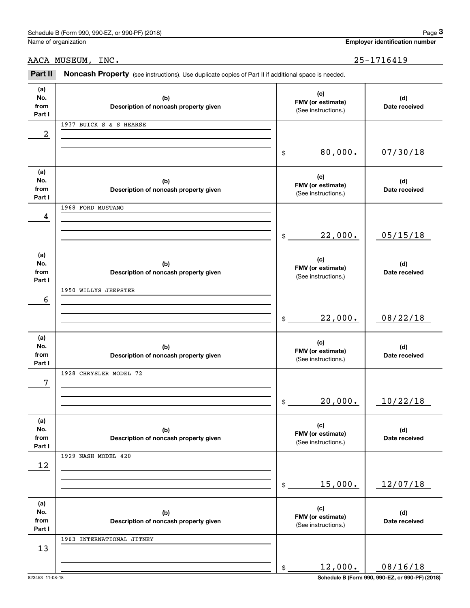|                              | Schedule B (Form 990, 990-EZ, or 990-PF) (2018)                                                     |                                                 | Page 3                                |
|------------------------------|-----------------------------------------------------------------------------------------------------|-------------------------------------------------|---------------------------------------|
|                              | Name of organization                                                                                |                                                 | <b>Employer identification number</b> |
|                              | AACA MUSEUM, INC.                                                                                   |                                                 | 25-1716419                            |
| Part II                      | Noncash Property (see instructions). Use duplicate copies of Part II if additional space is needed. |                                                 |                                       |
| (a)<br>No.<br>from<br>Part I | (b)<br>Description of noncash property given                                                        | (c)<br>FMV (or estimate)<br>(See instructions.) | (d)<br>Date received                  |
|                              | 1937 BUICK S & S HEARSE                                                                             |                                                 |                                       |
| 2                            |                                                                                                     | 80,000.<br>$\mathsf{\$}$                        | 07/30/18                              |
| (a)<br>No.<br>from<br>Part I | (b)<br>Description of noncash property given                                                        | (c)<br>FMV (or estimate)<br>(See instructions.) | (d)<br>Date received                  |
| 4                            | 1968 FORD MUSTANG                                                                                   |                                                 |                                       |
|                              |                                                                                                     | 22,000.<br>$\frac{1}{2}$                        | 05/15/18                              |
| (a)<br>No.<br>from<br>Part I | (b)<br>Description of noncash property given                                                        | (c)<br>FMV (or estimate)<br>(See instructions.) | (d)<br>Date received                  |
| 6                            | 1950 WILLYS JEEPSTER                                                                                |                                                 |                                       |
|                              |                                                                                                     | 22,000.<br>$\mathsf{\$}$                        | 08/22/18                              |
| (a)<br>No.<br>from<br>Part I | (b)<br>Description of noncash property given                                                        | (c)<br>FMV (or estimate)<br>(See instructions.) | (d)<br>Date received                  |
| 7                            | 1928 CHRYSLER MODEL 72                                                                              |                                                 |                                       |
|                              |                                                                                                     | 20,000.<br>$\mathsf{\$}$                        | 10/22/18                              |
| (a)<br>No.<br>from<br>Part I | (b)<br>Description of noncash property given                                                        | (c)<br>FMV (or estimate)<br>(See instructions.) | (d)<br>Date received                  |
| 12                           | 1929 NASH MODEL 420                                                                                 |                                                 |                                       |
|                              |                                                                                                     | 15,000.<br>$\mathsf{\$}$                        | 12/07/18                              |
| (a)<br>No.<br>from<br>Part I | (b)<br>Description of noncash property given                                                        | (c)<br>FMV (or estimate)<br>(See instructions.) | (d)<br>Date received                  |
| 13                           | 1963 INTERNATIONAL JITNEY                                                                           |                                                 |                                       |
|                              |                                                                                                     | 12,000.<br>\$                                   | 08/16/18                              |

823453 11-08-18 **Schedule B (Form 990, 990-EZ, or 990-PF) (2018)**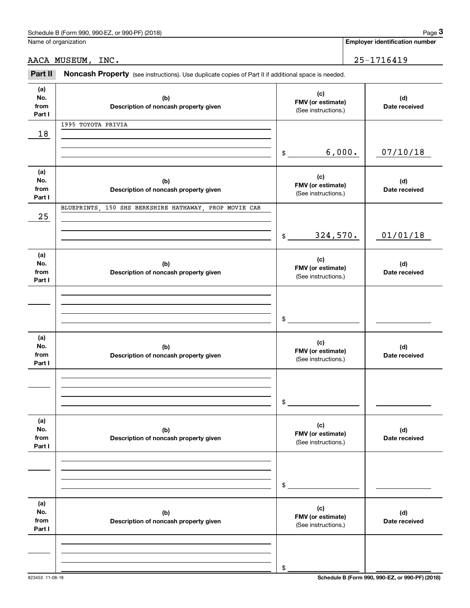|                              | Schedule B (Form 990, 990-EZ, or 990-PF) (2018)                                                     |                                                 |                                          | Page 3                                |  |
|------------------------------|-----------------------------------------------------------------------------------------------------|-------------------------------------------------|------------------------------------------|---------------------------------------|--|
|                              | Name of organization                                                                                |                                                 |                                          | <b>Employer identification number</b> |  |
|                              | AACA MUSEUM, INC.                                                                                   |                                                 |                                          | 25-1716419                            |  |
| Part II                      | Noncash Property (see instructions). Use duplicate copies of Part II if additional space is needed. |                                                 |                                          |                                       |  |
| (a)<br>No.<br>from<br>Part I | (b)<br>Description of noncash property given                                                        | (c)<br>FMV (or estimate)<br>(See instructions.) |                                          | (d)<br>Date received                  |  |
| 18                           | 1995 TOYOTA PRIVIA                                                                                  |                                                 |                                          |                                       |  |
|                              |                                                                                                     | 6,000.<br>\$                                    |                                          | 07/10/18                              |  |
| (a)<br>No.<br>from<br>Part I | (b)<br>Description of noncash property given                                                        | (c)<br>FMV (or estimate)<br>(See instructions.) |                                          | (d)<br>Date received                  |  |
| 25                           | BLUEPRINTS, 150 SHS BERKSHIRE HATHAWAY, PROP MOVIE CAR                                              |                                                 |                                          |                                       |  |
|                              |                                                                                                     | 324,570.<br>\$                                  |                                          | 01/01/18                              |  |
| (a)<br>No.<br>from<br>Part I | (b)<br>Description of noncash property given                                                        | (c)                                             | FMV (or estimate)<br>(See instructions.) |                                       |  |
|                              |                                                                                                     | \$                                              |                                          |                                       |  |
| (a)<br>No.<br>from<br>Part I | (b)<br>Description of noncash property given                                                        | (c)<br>FMV (or estimate)<br>(See instructions.) |                                          | (d)<br>Date received                  |  |
|                              |                                                                                                     | \$                                              |                                          |                                       |  |
| (a)<br>No.<br>from<br>Part I | (b)<br>Description of noncash property given                                                        | (c)<br>FMV (or estimate)<br>(See instructions.) |                                          | (d)<br>Date received                  |  |
|                              |                                                                                                     | \$                                              |                                          |                                       |  |
| (a)<br>No.<br>from<br>Part I | (b)<br>Description of noncash property given                                                        | (c)<br>FMV (or estimate)<br>(See instructions.) |                                          | (d)<br>Date received                  |  |
|                              |                                                                                                     | \$                                              |                                          |                                       |  |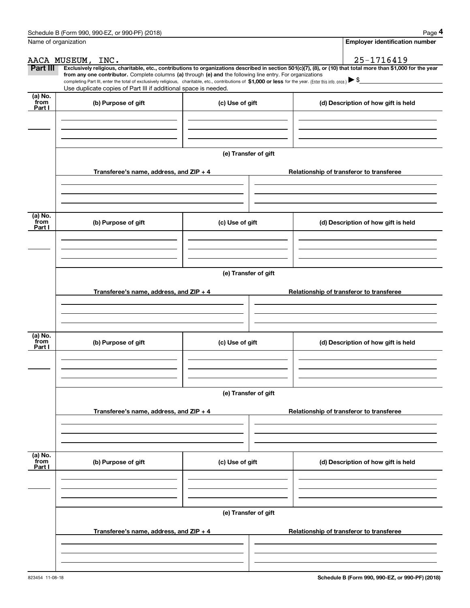|                           | Schedule B (Form 990, 990-EZ, or 990-PF) (2018)                                                                                                                                                                                                                                                 |                                          | Page 4                                                                                                                                                         |  |  |  |  |  |  |
|---------------------------|-------------------------------------------------------------------------------------------------------------------------------------------------------------------------------------------------------------------------------------------------------------------------------------------------|------------------------------------------|----------------------------------------------------------------------------------------------------------------------------------------------------------------|--|--|--|--|--|--|
|                           | Name of organization                                                                                                                                                                                                                                                                            |                                          | <b>Employer identification number</b>                                                                                                                          |  |  |  |  |  |  |
|                           | AACA MUSEUM, INC.                                                                                                                                                                                                                                                                               |                                          | 25-1716419                                                                                                                                                     |  |  |  |  |  |  |
| Part III                  |                                                                                                                                                                                                                                                                                                 |                                          | Exclusively religious, charitable, etc., contributions to organizations described in section 501(c)(7), (8), or (10) that total more than \$1,000 for the year |  |  |  |  |  |  |
|                           | from any one contributor. Complete columns (a) through (e) and the following line entry. For organizations<br>completing Part III, enter the total of exclusively religious, charitable, etc., contributions of \$1,000 or less for the year. (Enter this info. once.) $\blacktriangleright$ \$ |                                          |                                                                                                                                                                |  |  |  |  |  |  |
|                           | Use duplicate copies of Part III if additional space is needed.                                                                                                                                                                                                                                 |                                          |                                                                                                                                                                |  |  |  |  |  |  |
| (a) No.<br>from           | (b) Purpose of gift                                                                                                                                                                                                                                                                             | (c) Use of gift                          | (d) Description of how gift is held                                                                                                                            |  |  |  |  |  |  |
| Part I                    |                                                                                                                                                                                                                                                                                                 |                                          |                                                                                                                                                                |  |  |  |  |  |  |
|                           |                                                                                                                                                                                                                                                                                                 |                                          |                                                                                                                                                                |  |  |  |  |  |  |
|                           |                                                                                                                                                                                                                                                                                                 |                                          |                                                                                                                                                                |  |  |  |  |  |  |
|                           |                                                                                                                                                                                                                                                                                                 | (e) Transfer of gift                     |                                                                                                                                                                |  |  |  |  |  |  |
|                           |                                                                                                                                                                                                                                                                                                 |                                          |                                                                                                                                                                |  |  |  |  |  |  |
|                           | Transferee's name, address, and ZIP + 4                                                                                                                                                                                                                                                         |                                          | Relationship of transferor to transferee                                                                                                                       |  |  |  |  |  |  |
|                           |                                                                                                                                                                                                                                                                                                 |                                          |                                                                                                                                                                |  |  |  |  |  |  |
|                           |                                                                                                                                                                                                                                                                                                 |                                          |                                                                                                                                                                |  |  |  |  |  |  |
|                           |                                                                                                                                                                                                                                                                                                 |                                          |                                                                                                                                                                |  |  |  |  |  |  |
| (a) No.<br>from           | (b) Purpose of gift                                                                                                                                                                                                                                                                             | (c) Use of gift                          | (d) Description of how gift is held                                                                                                                            |  |  |  |  |  |  |
| Part I                    |                                                                                                                                                                                                                                                                                                 |                                          |                                                                                                                                                                |  |  |  |  |  |  |
|                           |                                                                                                                                                                                                                                                                                                 |                                          |                                                                                                                                                                |  |  |  |  |  |  |
|                           |                                                                                                                                                                                                                                                                                                 |                                          |                                                                                                                                                                |  |  |  |  |  |  |
|                           | (e) Transfer of gift                                                                                                                                                                                                                                                                            |                                          |                                                                                                                                                                |  |  |  |  |  |  |
|                           |                                                                                                                                                                                                                                                                                                 |                                          |                                                                                                                                                                |  |  |  |  |  |  |
|                           | Transferee's name, address, and ZIP + 4                                                                                                                                                                                                                                                         | Relationship of transferor to transferee |                                                                                                                                                                |  |  |  |  |  |  |
|                           |                                                                                                                                                                                                                                                                                                 |                                          |                                                                                                                                                                |  |  |  |  |  |  |
|                           |                                                                                                                                                                                                                                                                                                 |                                          |                                                                                                                                                                |  |  |  |  |  |  |
|                           |                                                                                                                                                                                                                                                                                                 |                                          |                                                                                                                                                                |  |  |  |  |  |  |
| (a) No.<br>from<br>Part I | (b) Purpose of gift                                                                                                                                                                                                                                                                             | (c) Use of gift                          | (d) Description of how gift is held                                                                                                                            |  |  |  |  |  |  |
|                           |                                                                                                                                                                                                                                                                                                 |                                          |                                                                                                                                                                |  |  |  |  |  |  |
|                           |                                                                                                                                                                                                                                                                                                 |                                          |                                                                                                                                                                |  |  |  |  |  |  |
|                           |                                                                                                                                                                                                                                                                                                 |                                          |                                                                                                                                                                |  |  |  |  |  |  |
|                           |                                                                                                                                                                                                                                                                                                 | (e) Transfer of gift                     |                                                                                                                                                                |  |  |  |  |  |  |
|                           |                                                                                                                                                                                                                                                                                                 |                                          |                                                                                                                                                                |  |  |  |  |  |  |
|                           | Transferee's name, address, and $ZIP + 4$                                                                                                                                                                                                                                                       |                                          | Relationship of transferor to transferee                                                                                                                       |  |  |  |  |  |  |
|                           |                                                                                                                                                                                                                                                                                                 |                                          |                                                                                                                                                                |  |  |  |  |  |  |
|                           |                                                                                                                                                                                                                                                                                                 |                                          |                                                                                                                                                                |  |  |  |  |  |  |
| (a) No.<br>from           |                                                                                                                                                                                                                                                                                                 |                                          |                                                                                                                                                                |  |  |  |  |  |  |
| Part I                    | (b) Purpose of gift                                                                                                                                                                                                                                                                             | (c) Use of gift                          | (d) Description of how gift is held                                                                                                                            |  |  |  |  |  |  |
|                           |                                                                                                                                                                                                                                                                                                 |                                          |                                                                                                                                                                |  |  |  |  |  |  |
|                           |                                                                                                                                                                                                                                                                                                 |                                          |                                                                                                                                                                |  |  |  |  |  |  |
|                           |                                                                                                                                                                                                                                                                                                 |                                          |                                                                                                                                                                |  |  |  |  |  |  |
|                           |                                                                                                                                                                                                                                                                                                 | (e) Transfer of gift                     |                                                                                                                                                                |  |  |  |  |  |  |
|                           |                                                                                                                                                                                                                                                                                                 |                                          |                                                                                                                                                                |  |  |  |  |  |  |
|                           | Transferee's name, address, and $ZIP + 4$                                                                                                                                                                                                                                                       |                                          | Relationship of transferor to transferee                                                                                                                       |  |  |  |  |  |  |
|                           |                                                                                                                                                                                                                                                                                                 |                                          |                                                                                                                                                                |  |  |  |  |  |  |
|                           |                                                                                                                                                                                                                                                                                                 |                                          |                                                                                                                                                                |  |  |  |  |  |  |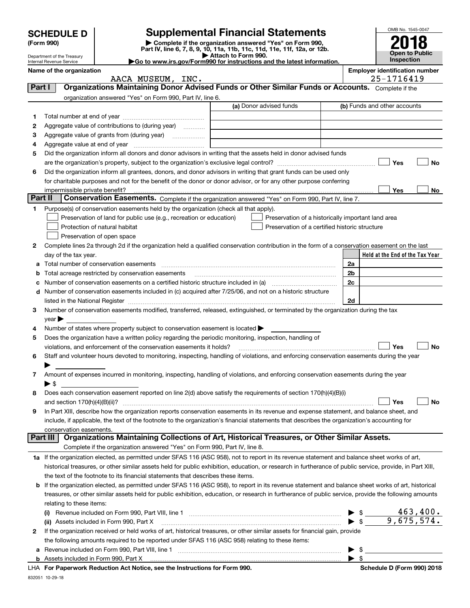|         |                                                                                                                                                                                                                                                                                                                     |                                                                                                                                                                                                                                | <b>Supplemental Financial Statements</b>                                                                                                                                                                                                                                                                                                                           |                          | OMB No. 1545-0047                     |  |  |
|---------|---------------------------------------------------------------------------------------------------------------------------------------------------------------------------------------------------------------------------------------------------------------------------------------------------------------------|--------------------------------------------------------------------------------------------------------------------------------------------------------------------------------------------------------------------------------|--------------------------------------------------------------------------------------------------------------------------------------------------------------------------------------------------------------------------------------------------------------------------------------------------------------------------------------------------------------------|--------------------------|---------------------------------------|--|--|
|         | <b>SCHEDULE D</b><br>(Form 990)                                                                                                                                                                                                                                                                                     |                                                                                                                                                                                                                                |                                                                                                                                                                                                                                                                                                                                                                    |                          |                                       |  |  |
|         |                                                                                                                                                                                                                                                                                                                     |                                                                                                                                                                                                                                | Complete if the organization answered "Yes" on Form 990,<br>Part IV, line 6, 7, 8, 9, 10, 11a, 11b, 11c, 11d, 11e, 11f, 12a, or 12b.                                                                                                                                                                                                                               |                          | <b>Open to Public</b>                 |  |  |
|         | Department of the Treasury<br>Internal Revenue Service                                                                                                                                                                                                                                                              |                                                                                                                                                                                                                                | Attach to Form 990.<br>Go to www.irs.gov/Form990 for instructions and the latest information.                                                                                                                                                                                                                                                                      |                          | <b>Inspection</b>                     |  |  |
|         | Name of the organization                                                                                                                                                                                                                                                                                            |                                                                                                                                                                                                                                |                                                                                                                                                                                                                                                                                                                                                                    |                          | <b>Employer identification number</b> |  |  |
|         |                                                                                                                                                                                                                                                                                                                     | AACA MUSEUM, INC.                                                                                                                                                                                                              |                                                                                                                                                                                                                                                                                                                                                                    |                          | 25-1716419                            |  |  |
| Part I  |                                                                                                                                                                                                                                                                                                                     |                                                                                                                                                                                                                                | Organizations Maintaining Donor Advised Funds or Other Similar Funds or Accounts. Complete if the                                                                                                                                                                                                                                                                  |                          |                                       |  |  |
|         |                                                                                                                                                                                                                                                                                                                     | organization answered "Yes" on Form 990, Part IV, line 6.                                                                                                                                                                      | (a) Donor advised funds                                                                                                                                                                                                                                                                                                                                            |                          | (b) Funds and other accounts          |  |  |
|         |                                                                                                                                                                                                                                                                                                                     |                                                                                                                                                                                                                                |                                                                                                                                                                                                                                                                                                                                                                    |                          |                                       |  |  |
| 1<br>2  |                                                                                                                                                                                                                                                                                                                     | Aggregate value of contributions to (during year)                                                                                                                                                                              |                                                                                                                                                                                                                                                                                                                                                                    |                          |                                       |  |  |
| 3       |                                                                                                                                                                                                                                                                                                                     | Aggregate value of grants from (during year)                                                                                                                                                                                   |                                                                                                                                                                                                                                                                                                                                                                    |                          |                                       |  |  |
| 4       |                                                                                                                                                                                                                                                                                                                     | Aggregate value at end of year measurement and the state of the state of the state of the state of the state of the state of the state of the state of the state of the state of the state of the state of the state of the st |                                                                                                                                                                                                                                                                                                                                                                    |                          |                                       |  |  |
| 5       | Did the organization inform all donors and donor advisors in writing that the assets held in donor advised funds                                                                                                                                                                                                    |                                                                                                                                                                                                                                |                                                                                                                                                                                                                                                                                                                                                                    |                          |                                       |  |  |
|         |                                                                                                                                                                                                                                                                                                                     |                                                                                                                                                                                                                                |                                                                                                                                                                                                                                                                                                                                                                    |                          | Yes<br><b>No</b>                      |  |  |
| 6       |                                                                                                                                                                                                                                                                                                                     |                                                                                                                                                                                                                                | Did the organization inform all grantees, donors, and donor advisors in writing that grant funds can be used only                                                                                                                                                                                                                                                  |                          |                                       |  |  |
|         |                                                                                                                                                                                                                                                                                                                     |                                                                                                                                                                                                                                | for charitable purposes and not for the benefit of the donor or donor advisor, or for any other purpose conferring                                                                                                                                                                                                                                                 |                          |                                       |  |  |
|         |                                                                                                                                                                                                                                                                                                                     |                                                                                                                                                                                                                                |                                                                                                                                                                                                                                                                                                                                                                    |                          | <b>Yes</b><br>No                      |  |  |
| Part II |                                                                                                                                                                                                                                                                                                                     |                                                                                                                                                                                                                                | Conservation Easements. Complete if the organization answered "Yes" on Form 990, Part IV, line 7.                                                                                                                                                                                                                                                                  |                          |                                       |  |  |
| 1       |                                                                                                                                                                                                                                                                                                                     | Purpose(s) of conservation easements held by the organization (check all that apply).                                                                                                                                          |                                                                                                                                                                                                                                                                                                                                                                    |                          |                                       |  |  |
|         |                                                                                                                                                                                                                                                                                                                     | Preservation of land for public use (e.g., recreation or education)                                                                                                                                                            | Preservation of a historically important land area                                                                                                                                                                                                                                                                                                                 |                          |                                       |  |  |
|         |                                                                                                                                                                                                                                                                                                                     | Protection of natural habitat                                                                                                                                                                                                  | Preservation of a certified historic structure                                                                                                                                                                                                                                                                                                                     |                          |                                       |  |  |
|         |                                                                                                                                                                                                                                                                                                                     | Preservation of open space                                                                                                                                                                                                     |                                                                                                                                                                                                                                                                                                                                                                    |                          |                                       |  |  |
| 2       |                                                                                                                                                                                                                                                                                                                     |                                                                                                                                                                                                                                | Complete lines 2a through 2d if the organization held a qualified conservation contribution in the form of a conservation easement on the last                                                                                                                                                                                                                     |                          |                                       |  |  |
|         | day of the tax year.                                                                                                                                                                                                                                                                                                |                                                                                                                                                                                                                                |                                                                                                                                                                                                                                                                                                                                                                    |                          | Held at the End of the Tax Year       |  |  |
|         |                                                                                                                                                                                                                                                                                                                     |                                                                                                                                                                                                                                |                                                                                                                                                                                                                                                                                                                                                                    | 2a                       |                                       |  |  |
|         |                                                                                                                                                                                                                                                                                                                     |                                                                                                                                                                                                                                |                                                                                                                                                                                                                                                                                                                                                                    | 2 <sub>b</sub>           |                                       |  |  |
|         |                                                                                                                                                                                                                                                                                                                     |                                                                                                                                                                                                                                | Number of conservation easements on a certified historic structure included in (a) manufacture included in (a)                                                                                                                                                                                                                                                     | 2c                       |                                       |  |  |
|         |                                                                                                                                                                                                                                                                                                                     |                                                                                                                                                                                                                                | d Number of conservation easements included in (c) acquired after 7/25/06, and not on a historic structure                                                                                                                                                                                                                                                         | 2d                       |                                       |  |  |
| 3       |                                                                                                                                                                                                                                                                                                                     |                                                                                                                                                                                                                                | listed in the National Register [11, 1200] and the National Property of Australian Contract in the National Register [11, 1200] and the Mational Register [11, 1200] and the Material Australian Contract in the Material Aust<br>Number of conservation easements modified, transferred, released, extinguished, or terminated by the organization during the tax |                          |                                       |  |  |
|         | $year \blacktriangleright$                                                                                                                                                                                                                                                                                          |                                                                                                                                                                                                                                |                                                                                                                                                                                                                                                                                                                                                                    |                          |                                       |  |  |
| 4       |                                                                                                                                                                                                                                                                                                                     | Number of states where property subject to conservation easement is located $\blacktriangleright$                                                                                                                              |                                                                                                                                                                                                                                                                                                                                                                    |                          |                                       |  |  |
| 5       |                                                                                                                                                                                                                                                                                                                     | Does the organization have a written policy regarding the periodic monitoring, inspection, handling of                                                                                                                         |                                                                                                                                                                                                                                                                                                                                                                    |                          |                                       |  |  |
|         |                                                                                                                                                                                                                                                                                                                     | violations, and enforcement of the conservation easements it holds?                                                                                                                                                            |                                                                                                                                                                                                                                                                                                                                                                    |                          | Yes<br><b>No</b>                      |  |  |
| 6       |                                                                                                                                                                                                                                                                                                                     |                                                                                                                                                                                                                                | Staff and volunteer hours devoted to monitoring, inspecting, handling of violations, and enforcing conservation easements during the year                                                                                                                                                                                                                          |                          |                                       |  |  |
|         |                                                                                                                                                                                                                                                                                                                     |                                                                                                                                                                                                                                |                                                                                                                                                                                                                                                                                                                                                                    |                          |                                       |  |  |
| 7       |                                                                                                                                                                                                                                                                                                                     |                                                                                                                                                                                                                                | Amount of expenses incurred in monitoring, inspecting, handling of violations, and enforcing conservation easements during the year                                                                                                                                                                                                                                |                          |                                       |  |  |
|         | ▶ \$                                                                                                                                                                                                                                                                                                                |                                                                                                                                                                                                                                |                                                                                                                                                                                                                                                                                                                                                                    |                          |                                       |  |  |
| 8       |                                                                                                                                                                                                                                                                                                                     |                                                                                                                                                                                                                                | Does each conservation easement reported on line 2(d) above satisfy the requirements of section 170(h)(4)(B)(i)                                                                                                                                                                                                                                                    |                          |                                       |  |  |
|         | and section 170(h)(4)(B)(ii)?                                                                                                                                                                                                                                                                                       |                                                                                                                                                                                                                                |                                                                                                                                                                                                                                                                                                                                                                    |                          | Yes<br>No                             |  |  |
| 9       |                                                                                                                                                                                                                                                                                                                     |                                                                                                                                                                                                                                | In Part XIII, describe how the organization reports conservation easements in its revenue and expense statement, and balance sheet, and                                                                                                                                                                                                                            |                          |                                       |  |  |
|         |                                                                                                                                                                                                                                                                                                                     |                                                                                                                                                                                                                                | include, if applicable, the text of the footnote to the organization's financial statements that describes the organization's accounting for                                                                                                                                                                                                                       |                          |                                       |  |  |
|         | conservation easements.<br>Part III I                                                                                                                                                                                                                                                                               |                                                                                                                                                                                                                                | Organizations Maintaining Collections of Art, Historical Treasures, or Other Similar Assets.                                                                                                                                                                                                                                                                       |                          |                                       |  |  |
|         |                                                                                                                                                                                                                                                                                                                     | Complete if the organization answered "Yes" on Form 990, Part IV, line 8.                                                                                                                                                      |                                                                                                                                                                                                                                                                                                                                                                    |                          |                                       |  |  |
|         |                                                                                                                                                                                                                                                                                                                     |                                                                                                                                                                                                                                | 1a If the organization elected, as permitted under SFAS 116 (ASC 958), not to report in its revenue statement and balance sheet works of art,                                                                                                                                                                                                                      |                          |                                       |  |  |
|         |                                                                                                                                                                                                                                                                                                                     |                                                                                                                                                                                                                                | historical treasures, or other similar assets held for public exhibition, education, or research in furtherance of public service, provide, in Part XIII,                                                                                                                                                                                                          |                          |                                       |  |  |
|         |                                                                                                                                                                                                                                                                                                                     | the text of the footnote to its financial statements that describes these items.                                                                                                                                               |                                                                                                                                                                                                                                                                                                                                                                    |                          |                                       |  |  |
|         |                                                                                                                                                                                                                                                                                                                     |                                                                                                                                                                                                                                |                                                                                                                                                                                                                                                                                                                                                                    |                          |                                       |  |  |
|         | <b>b</b> If the organization elected, as permitted under SFAS 116 (ASC 958), to report in its revenue statement and balance sheet works of art, historical<br>treasures, or other similar assets held for public exhibition, education, or research in furtherance of public service, provide the following amounts |                                                                                                                                                                                                                                |                                                                                                                                                                                                                                                                                                                                                                    |                          |                                       |  |  |
|         | relating to these items:                                                                                                                                                                                                                                                                                            |                                                                                                                                                                                                                                |                                                                                                                                                                                                                                                                                                                                                                    |                          |                                       |  |  |
|         |                                                                                                                                                                                                                                                                                                                     |                                                                                                                                                                                                                                |                                                                                                                                                                                                                                                                                                                                                                    | $\blacktriangleright$ \$ | 463,400.                              |  |  |
|         |                                                                                                                                                                                                                                                                                                                     | (ii) Assets included in Form 990, Part X                                                                                                                                                                                       |                                                                                                                                                                                                                                                                                                                                                                    | $\blacktriangleright$ \$ | 9,675,574.                            |  |  |
| 2       |                                                                                                                                                                                                                                                                                                                     |                                                                                                                                                                                                                                | If the organization received or held works of art, historical treasures, or other similar assets for financial gain, provide                                                                                                                                                                                                                                       |                          |                                       |  |  |
|         |                                                                                                                                                                                                                                                                                                                     | the following amounts required to be reported under SFAS 116 (ASC 958) relating to these items:                                                                                                                                |                                                                                                                                                                                                                                                                                                                                                                    |                          |                                       |  |  |
|         |                                                                                                                                                                                                                                                                                                                     |                                                                                                                                                                                                                                |                                                                                                                                                                                                                                                                                                                                                                    | $\blacktriangleright$ \$ |                                       |  |  |
|         |                                                                                                                                                                                                                                                                                                                     |                                                                                                                                                                                                                                |                                                                                                                                                                                                                                                                                                                                                                    | $\blacktriangleright$ \$ |                                       |  |  |

832051 10-29-18

**b** Assets included in Form 990, Part X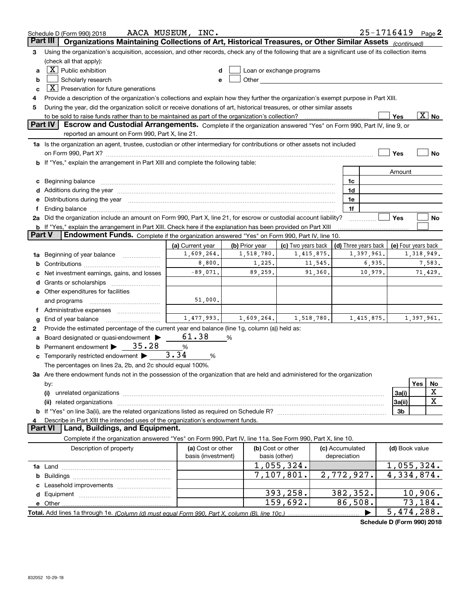|                | Schedule D (Form 990) 2018                                                                                                                                                                                                     | AACA MUSEUM, INC.  |                |                           |            |                      | $25 - 1716419$ Page 2      |                          |            |                          |
|----------------|--------------------------------------------------------------------------------------------------------------------------------------------------------------------------------------------------------------------------------|--------------------|----------------|---------------------------|------------|----------------------|----------------------------|--------------------------|------------|--------------------------|
| Part III       | Organizations Maintaining Collections of Art, Historical Treasures, or Other Similar Assets (continued)                                                                                                                        |                    |                |                           |            |                      |                            |                          |            |                          |
| з              | Using the organization's acquisition, accession, and other records, check any of the following that are a significant use of its collection items                                                                              |                    |                |                           |            |                      |                            |                          |            |                          |
|                | (check all that apply):                                                                                                                                                                                                        |                    |                |                           |            |                      |                            |                          |            |                          |
| a              | $\overline{X}$ Public exhibition                                                                                                                                                                                               |                    |                | Loan or exchange programs |            |                      |                            |                          |            |                          |
| b              | Scholarly research                                                                                                                                                                                                             | e                  |                |                           |            |                      |                            |                          |            |                          |
| c              | $\boxed{\textbf{X}}$ Preservation for future generations                                                                                                                                                                       |                    |                |                           |            |                      |                            |                          |            |                          |
|                | Provide a description of the organization's collections and explain how they further the organization's exempt purpose in Part XIII.                                                                                           |                    |                |                           |            |                      |                            |                          |            |                          |
| 5              | During the year, did the organization solicit or receive donations of art, historical treasures, or other similar assets                                                                                                       |                    |                |                           |            |                      |                            |                          |            |                          |
|                | to be sold to raise funds rather than to be maintained as part of the organization's collection?                                                                                                                               |                    |                |                           |            |                      |                            | Yes                      |            | $\overline{\text{X}}$ No |
| <b>Part IV</b> | Escrow and Custodial Arrangements. Complete if the organization answered "Yes" on Form 990, Part IV, line 9, or<br>reported an amount on Form 990, Part X, line 21.                                                            |                    |                |                           |            |                      |                            |                          |            |                          |
|                | 1a Is the organization an agent, trustee, custodian or other intermediary for contributions or other assets not included                                                                                                       |                    |                |                           |            |                      |                            |                          |            |                          |
|                | on Form 990, Part X? [11] matter contracts and contracts and contracts are contracted as a function of the set of the set of the set of the set of the set of the set of the set of the set of the set of the set of the set o |                    |                |                           |            |                      |                            | Yes                      |            | <b>No</b>                |
|                | b If "Yes," explain the arrangement in Part XIII and complete the following table:                                                                                                                                             |                    |                |                           |            |                      |                            |                          |            |                          |
|                |                                                                                                                                                                                                                                |                    |                |                           |            |                      |                            |                          | Amount     |                          |
|                | c Beginning balance                                                                                                                                                                                                            |                    |                |                           |            | 1c                   |                            |                          |            |                          |
|                |                                                                                                                                                                                                                                |                    |                |                           |            | 1d                   |                            |                          |            |                          |
|                | Distributions during the year manufactured and continuum and contained and the parameter of the set of the set of the set of the set of the set of the set of the set of the set of the set of the set of the set of the set o |                    |                |                           |            | 1e                   |                            |                          |            |                          |
|                |                                                                                                                                                                                                                                |                    |                |                           |            | 1f                   |                            |                          |            |                          |
|                | 2a Did the organization include an amount on Form 990, Part X, line 21, for escrow or custodial account liability?                                                                                                             |                    |                |                           |            |                      |                            | Yes                      |            | No                       |
|                | <b>b</b> If "Yes," explain the arrangement in Part XIII. Check here if the explanation has been provided on Part XIII                                                                                                          |                    |                |                           |            |                      |                            |                          |            |                          |
| <b>Part V</b>  | Endowment Funds. Complete if the organization answered "Yes" on Form 990, Part IV, line 10.                                                                                                                                    |                    |                |                           |            |                      |                            |                          |            |                          |
|                |                                                                                                                                                                                                                                | (a) Current year   | (b) Prior year | (c) Two years back        |            | (d) Three years back |                            | (e) Four years back      |            |                          |
| 1a             | Beginning of year balance                                                                                                                                                                                                      | 1,609,264.         | 1,518,780.     | 1,415,875.                |            |                      | 1,397,961.                 |                          | 1,318,949. |                          |
| b              |                                                                                                                                                                                                                                | 8,800.             | 1,225.         |                           | 11,545.    |                      | 6,935.                     |                          |            | 7,583.                   |
|                | Net investment earnings, gains, and losses                                                                                                                                                                                     | $-89,071.$         | 89.259.        |                           | 91,360.    |                      | 10,979.                    |                          |            | 71,429.                  |
|                |                                                                                                                                                                                                                                |                    |                |                           |            |                      |                            |                          |            |                          |
|                | e Other expenditures for facilities                                                                                                                                                                                            |                    |                |                           |            |                      |                            |                          |            |                          |
|                | and programs                                                                                                                                                                                                                   | 51,000.            |                |                           |            |                      |                            |                          |            |                          |
|                | f Administrative expenses                                                                                                                                                                                                      |                    |                |                           |            |                      |                            |                          |            |                          |
|                | End of year balance                                                                                                                                                                                                            | 1,477,993.         | 1,609,264.     |                           | 1,518,780. |                      | 1,415,875.                 |                          | 1,397,961. |                          |
| 2              | Provide the estimated percentage of the current year end balance (line 1g, column (a)) held as:                                                                                                                                |                    |                |                           |            |                      |                            |                          |            |                          |
| а              | Board designated or quasi-endowment >                                                                                                                                                                                          | 61.38              | %              |                           |            |                      |                            |                          |            |                          |
| b              | Permanent endowment $\triangleright$ 35.28                                                                                                                                                                                     | $\%$<br>3.34       |                |                           |            |                      |                            |                          |            |                          |
|                | <b>c</b> Temporarily restricted endowment $\blacktriangleright$                                                                                                                                                                | %                  |                |                           |            |                      |                            |                          |            |                          |
|                | The percentages on lines 2a, 2b, and 2c should equal 100%.<br>3a Are there endowment funds not in the possession of the organization that are held and administered for the organization                                       |                    |                |                           |            |                      |                            |                          |            |                          |
|                |                                                                                                                                                                                                                                |                    |                |                           |            |                      |                            |                          | Yes        | No                       |
|                | by:<br>(i)                                                                                                                                                                                                                     |                    |                |                           |            |                      |                            | 3a(i)                    |            | х                        |
|                | related organizations<br>(ii)                                                                                                                                                                                                  |                    |                |                           |            |                      |                            | 3a(ii)                   |            | х                        |
|                | b If "Yes" on line 3a(ii), are the related organizations listed as required on Schedule R? [[[[[[[[[[[[[[[[[[                                                                                                                  |                    |                |                           |            |                      |                            | 3b                       |            |                          |
|                | Describe in Part XIII the intended uses of the organization's endowment funds.                                                                                                                                                 |                    |                |                           |            |                      |                            |                          |            |                          |
|                | Land, Buildings, and Equipment.<br><b>Part VI</b>                                                                                                                                                                              |                    |                |                           |            |                      |                            |                          |            |                          |
|                | Complete if the organization answered "Yes" on Form 990, Part IV, line 11a. See Form 990, Part X, line 10.                                                                                                                     |                    |                |                           |            |                      |                            |                          |            |                          |
|                | Description of property                                                                                                                                                                                                        | (a) Cost or other  |                | (b) Cost or other         |            | (c) Accumulated      |                            | (d) Book value           |            |                          |
|                |                                                                                                                                                                                                                                | basis (investment) |                | basis (other)             |            | depreciation         |                            |                          |            |                          |
|                |                                                                                                                                                                                                                                |                    |                | 1,055,324.                |            |                      |                            | 1,055,324.               |            |                          |
|                |                                                                                                                                                                                                                                |                    |                | 7,107,801.                |            | 2,772,927.           |                            | $\overline{4,334,874}$ . |            |                          |
|                |                                                                                                                                                                                                                                |                    |                |                           |            |                      |                            |                          |            |                          |
|                |                                                                                                                                                                                                                                |                    |                | 393, 258.                 |            | 382, 352.            |                            |                          | 10,906.    |                          |
|                | e Other.                                                                                                                                                                                                                       |                    |                | 159,692.                  |            | 86,508.              |                            |                          | 73,184.    |                          |
|                | Total. Add lines 1a through 1e. (Column (d) must equal Form 990. Part X, column (B), line 10c.)                                                                                                                                |                    |                |                           |            |                      |                            | 5,474,288.               |            |                          |
|                |                                                                                                                                                                                                                                |                    |                |                           |            |                      | Cahadule D (Faum 000) 0040 |                          |            |                          |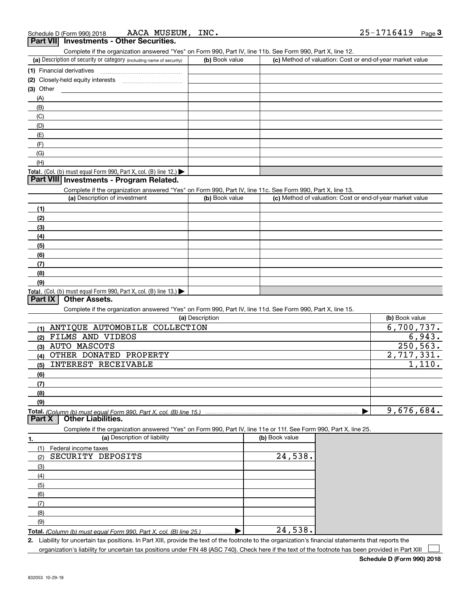| AACA MUSEUM, INC.<br>Schedule D (Form 990) 2018                                                                   |                 |                |                                                           | 25-1716419<br>Page $3$ |
|-------------------------------------------------------------------------------------------------------------------|-----------------|----------------|-----------------------------------------------------------|------------------------|
| <b>Part VII</b> Investments - Other Securities.                                                                   |                 |                |                                                           |                        |
| Complete if the organization answered "Yes" on Form 990, Part IV, line 11b. See Form 990, Part X, line 12.        |                 |                |                                                           |                        |
| (a) Description of security or category (including name of security)                                              | (b) Book value  |                | (c) Method of valuation: Cost or end-of-year market value |                        |
| (1) Financial derivatives                                                                                         |                 |                |                                                           |                        |
| (2) Closely-held equity interests                                                                                 |                 |                |                                                           |                        |
| (3) Other                                                                                                         |                 |                |                                                           |                        |
| (A)                                                                                                               |                 |                |                                                           |                        |
| (B)                                                                                                               |                 |                |                                                           |                        |
| (C)                                                                                                               |                 |                |                                                           |                        |
| (D)                                                                                                               |                 |                |                                                           |                        |
|                                                                                                                   |                 |                |                                                           |                        |
| (E)                                                                                                               |                 |                |                                                           |                        |
| (F)                                                                                                               |                 |                |                                                           |                        |
| (G)                                                                                                               |                 |                |                                                           |                        |
| (H)                                                                                                               |                 |                |                                                           |                        |
| Total. (Col. (b) must equal Form 990, Part X, col. (B) line 12.)                                                  |                 |                |                                                           |                        |
| Part VIII Investments - Program Related.                                                                          |                 |                |                                                           |                        |
| Complete if the organization answered "Yes" on Form 990, Part IV, line 11c. See Form 990, Part X, line 13.        |                 |                |                                                           |                        |
| (a) Description of investment                                                                                     | (b) Book value  |                | (c) Method of valuation: Cost or end-of-year market value |                        |
| (1)                                                                                                               |                 |                |                                                           |                        |
| (2)                                                                                                               |                 |                |                                                           |                        |
| (3)                                                                                                               |                 |                |                                                           |                        |
| (4)                                                                                                               |                 |                |                                                           |                        |
| (5)                                                                                                               |                 |                |                                                           |                        |
| (6)                                                                                                               |                 |                |                                                           |                        |
| (7)                                                                                                               |                 |                |                                                           |                        |
| (8)                                                                                                               |                 |                |                                                           |                        |
| (9)                                                                                                               |                 |                |                                                           |                        |
| Total. (Col. (b) must equal Form 990, Part X, col. (B) line 13.)                                                  |                 |                |                                                           |                        |
| Part IX<br><b>Other Assets.</b>                                                                                   |                 |                |                                                           |                        |
| Complete if the organization answered "Yes" on Form 990, Part IV, line 11d. See Form 990, Part X, line 15.        |                 |                |                                                           |                        |
|                                                                                                                   | (a) Description |                |                                                           | (b) Book value         |
| ANTIQUE AUTOMOBILE COLLECTION<br>(1)                                                                              |                 |                |                                                           | 6,700,737.             |
| FILMS AND VIDEOS<br>(2)                                                                                           |                 |                |                                                           | 6,943.                 |
| (3) AUTO MASCOTS                                                                                                  |                 |                |                                                           | 250, 563.              |
| OTHER DONATED PROPERTY<br>(4)                                                                                     |                 |                |                                                           | 2,717,331.             |
| INTEREST RECEIVABLE<br>(5)                                                                                        |                 |                |                                                           | 1,110.                 |
| (6)                                                                                                               |                 |                |                                                           |                        |
| (7)                                                                                                               |                 |                |                                                           |                        |
| (8)                                                                                                               |                 |                |                                                           |                        |
| (9)                                                                                                               |                 |                |                                                           |                        |
|                                                                                                                   |                 |                |                                                           | 9,676,684.             |
| Total. (Column (b) must equal Form 990. Part X, col. (B) line 15.)<br><b>Other Liabilities.</b><br>Part X         |                 |                |                                                           |                        |
| Complete if the organization answered "Yes" on Form 990, Part IV, line 11e or 11f. See Form 990, Part X, line 25. |                 |                |                                                           |                        |
| (a) Description of liability                                                                                      |                 | (b) Book value |                                                           |                        |
| 1.                                                                                                                |                 |                |                                                           |                        |
| (1)<br>Federal income taxes                                                                                       |                 |                |                                                           |                        |
| SECURITY DEPOSITS<br>(2)                                                                                          |                 | 24,538.        |                                                           |                        |
| (3)                                                                                                               |                 |                |                                                           |                        |
| (4)                                                                                                               |                 |                |                                                           |                        |
| (5)                                                                                                               |                 |                |                                                           |                        |
| (6)                                                                                                               |                 |                |                                                           |                        |
| (7)                                                                                                               |                 |                |                                                           |                        |
| (8)                                                                                                               |                 |                |                                                           |                        |
| (9)                                                                                                               |                 |                |                                                           |                        |
| Total. (Column (b) must equal Form 990, Part X, col. (B) line 25.)                                                | ▶               | 24,538.        |                                                           |                        |

**2.** Liability for uncertain tax positions. In Part XIII, provide the text of the footnote to the organization's financial statements that reports the organization's liability for uncertain tax positions under FIN 48 (ASC 740). Check here if the text of the footnote has been provided in Part XIII

**Schedule D (Form 990) 2018**

 $\mathcal{L}^{\text{max}}$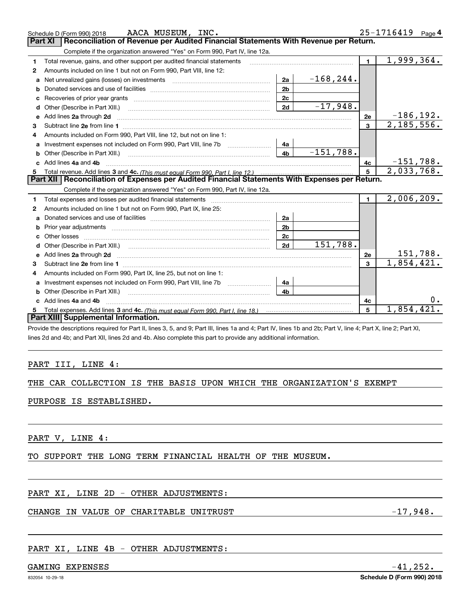| Reconciliation of Revenue per Audited Financial Statements With Revenue per Return.<br><b>Part XI</b><br>Complete if the organization answered "Yes" on Form 990, Part IV, line 12a.<br>1,999,364.<br>$\mathbf{1}$<br>Total revenue, gains, and other support per audited financial statements<br>1<br>Amounts included on line 1 but not on Form 990, Part VIII, line 12:<br>2<br>$-168, 244.$<br>2a<br>Net unrealized gains (losses) on investments [11] matter contracts and the unrealized gains (losses) on investments<br>a<br>2 <sub>b</sub><br>b<br>2 <sub>c</sub><br>c<br>$-17,948.$<br>2d<br>Other (Describe in Part XIII.)<br>d<br>$-186, 192.$<br>Add lines 2a through 2d <b>must be a constructed as the constant of the constant of the constant of the construction</b><br>2e<br>е<br>2,185,556.<br>$\overline{3}$<br>з<br>Amounts included on Form 990, Part VIII, line 12, but not on line 1:<br>4<br>- 4а<br>$-151,788.$<br>4 <sub>b</sub><br>Other (Describe in Part XIII.) <b>Construction Contract Construction</b> Chemistry Chemistry Chemistry Chemistry Chemistry<br>b<br>$-151,788.$<br>Add lines 4a and 4b<br>4c<br>c.<br>2,033,768.<br>5<br>Part XII   Reconciliation of Expenses per Audited Financial Statements With Expenses per Return.<br>Complete if the organization answered "Yes" on Form 990, Part IV, line 12a.<br>2,006,209.<br>1<br>1<br>Amounts included on line 1 but not on Form 990, Part IX, line 25:<br>2<br>2a<br>a<br>2 <sub>b</sub><br>Prior year adjustments <i>www.www.www.www.www.www.www.www.www.</i> ww.<br>b<br>2c<br>Other losses<br>151,788.<br>2d<br>d<br>151,788.<br>2e<br>Add lines 2a through 2d <b>contract and a contract and a contract a</b> contract a contract and a contract a contract a<br>е<br>$\overline{1,854,421.}$<br>$\overline{3}$<br>з<br>Amounts included on Form 990, Part IX, line 25, but not on line 1:<br>4<br>4a<br>a<br>4 <sub>b</sub><br>Other (Describe in Part XIII.)<br>b<br>Add lines 4a and 4b<br>4с<br>c<br>1,854,421<br>5<br>Total expenses. Add lines 3 and 4c. (This must equal Form 990. Part I. line 18.) <b>Conservers</b> 10.1 [11]<br>5<br>Part XIII Supplemental Information. | AACA MUSEUM, INC.<br>Schedule D (Form 990) 2018 |  | 25-1716419 Page 4 |
|---------------------------------------------------------------------------------------------------------------------------------------------------------------------------------------------------------------------------------------------------------------------------------------------------------------------------------------------------------------------------------------------------------------------------------------------------------------------------------------------------------------------------------------------------------------------------------------------------------------------------------------------------------------------------------------------------------------------------------------------------------------------------------------------------------------------------------------------------------------------------------------------------------------------------------------------------------------------------------------------------------------------------------------------------------------------------------------------------------------------------------------------------------------------------------------------------------------------------------------------------------------------------------------------------------------------------------------------------------------------------------------------------------------------------------------------------------------------------------------------------------------------------------------------------------------------------------------------------------------------------------------------------------------------------------------------------------------------------------------------------------------------------------------------------------------------------------------------------------------------------------------------------------------------------------------------------------------------------------------------------------------------------------------------------------------------------------------------------------------------------------------------------------------------------------------|-------------------------------------------------|--|-------------------|
|                                                                                                                                                                                                                                                                                                                                                                                                                                                                                                                                                                                                                                                                                                                                                                                                                                                                                                                                                                                                                                                                                                                                                                                                                                                                                                                                                                                                                                                                                                                                                                                                                                                                                                                                                                                                                                                                                                                                                                                                                                                                                                                                                                                       |                                                 |  |                   |
|                                                                                                                                                                                                                                                                                                                                                                                                                                                                                                                                                                                                                                                                                                                                                                                                                                                                                                                                                                                                                                                                                                                                                                                                                                                                                                                                                                                                                                                                                                                                                                                                                                                                                                                                                                                                                                                                                                                                                                                                                                                                                                                                                                                       |                                                 |  |                   |
|                                                                                                                                                                                                                                                                                                                                                                                                                                                                                                                                                                                                                                                                                                                                                                                                                                                                                                                                                                                                                                                                                                                                                                                                                                                                                                                                                                                                                                                                                                                                                                                                                                                                                                                                                                                                                                                                                                                                                                                                                                                                                                                                                                                       |                                                 |  |                   |
|                                                                                                                                                                                                                                                                                                                                                                                                                                                                                                                                                                                                                                                                                                                                                                                                                                                                                                                                                                                                                                                                                                                                                                                                                                                                                                                                                                                                                                                                                                                                                                                                                                                                                                                                                                                                                                                                                                                                                                                                                                                                                                                                                                                       |                                                 |  |                   |
|                                                                                                                                                                                                                                                                                                                                                                                                                                                                                                                                                                                                                                                                                                                                                                                                                                                                                                                                                                                                                                                                                                                                                                                                                                                                                                                                                                                                                                                                                                                                                                                                                                                                                                                                                                                                                                                                                                                                                                                                                                                                                                                                                                                       |                                                 |  |                   |
|                                                                                                                                                                                                                                                                                                                                                                                                                                                                                                                                                                                                                                                                                                                                                                                                                                                                                                                                                                                                                                                                                                                                                                                                                                                                                                                                                                                                                                                                                                                                                                                                                                                                                                                                                                                                                                                                                                                                                                                                                                                                                                                                                                                       |                                                 |  |                   |
|                                                                                                                                                                                                                                                                                                                                                                                                                                                                                                                                                                                                                                                                                                                                                                                                                                                                                                                                                                                                                                                                                                                                                                                                                                                                                                                                                                                                                                                                                                                                                                                                                                                                                                                                                                                                                                                                                                                                                                                                                                                                                                                                                                                       |                                                 |  |                   |
|                                                                                                                                                                                                                                                                                                                                                                                                                                                                                                                                                                                                                                                                                                                                                                                                                                                                                                                                                                                                                                                                                                                                                                                                                                                                                                                                                                                                                                                                                                                                                                                                                                                                                                                                                                                                                                                                                                                                                                                                                                                                                                                                                                                       |                                                 |  |                   |
|                                                                                                                                                                                                                                                                                                                                                                                                                                                                                                                                                                                                                                                                                                                                                                                                                                                                                                                                                                                                                                                                                                                                                                                                                                                                                                                                                                                                                                                                                                                                                                                                                                                                                                                                                                                                                                                                                                                                                                                                                                                                                                                                                                                       |                                                 |  |                   |
|                                                                                                                                                                                                                                                                                                                                                                                                                                                                                                                                                                                                                                                                                                                                                                                                                                                                                                                                                                                                                                                                                                                                                                                                                                                                                                                                                                                                                                                                                                                                                                                                                                                                                                                                                                                                                                                                                                                                                                                                                                                                                                                                                                                       |                                                 |  |                   |
|                                                                                                                                                                                                                                                                                                                                                                                                                                                                                                                                                                                                                                                                                                                                                                                                                                                                                                                                                                                                                                                                                                                                                                                                                                                                                                                                                                                                                                                                                                                                                                                                                                                                                                                                                                                                                                                                                                                                                                                                                                                                                                                                                                                       |                                                 |  |                   |
|                                                                                                                                                                                                                                                                                                                                                                                                                                                                                                                                                                                                                                                                                                                                                                                                                                                                                                                                                                                                                                                                                                                                                                                                                                                                                                                                                                                                                                                                                                                                                                                                                                                                                                                                                                                                                                                                                                                                                                                                                                                                                                                                                                                       |                                                 |  |                   |
|                                                                                                                                                                                                                                                                                                                                                                                                                                                                                                                                                                                                                                                                                                                                                                                                                                                                                                                                                                                                                                                                                                                                                                                                                                                                                                                                                                                                                                                                                                                                                                                                                                                                                                                                                                                                                                                                                                                                                                                                                                                                                                                                                                                       |                                                 |  |                   |
|                                                                                                                                                                                                                                                                                                                                                                                                                                                                                                                                                                                                                                                                                                                                                                                                                                                                                                                                                                                                                                                                                                                                                                                                                                                                                                                                                                                                                                                                                                                                                                                                                                                                                                                                                                                                                                                                                                                                                                                                                                                                                                                                                                                       |                                                 |  |                   |
|                                                                                                                                                                                                                                                                                                                                                                                                                                                                                                                                                                                                                                                                                                                                                                                                                                                                                                                                                                                                                                                                                                                                                                                                                                                                                                                                                                                                                                                                                                                                                                                                                                                                                                                                                                                                                                                                                                                                                                                                                                                                                                                                                                                       |                                                 |  |                   |
|                                                                                                                                                                                                                                                                                                                                                                                                                                                                                                                                                                                                                                                                                                                                                                                                                                                                                                                                                                                                                                                                                                                                                                                                                                                                                                                                                                                                                                                                                                                                                                                                                                                                                                                                                                                                                                                                                                                                                                                                                                                                                                                                                                                       |                                                 |  |                   |
|                                                                                                                                                                                                                                                                                                                                                                                                                                                                                                                                                                                                                                                                                                                                                                                                                                                                                                                                                                                                                                                                                                                                                                                                                                                                                                                                                                                                                                                                                                                                                                                                                                                                                                                                                                                                                                                                                                                                                                                                                                                                                                                                                                                       |                                                 |  |                   |
|                                                                                                                                                                                                                                                                                                                                                                                                                                                                                                                                                                                                                                                                                                                                                                                                                                                                                                                                                                                                                                                                                                                                                                                                                                                                                                                                                                                                                                                                                                                                                                                                                                                                                                                                                                                                                                                                                                                                                                                                                                                                                                                                                                                       |                                                 |  |                   |
|                                                                                                                                                                                                                                                                                                                                                                                                                                                                                                                                                                                                                                                                                                                                                                                                                                                                                                                                                                                                                                                                                                                                                                                                                                                                                                                                                                                                                                                                                                                                                                                                                                                                                                                                                                                                                                                                                                                                                                                                                                                                                                                                                                                       |                                                 |  |                   |
|                                                                                                                                                                                                                                                                                                                                                                                                                                                                                                                                                                                                                                                                                                                                                                                                                                                                                                                                                                                                                                                                                                                                                                                                                                                                                                                                                                                                                                                                                                                                                                                                                                                                                                                                                                                                                                                                                                                                                                                                                                                                                                                                                                                       |                                                 |  |                   |
|                                                                                                                                                                                                                                                                                                                                                                                                                                                                                                                                                                                                                                                                                                                                                                                                                                                                                                                                                                                                                                                                                                                                                                                                                                                                                                                                                                                                                                                                                                                                                                                                                                                                                                                                                                                                                                                                                                                                                                                                                                                                                                                                                                                       |                                                 |  |                   |
|                                                                                                                                                                                                                                                                                                                                                                                                                                                                                                                                                                                                                                                                                                                                                                                                                                                                                                                                                                                                                                                                                                                                                                                                                                                                                                                                                                                                                                                                                                                                                                                                                                                                                                                                                                                                                                                                                                                                                                                                                                                                                                                                                                                       |                                                 |  |                   |
|                                                                                                                                                                                                                                                                                                                                                                                                                                                                                                                                                                                                                                                                                                                                                                                                                                                                                                                                                                                                                                                                                                                                                                                                                                                                                                                                                                                                                                                                                                                                                                                                                                                                                                                                                                                                                                                                                                                                                                                                                                                                                                                                                                                       |                                                 |  |                   |
|                                                                                                                                                                                                                                                                                                                                                                                                                                                                                                                                                                                                                                                                                                                                                                                                                                                                                                                                                                                                                                                                                                                                                                                                                                                                                                                                                                                                                                                                                                                                                                                                                                                                                                                                                                                                                                                                                                                                                                                                                                                                                                                                                                                       |                                                 |  |                   |
|                                                                                                                                                                                                                                                                                                                                                                                                                                                                                                                                                                                                                                                                                                                                                                                                                                                                                                                                                                                                                                                                                                                                                                                                                                                                                                                                                                                                                                                                                                                                                                                                                                                                                                                                                                                                                                                                                                                                                                                                                                                                                                                                                                                       |                                                 |  |                   |
|                                                                                                                                                                                                                                                                                                                                                                                                                                                                                                                                                                                                                                                                                                                                                                                                                                                                                                                                                                                                                                                                                                                                                                                                                                                                                                                                                                                                                                                                                                                                                                                                                                                                                                                                                                                                                                                                                                                                                                                                                                                                                                                                                                                       |                                                 |  |                   |
|                                                                                                                                                                                                                                                                                                                                                                                                                                                                                                                                                                                                                                                                                                                                                                                                                                                                                                                                                                                                                                                                                                                                                                                                                                                                                                                                                                                                                                                                                                                                                                                                                                                                                                                                                                                                                                                                                                                                                                                                                                                                                                                                                                                       |                                                 |  |                   |
|                                                                                                                                                                                                                                                                                                                                                                                                                                                                                                                                                                                                                                                                                                                                                                                                                                                                                                                                                                                                                                                                                                                                                                                                                                                                                                                                                                                                                                                                                                                                                                                                                                                                                                                                                                                                                                                                                                                                                                                                                                                                                                                                                                                       |                                                 |  |                   |
|                                                                                                                                                                                                                                                                                                                                                                                                                                                                                                                                                                                                                                                                                                                                                                                                                                                                                                                                                                                                                                                                                                                                                                                                                                                                                                                                                                                                                                                                                                                                                                                                                                                                                                                                                                                                                                                                                                                                                                                                                                                                                                                                                                                       |                                                 |  |                   |
|                                                                                                                                                                                                                                                                                                                                                                                                                                                                                                                                                                                                                                                                                                                                                                                                                                                                                                                                                                                                                                                                                                                                                                                                                                                                                                                                                                                                                                                                                                                                                                                                                                                                                                                                                                                                                                                                                                                                                                                                                                                                                                                                                                                       |                                                 |  |                   |
|                                                                                                                                                                                                                                                                                                                                                                                                                                                                                                                                                                                                                                                                                                                                                                                                                                                                                                                                                                                                                                                                                                                                                                                                                                                                                                                                                                                                                                                                                                                                                                                                                                                                                                                                                                                                                                                                                                                                                                                                                                                                                                                                                                                       |                                                 |  |                   |

Provide the descriptions required for Part II, lines 3, 5, and 9; Part III, lines 1a and 4; Part IV, lines 1b and 2b; Part V, line 4; Part X, line 2; Part XI, lines 2d and 4b; and Part XII, lines 2d and 4b. Also complete this part to provide any additional information.

### PART III, LINE 4:

### THE CAR COLLECTION IS THE BASIS UPON WHICH THE ORGANIZATION'S EXEMPT

### PURPOSE IS ESTABLISHED.

PART V, LINE 4:

TO SUPPORT THE LONG TERM FINANCIAL HEALTH OF THE MUSEUM.

### PART XI, LINE 2D - OTHER ADJUSTMENTS:

### CHANGE IN VALUE OF CHARITABLE UNITRUST FOR A SERVICE RELATIONS AND LOST AND LOST AND LOST AND LOST AND LOST AN

## PART XI, LINE 4B - OTHER ADJUSTMENTS:

### GAMING EXPENSES  $-41,252.$

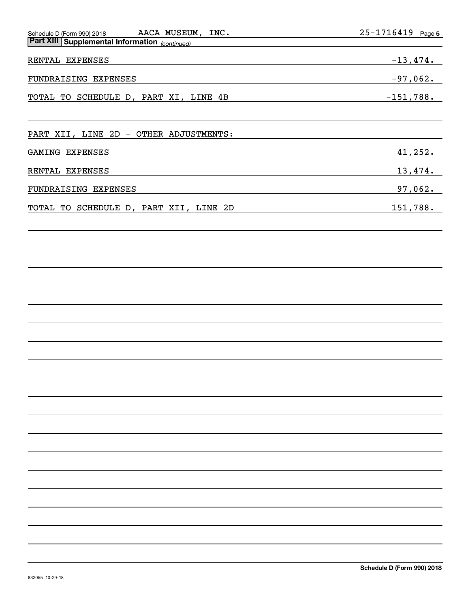| AACA MUSEUM, INC.<br>Schedule D (Form 990) 2018       | <u>25-1716419</u> Page 5 |
|-------------------------------------------------------|--------------------------|
| <b>Part XIII Supplemental Information</b> (continued) |                          |
| RENTAL EXPENSES                                       | $-13,474.$               |
| FUNDRAISING EXPENSES                                  | $-97,062.$               |
| TOTAL TO SCHEDULE D, PART XI, LINE 4B                 | $-151,788.$              |
| PART XII, LINE 2D - OTHER ADJUSTMENTS:                |                          |
| GAMING EXPENSES                                       | 41, 252.                 |
| RENTAL EXPENSES                                       | 13,474.                  |
| FUNDRAISING EXPENSES                                  | 97,062.                  |
| TOTAL TO SCHEDULE D, PART XII, LINE 2D                | 151,788.                 |
|                                                       |                          |
|                                                       |                          |
|                                                       |                          |
|                                                       |                          |
|                                                       |                          |
|                                                       |                          |
|                                                       |                          |
|                                                       |                          |
|                                                       |                          |
|                                                       |                          |
|                                                       |                          |
|                                                       |                          |
|                                                       |                          |
|                                                       |                          |
|                                                       |                          |
|                                                       |                          |
|                                                       |                          |
|                                                       |                          |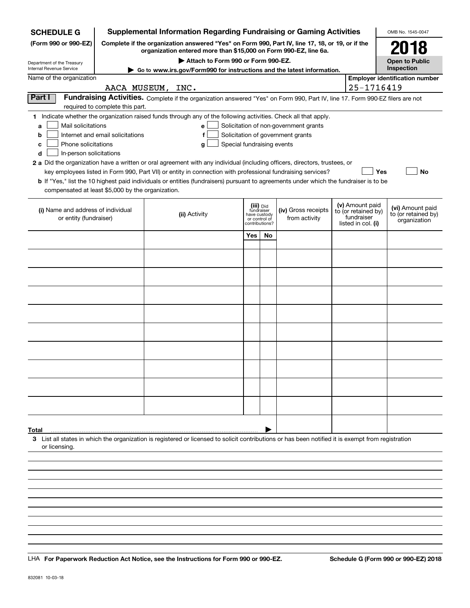| <b>SCHEDULE G</b>                                    |                                                                                                                                                                     | <b>Supplemental Information Regarding Fundraising or Gaming Activities</b>                                                                                                                                                                                  |                                 |                                         |                                                                            |  |                                   | OMB No. 1545-0047                       |
|------------------------------------------------------|---------------------------------------------------------------------------------------------------------------------------------------------------------------------|-------------------------------------------------------------------------------------------------------------------------------------------------------------------------------------------------------------------------------------------------------------|---------------------------------|-----------------------------------------|----------------------------------------------------------------------------|--|-----------------------------------|-----------------------------------------|
| (Form 990 or 990-EZ)                                 | Complete if the organization answered "Yes" on Form 990, Part IV, line 17, 18, or 19, or if the<br>organization entered more than \$15,000 on Form 990-EZ, line 6a. |                                                                                                                                                                                                                                                             |                                 |                                         |                                                                            |  |                                   | 2018                                    |
| Department of the Treasury                           |                                                                                                                                                                     | Attach to Form 990 or Form 990-EZ.                                                                                                                                                                                                                          |                                 |                                         |                                                                            |  |                                   | <b>Open to Public</b><br>Inspection     |
| Internal Revenue Service<br>Name of the organization |                                                                                                                                                                     | Go to www.irs.gov/Form990 for instructions and the latest information.                                                                                                                                                                                      |                                 |                                         |                                                                            |  |                                   | <b>Employer identification number</b>   |
|                                                      |                                                                                                                                                                     | AACA MUSEUM, INC.                                                                                                                                                                                                                                           |                                 |                                         |                                                                            |  | 25-1716419                        |                                         |
| Part I                                               |                                                                                                                                                                     | Fundraising Activities. Complete if the organization answered "Yes" on Form 990, Part IV, line 17. Form 990-EZ filers are not                                                                                                                               |                                 |                                         |                                                                            |  |                                   |                                         |
|                                                      | required to complete this part.                                                                                                                                     |                                                                                                                                                                                                                                                             |                                 |                                         |                                                                            |  |                                   |                                         |
|                                                      |                                                                                                                                                                     | 1 Indicate whether the organization raised funds through any of the following activities. Check all that apply.                                                                                                                                             |                                 |                                         |                                                                            |  |                                   |                                         |
| Mail solicitations<br>a<br>b                         | Internet and email solicitations                                                                                                                                    | е<br>f                                                                                                                                                                                                                                                      |                                 |                                         | Solicitation of non-government grants<br>Solicitation of government grants |  |                                   |                                         |
| Phone solicitations<br>c                             |                                                                                                                                                                     | Special fundraising events<br>g                                                                                                                                                                                                                             |                                 |                                         |                                                                            |  |                                   |                                         |
| In-person solicitations<br>d                         |                                                                                                                                                                     |                                                                                                                                                                                                                                                             |                                 |                                         |                                                                            |  |                                   |                                         |
|                                                      |                                                                                                                                                                     | 2 a Did the organization have a written or oral agreement with any individual (including officers, directors, trustees, or                                                                                                                                  |                                 |                                         |                                                                            |  |                                   |                                         |
|                                                      |                                                                                                                                                                     | key employees listed in Form 990, Part VII) or entity in connection with professional fundraising services?<br><b>b</b> If "Yes," list the 10 highest paid individuals or entities (fundraisers) pursuant to agreements under which the fundraiser is to be |                                 |                                         |                                                                            |  |                                   | Yes<br>No                               |
| compensated at least \$5,000 by the organization.    |                                                                                                                                                                     |                                                                                                                                                                                                                                                             |                                 |                                         |                                                                            |  |                                   |                                         |
|                                                      |                                                                                                                                                                     |                                                                                                                                                                                                                                                             |                                 |                                         |                                                                            |  | (v) Amount paid                   |                                         |
| (i) Name and address of individual                   |                                                                                                                                                                     | (ii) Activity                                                                                                                                                                                                                                               |                                 | (iii) Did<br>fundraiser<br>have custody | (iv) Gross receipts                                                        |  | to (or retained by)<br>fundraiser | (vi) Amount paid<br>to (or retained by) |
| or entity (fundraiser)                               |                                                                                                                                                                     |                                                                                                                                                                                                                                                             | or control of<br>contributions? |                                         | from activity                                                              |  | listed in col. (i)                | organization                            |
|                                                      |                                                                                                                                                                     |                                                                                                                                                                                                                                                             | Yes                             | No                                      |                                                                            |  |                                   |                                         |
|                                                      |                                                                                                                                                                     |                                                                                                                                                                                                                                                             |                                 |                                         |                                                                            |  |                                   |                                         |
|                                                      |                                                                                                                                                                     |                                                                                                                                                                                                                                                             |                                 |                                         |                                                                            |  |                                   |                                         |
|                                                      |                                                                                                                                                                     |                                                                                                                                                                                                                                                             |                                 |                                         |                                                                            |  |                                   |                                         |
|                                                      |                                                                                                                                                                     |                                                                                                                                                                                                                                                             |                                 |                                         |                                                                            |  |                                   |                                         |
|                                                      |                                                                                                                                                                     |                                                                                                                                                                                                                                                             |                                 |                                         |                                                                            |  |                                   |                                         |
|                                                      |                                                                                                                                                                     |                                                                                                                                                                                                                                                             |                                 |                                         |                                                                            |  |                                   |                                         |
|                                                      |                                                                                                                                                                     |                                                                                                                                                                                                                                                             |                                 |                                         |                                                                            |  |                                   |                                         |
|                                                      |                                                                                                                                                                     |                                                                                                                                                                                                                                                             |                                 |                                         |                                                                            |  |                                   |                                         |
|                                                      |                                                                                                                                                                     |                                                                                                                                                                                                                                                             |                                 |                                         |                                                                            |  |                                   |                                         |
|                                                      |                                                                                                                                                                     |                                                                                                                                                                                                                                                             |                                 |                                         |                                                                            |  |                                   |                                         |
|                                                      |                                                                                                                                                                     |                                                                                                                                                                                                                                                             |                                 |                                         |                                                                            |  |                                   |                                         |
|                                                      |                                                                                                                                                                     |                                                                                                                                                                                                                                                             |                                 |                                         |                                                                            |  |                                   |                                         |
|                                                      |                                                                                                                                                                     |                                                                                                                                                                                                                                                             |                                 |                                         |                                                                            |  |                                   |                                         |
|                                                      |                                                                                                                                                                     |                                                                                                                                                                                                                                                             |                                 |                                         |                                                                            |  |                                   |                                         |
|                                                      |                                                                                                                                                                     |                                                                                                                                                                                                                                                             |                                 |                                         |                                                                            |  |                                   |                                         |
|                                                      |                                                                                                                                                                     |                                                                                                                                                                                                                                                             |                                 |                                         |                                                                            |  |                                   |                                         |
| Total                                                |                                                                                                                                                                     |                                                                                                                                                                                                                                                             |                                 |                                         |                                                                            |  |                                   |                                         |
| or licensing.                                        |                                                                                                                                                                     | 3 List all states in which the organization is registered or licensed to solicit contributions or has been notified it is exempt from registration                                                                                                          |                                 |                                         |                                                                            |  |                                   |                                         |
|                                                      |                                                                                                                                                                     |                                                                                                                                                                                                                                                             |                                 |                                         |                                                                            |  |                                   |                                         |
|                                                      |                                                                                                                                                                     |                                                                                                                                                                                                                                                             |                                 |                                         |                                                                            |  |                                   |                                         |
|                                                      |                                                                                                                                                                     |                                                                                                                                                                                                                                                             |                                 |                                         |                                                                            |  |                                   |                                         |
|                                                      |                                                                                                                                                                     |                                                                                                                                                                                                                                                             |                                 |                                         |                                                                            |  |                                   |                                         |
|                                                      |                                                                                                                                                                     |                                                                                                                                                                                                                                                             |                                 |                                         |                                                                            |  |                                   |                                         |

LHA For Paperwork Reduction Act Notice, see the Instructions for Form 990 or 990-EZ. Schedule G (Form 990 or 990-EZ) 2018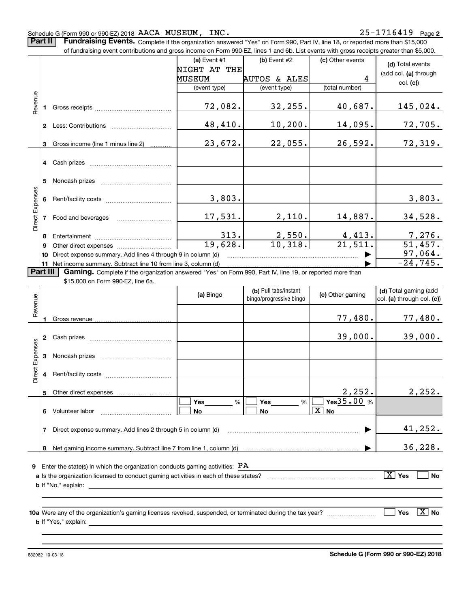#### Schedule G (Form 990 or 990-EZ) 2018  $\rm{AACA\_MUSEUM}$  ,  $\rm{INC.}$   $\rm{25-1716419}$   $\rm{Page}$

**Part II** | Fundraising Events. Complete if the organization answered "Yes" on Form 990, Part IV, line 18, or reported more than \$15,000

|                 | of fundraising event contributions and gross income on Form 990-EZ, lines 1 and 6b. List events with gross receipts greater than \$5,000. |                                                                                                          |              |                                                  |                                 |                                                     |  |  |  |  |
|-----------------|-------------------------------------------------------------------------------------------------------------------------------------------|----------------------------------------------------------------------------------------------------------|--------------|--------------------------------------------------|---------------------------------|-----------------------------------------------------|--|--|--|--|
|                 |                                                                                                                                           |                                                                                                          | (a) Event #1 | (b) Event #2                                     | (c) Other events                | (d) Total events                                    |  |  |  |  |
|                 |                                                                                                                                           |                                                                                                          | NIGHT AT THE |                                                  |                                 | (add col. (a) through                               |  |  |  |  |
|                 |                                                                                                                                           |                                                                                                          | MUSEUM       | AUTOS & ALES                                     | 4                               |                                                     |  |  |  |  |
|                 |                                                                                                                                           |                                                                                                          | (event type) | (event type)                                     | (total number)                  | col. (c)                                            |  |  |  |  |
|                 |                                                                                                                                           |                                                                                                          |              |                                                  |                                 |                                                     |  |  |  |  |
| Revenue         |                                                                                                                                           |                                                                                                          | 72,082.      | 32,255.                                          | 40,687.                         | 145,024.                                            |  |  |  |  |
|                 |                                                                                                                                           |                                                                                                          |              |                                                  |                                 |                                                     |  |  |  |  |
|                 |                                                                                                                                           | 2 Less: Contributions                                                                                    | 48,410.      | 10, 200.                                         | 14,095.                         | 72,705.                                             |  |  |  |  |
|                 |                                                                                                                                           |                                                                                                          |              |                                                  |                                 |                                                     |  |  |  |  |
|                 | 3                                                                                                                                         | Gross income (line 1 minus line 2)                                                                       | 23,672.      | 22,055.                                          | 26,592.                         | 72,319.                                             |  |  |  |  |
|                 |                                                                                                                                           |                                                                                                          |              |                                                  |                                 |                                                     |  |  |  |  |
|                 |                                                                                                                                           | 4 Cash prizes                                                                                            |              |                                                  |                                 |                                                     |  |  |  |  |
|                 |                                                                                                                                           |                                                                                                          |              |                                                  |                                 |                                                     |  |  |  |  |
|                 |                                                                                                                                           | 5 Noncash prizes                                                                                         |              |                                                  |                                 |                                                     |  |  |  |  |
|                 |                                                                                                                                           |                                                                                                          |              |                                                  |                                 |                                                     |  |  |  |  |
|                 |                                                                                                                                           |                                                                                                          | 3,803.       |                                                  |                                 | 3,803.                                              |  |  |  |  |
| Direct Expenses |                                                                                                                                           |                                                                                                          |              |                                                  |                                 |                                                     |  |  |  |  |
|                 |                                                                                                                                           |                                                                                                          | 17,531.      | 2,110.                                           | 14,887.                         | 34,528.                                             |  |  |  |  |
|                 |                                                                                                                                           |                                                                                                          |              |                                                  |                                 |                                                     |  |  |  |  |
|                 | 8                                                                                                                                         |                                                                                                          | 313.         | $\frac{2,550}{10,318}$ .                         | $\frac{4,413}{21,511}$          | 7,276.                                              |  |  |  |  |
|                 | 9                                                                                                                                         | Direct expense summary. Add lines 4 through 9 in column (d)                                              | 19,628.      |                                                  |                                 | 51,457.                                             |  |  |  |  |
|                 | 10                                                                                                                                        | 97,064.                                                                                                  |              |                                                  |                                 |                                                     |  |  |  |  |
|                 | Part III                                                                                                                                  | 11 Net income summary. Subtract line 10 from line 3, column (d)                                          |              |                                                  |                                 | $-24,745.$                                          |  |  |  |  |
|                 |                                                                                                                                           | Gaming. Complete if the organization answered "Yes" on Form 990, Part IV, line 19, or reported more than |              |                                                  |                                 |                                                     |  |  |  |  |
|                 |                                                                                                                                           | \$15,000 on Form 990-EZ, line 6a.                                                                        |              |                                                  |                                 |                                                     |  |  |  |  |
|                 |                                                                                                                                           |                                                                                                          | (a) Bingo    | (b) Pull tabs/instant<br>bingo/progressive bingo | (c) Other gaming                | (d) Total gaming (add<br>col. (a) through col. (c)) |  |  |  |  |
| Revenue         |                                                                                                                                           |                                                                                                          |              |                                                  |                                 |                                                     |  |  |  |  |
|                 |                                                                                                                                           |                                                                                                          |              |                                                  |                                 |                                                     |  |  |  |  |
|                 | 1                                                                                                                                         |                                                                                                          |              |                                                  | 77,480.                         | 77,480.                                             |  |  |  |  |
|                 |                                                                                                                                           |                                                                                                          |              |                                                  | 39,000.                         | 39,000.                                             |  |  |  |  |
|                 |                                                                                                                                           |                                                                                                          |              |                                                  |                                 |                                                     |  |  |  |  |
| Expenses        |                                                                                                                                           |                                                                                                          |              |                                                  |                                 |                                                     |  |  |  |  |
|                 |                                                                                                                                           |                                                                                                          |              |                                                  |                                 |                                                     |  |  |  |  |
|                 | 4                                                                                                                                         | Rent/facility costs                                                                                      |              |                                                  |                                 |                                                     |  |  |  |  |
| Direct          |                                                                                                                                           |                                                                                                          |              |                                                  |                                 |                                                     |  |  |  |  |
|                 | 5                                                                                                                                         | Other direct expenses                                                                                    |              |                                                  | 2,252.                          | 2,252.                                              |  |  |  |  |
|                 |                                                                                                                                           |                                                                                                          | Yes<br>$\%$  | Yes<br>%                                         | Yes35.00 %                      |                                                     |  |  |  |  |
|                 |                                                                                                                                           | 6 Volunteer labor                                                                                        | No           | No                                               | $\boxed{\text{X}}$<br><b>No</b> |                                                     |  |  |  |  |
|                 |                                                                                                                                           |                                                                                                          |              |                                                  |                                 |                                                     |  |  |  |  |
|                 | 7                                                                                                                                         | Direct expense summary. Add lines 2 through 5 in column (d)                                              |              |                                                  |                                 | 41,252.                                             |  |  |  |  |
|                 |                                                                                                                                           |                                                                                                          |              |                                                  |                                 |                                                     |  |  |  |  |
|                 | 8                                                                                                                                         |                                                                                                          |              |                                                  |                                 | 36,228.                                             |  |  |  |  |

**9**Enter the state(s) in which the organization conducts gaming activities: PA

| a Is the organization licensed to conduct gaming activities in each of these states? | Yes | No |
|--------------------------------------------------------------------------------------|-----|----|
| <b>b</b> If "No," explain:                                                           |     |    |

**10 a Yes No** Were any of the organization's gaming licenses revoked, suspended, or terminated during the tax year? ~~~~~~~~~ X **b** If "Yes," explain: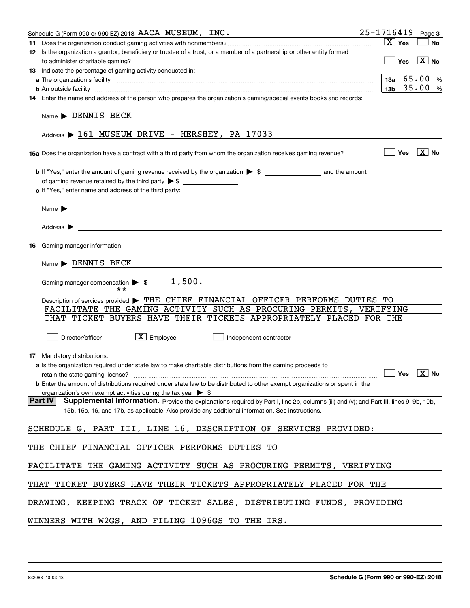| Schedule G (Form 990 or 990-EZ) 2018 AACA MUSEUM, INC.                                                                                                                                                                                    | $25 - 1716419$ Page 3                           |           |
|-------------------------------------------------------------------------------------------------------------------------------------------------------------------------------------------------------------------------------------------|-------------------------------------------------|-----------|
|                                                                                                                                                                                                                                           | $\boxed{\text{X}}$ Yes                          | <b>No</b> |
| 12 Is the organization a grantor, beneficiary or trustee of a trust, or a member of a partnership or other entity formed                                                                                                                  |                                                 |           |
|                                                                                                                                                                                                                                           | $\boxed{\phantom{1}}$ Yes $\boxed{\text{X}}$ No |           |
| 13 Indicate the percentage of gaming activity conducted in:                                                                                                                                                                               |                                                 |           |
|                                                                                                                                                                                                                                           | $13a \mid 65.00$ %                              |           |
| <b>b</b> An outside facility <b>contained a contained a contained a contained a contained a contained a contained a contained a contact a contact a contact a contact a contact a contact a contact a contact a contact a contact a c</b> | 13 <sub>b</sub>                                 | 35.00%    |
| 14 Enter the name and address of the person who prepares the organization's gaming/special events books and records:                                                                                                                      |                                                 |           |
| $Name \triangleright$ DENNIS BECK                                                                                                                                                                                                         |                                                 |           |
| Address $\triangleright$ 161 MUSEUM DRIVE - HERSHEY, PA 17033                                                                                                                                                                             |                                                 |           |
|                                                                                                                                                                                                                                           |                                                 |           |
|                                                                                                                                                                                                                                           |                                                 |           |
|                                                                                                                                                                                                                                           |                                                 |           |
| c If "Yes," enter name and address of the third party:                                                                                                                                                                                    |                                                 |           |
|                                                                                                                                                                                                                                           |                                                 |           |
| Name $\blacktriangleright$<br><u> 1989 - Johann Barn, fransk politik amerikansk politik (d. 1989)</u>                                                                                                                                     |                                                 |           |
|                                                                                                                                                                                                                                           |                                                 |           |
| <b>16</b> Gaming manager information:                                                                                                                                                                                                     |                                                 |           |
|                                                                                                                                                                                                                                           |                                                 |           |
| $Name \triangleright$ DENNIS BECK                                                                                                                                                                                                         |                                                 |           |
| Gaming manager compensation $\triangleright$ \$ ________ 1,500.                                                                                                                                                                           |                                                 |           |
| Description of services provided > THE CHIEF FINANCIAL OFFICER PERFORMS DUTIES TO                                                                                                                                                         |                                                 |           |
| FACILITATE THE GAMING ACTIVITY SUCH AS PROCURING PERMITS, VERIFYING                                                                                                                                                                       |                                                 |           |
| THAT TICKET BUYERS HAVE THEIR TICKETS APPROPRIATELY PLACED FOR THE                                                                                                                                                                        |                                                 |           |
| $\boxed{\text{X}}$ Employee<br>Director/officer<br>Independent contractor                                                                                                                                                                 |                                                 |           |
| 17 Mandatory distributions:                                                                                                                                                                                                               |                                                 |           |
| a Is the organization required under state law to make charitable distributions from the gaming proceeds to                                                                                                                               |                                                 |           |
| $\Box$ Yes $\Box$ No<br>retain the state gaming license?                                                                                                                                                                                  |                                                 |           |
| <b>b</b> Enter the amount of distributions required under state law to be distributed to other exempt organizations or spent in the                                                                                                       |                                                 |           |
| organization's own exempt activities during the tax year $\triangleright$ \$                                                                                                                                                              |                                                 |           |
| <b>Part IV</b><br>Supplemental Information. Provide the explanations required by Part I, line 2b, columns (iii) and (v); and Part III, lines 9, 9b, 10b,                                                                                  |                                                 |           |
| 15b, 15c, 16, and 17b, as applicable. Also provide any additional information. See instructions.                                                                                                                                          |                                                 |           |
| SCHEDULE G, PART III, LINE 16, DESCRIPTION OF SERVICES PROVIDED:                                                                                                                                                                          |                                                 |           |
| THE CHIEF FINANCIAL OFFICER PERFORMS DUTIES TO                                                                                                                                                                                            |                                                 |           |
| FACILITATE THE GAMING ACTIVITY SUCH AS PROCURING PERMITS, VERIFYING                                                                                                                                                                       |                                                 |           |
| TICKET BUYERS HAVE THEIR TICKETS APPROPRIATELY PLACED FOR THE<br>THAT                                                                                                                                                                     |                                                 |           |
|                                                                                                                                                                                                                                           |                                                 |           |
| DRAWING, KEEPING TRACK OF TICKET SALES, DISTRIBUTING FUNDS, PROVIDING                                                                                                                                                                     |                                                 |           |
| WINNERS WITH W2GS, AND FILING 1096GS TO THE IRS.                                                                                                                                                                                          |                                                 |           |
|                                                                                                                                                                                                                                           |                                                 |           |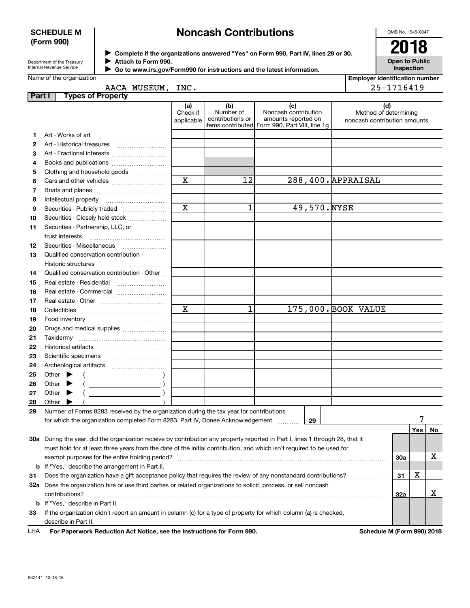### **SCHEDULE M (Form 990)**

# **Noncash Contributions**

OMB No. 1545-0047

| Department of the Treasury      |
|---------------------------------|
| <b>Internal Revenue Service</b> |

**Complete if the organizations answered "Yes" on Form 990, Part IV, lines 29 or 30.** <sup>J</sup>**2018 Attach to Form 990.** J

**Open to Public Inspection**

|  | Go to www.irs.gov/Form990 for instructions and the latest information. |
|--|------------------------------------------------------------------------|
|  |                                                                        |

|        | Name of the organization                                                                                                                                                  |                               |                                      |                                                                                                       | <b>Employer identification number</b>                        |     |    |
|--------|---------------------------------------------------------------------------------------------------------------------------------------------------------------------------|-------------------------------|--------------------------------------|-------------------------------------------------------------------------------------------------------|--------------------------------------------------------------|-----|----|
|        | AACA MUSEUM, INC.                                                                                                                                                         |                               |                                      |                                                                                                       | 25-1716419                                                   |     |    |
| Part I | <b>Types of Property</b>                                                                                                                                                  |                               |                                      |                                                                                                       |                                                              |     |    |
|        |                                                                                                                                                                           | (a)<br>Check if<br>applicable | (b)<br>Number of<br>contributions or | (c)<br>Noncash contribution<br>amounts reported on<br>litems contributed Form 990, Part VIII, line 1g | (d)<br>Method of determining<br>noncash contribution amounts |     |    |
| 1      |                                                                                                                                                                           |                               |                                      |                                                                                                       |                                                              |     |    |
| 2      | Art - Historical treasures                                                                                                                                                |                               |                                      |                                                                                                       |                                                              |     |    |
| з      | Art - Fractional interests                                                                                                                                                |                               |                                      |                                                                                                       |                                                              |     |    |
| 4      | Books and publications                                                                                                                                                    |                               |                                      |                                                                                                       |                                                              |     |    |
| 5      | Clothing and household goods                                                                                                                                              |                               |                                      |                                                                                                       |                                                              |     |    |
| 6      |                                                                                                                                                                           | $\mathbf X$                   | 12                                   | 288,400. APPRAISAL                                                                                    |                                                              |     |    |
| 7      |                                                                                                                                                                           |                               |                                      |                                                                                                       |                                                              |     |    |
| 8      |                                                                                                                                                                           |                               |                                      |                                                                                                       |                                                              |     |    |
| 9      | Securities - Publicly traded                                                                                                                                              | $\mathbf X$                   | 1                                    | 49,570.NYSE                                                                                           |                                                              |     |    |
| 10     | Securities - Closely held stock                                                                                                                                           |                               |                                      |                                                                                                       |                                                              |     |    |
| 11     | Securities - Partnership, LLC, or                                                                                                                                         |                               |                                      |                                                                                                       |                                                              |     |    |
|        | trust interests                                                                                                                                                           |                               |                                      |                                                                                                       |                                                              |     |    |
| 12     |                                                                                                                                                                           |                               |                                      |                                                                                                       |                                                              |     |    |
| 13     | Qualified conservation contribution -                                                                                                                                     |                               |                                      |                                                                                                       |                                                              |     |    |
|        | Historic structures                                                                                                                                                       |                               |                                      |                                                                                                       |                                                              |     |    |
| 14     | Qualified conservation contribution - Other                                                                                                                               |                               |                                      |                                                                                                       |                                                              |     |    |
| 15     | Real estate - Residential                                                                                                                                                 |                               |                                      |                                                                                                       |                                                              |     |    |
| 16     | Real estate - Commercial                                                                                                                                                  |                               |                                      |                                                                                                       |                                                              |     |    |
| 17     |                                                                                                                                                                           |                               |                                      |                                                                                                       |                                                              |     |    |
| 18     |                                                                                                                                                                           | $\mathbf X$                   | $\mathbf 1$                          | 175,000. BOOK VALUE                                                                                   |                                                              |     |    |
| 19     |                                                                                                                                                                           |                               |                                      |                                                                                                       |                                                              |     |    |
| 20     | Drugs and medical supplies                                                                                                                                                |                               |                                      |                                                                                                       |                                                              |     |    |
| 21     |                                                                                                                                                                           |                               |                                      |                                                                                                       |                                                              |     |    |
| 22     |                                                                                                                                                                           |                               |                                      |                                                                                                       |                                                              |     |    |
| 23     |                                                                                                                                                                           |                               |                                      |                                                                                                       |                                                              |     |    |
| 24     |                                                                                                                                                                           |                               |                                      |                                                                                                       |                                                              |     |    |
| 25     | Other $\blacktriangleright$<br>$\left(\begin{array}{ccc}\n\end{array}\right)$                                                                                             |                               |                                      |                                                                                                       |                                                              |     |    |
| 26     | Other $\blacktriangleright$                                                                                                                                               |                               |                                      |                                                                                                       |                                                              |     |    |
| 27     | Other $\blacktriangleright$                                                                                                                                               |                               |                                      |                                                                                                       |                                                              |     |    |
| 28     | Other                                                                                                                                                                     |                               |                                      |                                                                                                       |                                                              |     |    |
| 29     | Number of Forms 8283 received by the organization during the tax year for contributions<br>for which the organization completed Form 8283, Part IV, Donee Acknowledgement |                               |                                      | 29                                                                                                    |                                                              |     |    |
|        |                                                                                                                                                                           |                               |                                      |                                                                                                       |                                                              | Yes | No |
|        | 30a During the year, did the organization receive by contribution any property reported in Part I, lines 1 through 28, that it                                            |                               |                                      |                                                                                                       |                                                              |     |    |
|        | must hold for at least three years from the date of the initial contribution, and which isn't required to be used for                                                     |                               |                                      |                                                                                                       |                                                              |     |    |
|        | exempt purposes for the entire holding period?                                                                                                                            |                               |                                      |                                                                                                       | 30a                                                          |     | х  |
|        | <b>b</b> If "Yes," describe the arrangement in Part II.                                                                                                                   |                               |                                      |                                                                                                       |                                                              |     |    |
| 31     | Does the organization have a gift acceptance policy that requires the review of any nonstandard contributions?                                                            |                               |                                      |                                                                                                       | 31<br>.                                                      | X   |    |
|        | 32a Does the organization hire or use third parties or related organizations to solicit, process, or sell noncash                                                         |                               |                                      |                                                                                                       |                                                              |     |    |
|        | contributions?                                                                                                                                                            |                               |                                      |                                                                                                       | 32a                                                          |     | х  |
|        | <b>b</b> If "Yes," describe in Part II.                                                                                                                                   |                               |                                      |                                                                                                       |                                                              |     |    |
| 33     | If the organization didn't report an amount in column (c) for a type of property for which column (a) is checked,                                                         |                               |                                      |                                                                                                       |                                                              |     |    |
|        | describe in Part II.                                                                                                                                                      |                               |                                      |                                                                                                       |                                                              |     |    |
| LHA    | For Paperwork Reduction Act Notice, see the Instructions for Form 990.                                                                                                    |                               |                                      |                                                                                                       | Schedule M (Form 990) 2018                                   |     |    |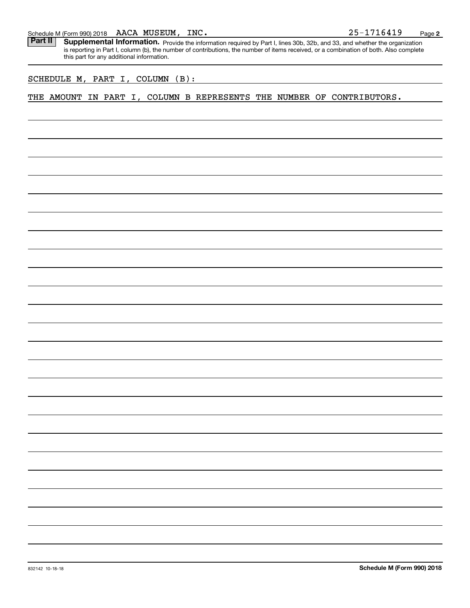### AACA MUSEUM,

Schedule M (Form 990) 2018 AACA MUSEUM, INC.<br>**Part II** Supplemental Information. Provide the information required by Part I. lines 30b. 32b. and 33. and whether the organ Part II | Supplemental Information. Provide the information required by Part I, lines 30b, 32b, and 33, and whether the organization is reporting in Part I, column (b), the number of contributions, the number of items received, or a combination of both. Also complete this part for any additional information.

### SCHEDULE M, PART I, COLUMN (B):

### THE AMOUNT IN PART I, COLUMN B REPRESENTS THE NUMBER OF CONTRIBUTORS.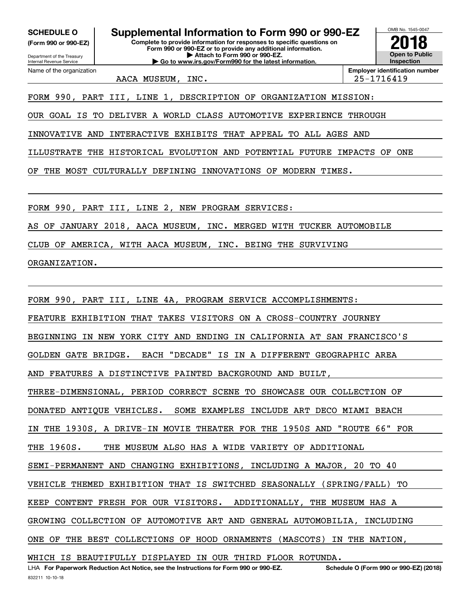**(Form 990 or 990-EZ)**

Department of the Treasury Internal Revenue Service Name of the organization

**Complete to provide information for responses to specific questions on Form 990 or 990-EZ or to provide any additional information. | Attach to Form 990 or 990-EZ. | Go to www.irs.gov/Form990 for the latest information. SCHEDULE O Supplemental Information to Form 990 or 990-EZ**



AACA MUSEUM, INC. 25-1716419

FORM 990, PART III, LINE 1, DESCRIPTION OF ORGANIZATION MISSION:

OUR GOAL IS TO DELIVER A WORLD CLASS AUTOMOTIVE EXPERIENCE THROUGH

INNOVATIVE AND INTERACTIVE EXHIBITS THAT APPEAL TO ALL AGES AND

ILLUSTRATE THE HISTORICAL EVOLUTION AND POTENTIAL FUTURE IMPACTS OF ONE

OF THE MOST CULTURALLY DEFINING INNOVATIONS OF MODERN TIMES.

FORM 990, PART III, LINE 2, NEW PROGRAM SERVICES:

AS OF JANUARY 2018, AACA MUSEUM, INC. MERGED WITH TUCKER AUTOMOBILE

CLUB OF AMERICA, WITH AACA MUSEUM, INC. BEING THE SURVIVING

ORGANIZATION.

FORM 990, PART III, LINE 4A, PROGRAM SERVICE ACCOMPLISHMENTS: FEATURE EXHIBITION THAT TAKES VISITORS ON A CROSS-COUNTRY JOURNEY BEGINNING IN NEW YORK CITY AND ENDING IN CALIFORNIA AT SAN FRANCISCO'S GOLDEN GATE BRIDGE. EACH "DECADE" IS IN A DIFFERENT GEOGRAPHIC AREA AND FEATURES A DISTINCTIVE PAINTED BACKGROUND AND BUILT, THREE-DIMENSIONAL, PERIOD CORRECT SCENE TO SHOWCASE OUR COLLECTION OF DONATED ANTIQUE VEHICLES. SOME EXAMPLES INCLUDE ART DECO MIAMI BEACH IN THE 1930S, A DRIVE-IN MOVIE THEATER FOR THE 1950S AND "ROUTE 66" FOR THE 1960S. THE MUSEUM ALSO HAS A WIDE VARIETY OF ADDITIONAL SEMI-PERMANENT AND CHANGING EXHIBITIONS, INCLUDING A MAJOR, 20 TO 40 VEHICLE THEMED EXHIBITION THAT IS SWITCHED SEASONALLY (SPRING/FALL) TO KEEP CONTENT FRESH FOR OUR VISITORS. ADDITIONALLY, THE MUSEUM HAS A GROWING COLLECTION OF AUTOMOTIVE ART AND GENERAL AUTOMOBILIA, INCLUDING ONE OF THE BEST COLLECTIONS OF HOOD ORNAMENTS (MASCOTS) IN THE NATION, WHICH IS BEAUTIFULLY DISPLAYED IN OUR THIRD FLOOR ROTUNDA.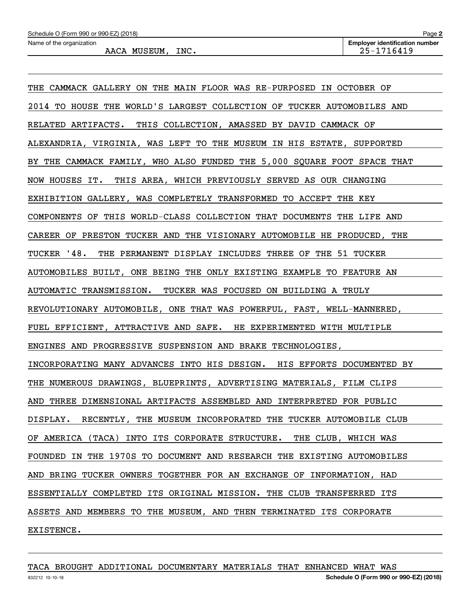| THE CAMMACK GALLERY ON THE MAIN FLOOR WAS RE-PURPOSED IN OCTOBER OF     |
|-------------------------------------------------------------------------|
| 2014 TO HOUSE THE WORLD'S LARGEST COLLECTION OF TUCKER AUTOMOBILES AND  |
| RELATED ARTIFACTS. THIS COLLECTION, AMASSED BY DAVID CAMMACK OF         |
| ALEXANDRIA, VIRGINIA, WAS LEFT TO THE MUSEUM IN HIS ESTATE, SUPPORTED   |
| BY THE CAMMACK FAMILY, WHO ALSO FUNDED THE 5,000 SQUARE FOOT SPACE THAT |
| NOW HOUSES IT. THIS AREA, WHICH PREVIOUSLY SERVED AS OUR CHANGING       |
| EXHIBITION GALLERY, WAS COMPLETELY TRANSFORMED TO ACCEPT THE KEY        |
| COMPONENTS OF THIS WORLD-CLASS COLLECTION THAT DOCUMENTS THE LIFE AND   |
| CAREER OF PRESTON TUCKER AND THE VISIONARY AUTOMOBILE HE PRODUCED, THE  |
| TUCKER '48. THE PERMANENT DISPLAY INCLUDES THREE OF THE 51 TUCKER       |
| AUTOMOBILES BUILT, ONE BEING THE ONLY EXISTING EXAMPLE TO FEATURE AN    |
| AUTOMATIC TRANSMISSION. TUCKER WAS FOCUSED ON BUILDING A TRULY          |
| REVOLUTIONARY AUTOMOBILE, ONE THAT WAS POWERFUL, FAST, WELL-MANNERED,   |
| FUEL EFFICIENT, ATTRACTIVE AND SAFE. HE EXPERIMENTED WITH MULTIPLE      |
| ENGINES AND PROGRESSIVE SUSPENSION AND BRAKE TECHNOLOGIES,              |
| INCORPORATING MANY ADVANCES INTO HIS DESIGN. HIS EFFORTS DOCUMENTED BY  |
| THE NUMEROUS DRAWINGS, BLUEPRINTS, ADVERTISING MATERIALS, FILM CLIPS    |
| AND THREE DIMENSIONAL ARTIFACTS ASSEMBLED AND INTERPRETED FOR PUBLIC    |
| DISPLAY. RECENTLY, THE MUSEUM INCORPORATED THE TUCKER AUTOMOBILE CLUB   |
| OF AMERICA (TACA) INTO ITS CORPORATE STRUCTURE. THE CLUB, WHICH WAS     |
| FOUNDED IN THE 1970S TO DOCUMENT AND RESEARCH THE EXISTING AUTOMOBILES  |
| AND BRING TUCKER OWNERS TOGETHER FOR AN EXCHANGE OF INFORMATION, HAD    |
| ESSENTIALLY COMPLETED ITS ORIGINAL MISSION. THE CLUB TRANSFERRED ITS    |
| ASSETS AND MEMBERS TO THE MUSEUM, AND THEN TERMINATED ITS CORPORATE     |
| EXISTENCE.                                                              |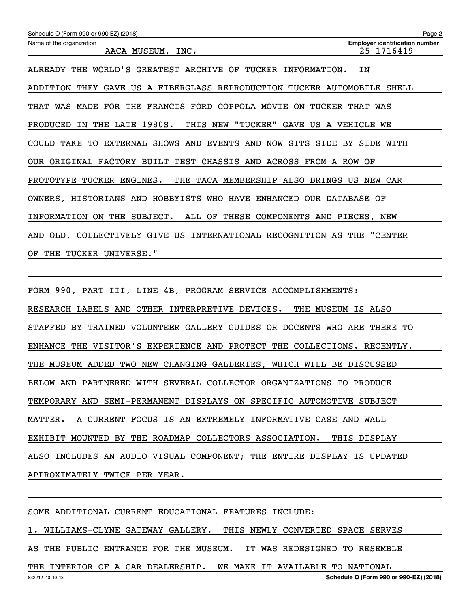| Schedule O (Form 990 or 990-EZ) (2018)                                   | Page 2                                              |
|--------------------------------------------------------------------------|-----------------------------------------------------|
| Name of the organization<br>AACA MUSEUM, INC.                            | <b>Employer identification number</b><br>25-1716419 |
| WORLD'S GREATEST ARCHIVE OF TUCKER INFORMATION.<br>ALREADY THE           | ΙN                                                  |
| ADDITION THEY GAVE US A FIBERGLASS REPRODUCTION TUCKER AUTOMOBILE SHELL  |                                                     |
| THAT WAS MADE FOR THE FRANCIS FORD COPPOLA MOVIE ON TUCKER THAT WAS      |                                                     |
| THE LATE 1980S. THIS NEW "TUCKER" GAVE US A VEHICLE WE<br>PRODUCED<br>IN |                                                     |
| COULD TAKE TO EXTERNAL SHOWS AND EVENTS AND NOW SITS SIDE BY SIDE WITH   |                                                     |
| OUR ORIGINAL FACTORY BUILT TEST CHASSIS AND ACROSS FROM A ROW OF         |                                                     |
| PROTOTYPE TUCKER ENGINES.<br>THE TACA MEMBERSHIP ALSO BRINGS US NEW CAR  |                                                     |
| OWNERS, HISTORIANS AND HOBBYISTS WHO HAVE ENHANCED OUR DATABASE OF       |                                                     |
| INFORMATION ON THE SUBJECT. ALL OF THESE COMPONENTS AND PIECES, NEW      |                                                     |
| AND OLD, COLLECTIVELY GIVE US INTERNATIONAL RECOGNITION AS THE "CENTER   |                                                     |
| OF THE TUCKER UNIVERSE."                                                 |                                                     |

FORM 990, PART III, LINE 4B, PROGRAM SERVICE ACCOMPLISHMENTS: RESEARCH LABELS AND OTHER INTERPRETIVE DEVICES. THE MUSEUM IS ALSO STAFFED BY TRAINED VOLUNTEER GALLERY GUIDES OR DOCENTS WHO ARE THERE TO ENHANCE THE VISITOR'S EXPERIENCE AND PROTECT THE COLLECTIONS. RECENTLY, THE MUSEUM ADDED TWO NEW CHANGING GALLERIES, WHICH WILL BE DISCUSSED BELOW AND PARTNERED WITH SEVERAL COLLECTOR ORGANIZATIONS TO PRODUCE TEMPORARY AND SEMI-PERMANENT DISPLAYS ON SPECIFIC AUTOMOTIVE SUBJECT MATTER. A CURRENT FOCUS IS AN EXTREMELY INFORMATIVE CASE AND WALL EXHIBIT MOUNTED BY THE ROADMAP COLLECTORS ASSOCIATION. THIS DISPLAY ALSO INCLUDES AN AUDIO VISUAL COMPONENT; THE ENTIRE DISPLAY IS UPDATED APPROXIMATELY TWICE PER YEAR.

SOME ADDITIONAL CURRENT EDUCATIONAL FEATURES INCLUDE: 1. WILLIAMS-CLYNE GATEWAY GALLERY. THIS NEWLY CONVERTED SPACE SERVES AS THE PUBLIC ENTRANCE FOR THE MUSEUM. IT WAS REDESIGNED TO RESEMBLE THE INTERIOR OF A CAR DEALERSHIP. WE MAKE IT AVAILABLE TO NATIONAL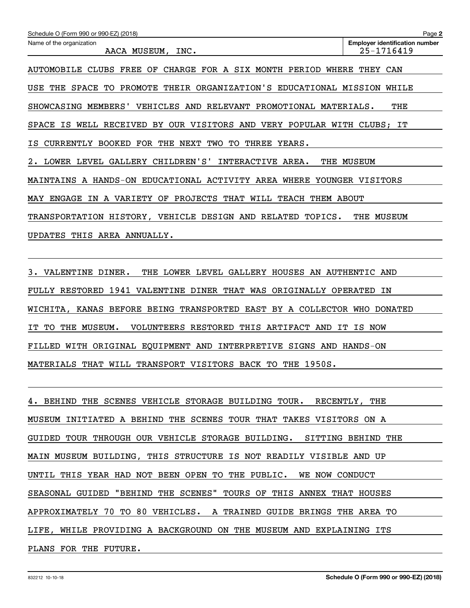| Schedule O (Form 990 or 990-EZ) (2018)                                           | Page 2                                              |
|----------------------------------------------------------------------------------|-----------------------------------------------------|
| Name of the organization<br>AACA MUSEUM, INC.                                    | <b>Employer identification number</b><br>25-1716419 |
| CHARGE FOR A SIX MONTH PERIOD<br>CLUBS<br>FREE OF<br>AUTOMOBILE<br>WHERE         | THEY<br>CAN                                         |
| PROMOTE THEIR ORGANIZATION'S EDUCATIONAL MISSION<br>USE<br>THE<br>SPACE<br>TO    | WHILE                                               |
| SHOWCASING MEMBERS' VEHICLES AND RELEVANT PROMOTIONAL MATERIALS.                 | THE                                                 |
| IS WELL RECEIVED BY OUR VISITORS AND VERY POPULAR WITH CLUBS; IT<br><b>SPACE</b> |                                                     |
| CURRENTLY BOOKED FOR THE NEXT<br>TWO<br>TO<br>THREE<br>ISI<br>YEARS.             |                                                     |
| LOWER LEVEL GALLERY CHILDREN'S' INTERACTIVE AREA.<br>2.                          | THE MUSEUM                                          |
| MAINTAINS A HANDS-ON EDUCATIONAL ACTIVITY AREA WHERE YOUNGER VISITORS            |                                                     |
| PROJECTS THAT WILL TEACH<br><b>MAY ENGAGE</b><br>IN A VARIETY OF<br>THEM ABOUT   |                                                     |
| TRANSPORTATION HISTORY, VEHICLE DESIGN AND<br>RELATED<br>TOPICS.                 | THE MUSEUM                                          |
| AREA ANNUALLY.<br><b>UPDATES</b><br>THIS                                         |                                                     |
|                                                                                  |                                                     |

3. VALENTINE DINER. THE LOWER LEVEL GALLERY HOUSES AN AUTHENTIC AND FULLY RESTORED 1941 VALENTINE DINER THAT WAS ORIGINALLY OPERATED IN WICHITA, KANAS BEFORE BEING TRANSPORTED EAST BY A COLLECTOR WHO DONATED IT TO THE MUSEUM. VOLUNTEERS RESTORED THIS ARTIFACT AND IT IS NOW FILLED WITH ORIGINAL EQUIPMENT AND INTERPRETIVE SIGNS AND HANDS-ON MATERIALS THAT WILL TRANSPORT VISITORS BACK TO THE 1950S.

4. BEHIND THE SCENES VEHICLE STORAGE BUILDING TOUR. RECENTLY, THE MUSEUM INITIATED A BEHIND THE SCENES TOUR THAT TAKES VISITORS ON A GUIDED TOUR THROUGH OUR VEHICLE STORAGE BUILDING. SITTING BEHIND THE MAIN MUSEUM BUILDING, THIS STRUCTURE IS NOT READILY VISIBLE AND UP UNTIL THIS YEAR HAD NOT BEEN OPEN TO THE PUBLIC. WE NOW CONDUCT SEASONAL GUIDED "BEHIND THE SCENES" TOURS OF THIS ANNEX THAT HOUSES APPROXIMATELY 70 TO 80 VEHICLES. A TRAINED GUIDE BRINGS THE AREA TO LIFE, WHILE PROVIDING A BACKGROUND ON THE MUSEUM AND EXPLAINING ITS PLANS FOR THE FUTURE.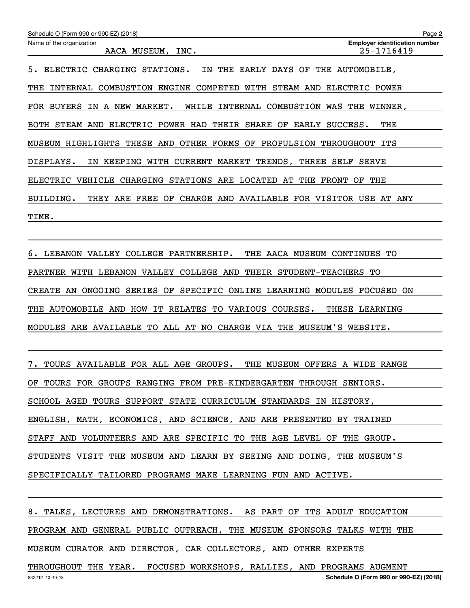| Schedule O (Form 990 or 990-EZ) (2018)                                                                                | Page 2                                              |  |  |
|-----------------------------------------------------------------------------------------------------------------------|-----------------------------------------------------|--|--|
| Name of the organization<br>INC.<br>AACA MUSEUM,                                                                      | <b>Employer identification number</b><br>25-1716419 |  |  |
| 5.<br><b>ELECTRIC</b><br>CHARGING<br>THE<br>EARLY DAYS OF<br>STATIONS.<br>IN.                                         | THE AUTOMOBILE,                                     |  |  |
| COMBUSTION<br>ENGINE COMPETED<br>STEAM<br>AND<br>THE<br>INTERNAL<br>WITH                                              | ELECTRIC<br>POWER                                   |  |  |
| INTERNAL COMBUSTION<br><b>BUYERS</b><br>IN A NEW MARKET.<br>WHILE<br>FOR                                              | WAS THE<br>WINNER,                                  |  |  |
| ELECTRIC POWER HAD<br>AND<br>THEIR<br>SHARE<br>OF<br>EARLY<br>BOTH<br>STEAM                                           | THE<br>SUCCESS.                                     |  |  |
| OTHER FORMS OF<br>HIGHLIGHTS<br>THESE<br>AND<br>PROPULSION<br>MUSEUM                                                  | THROUGHOUT<br>ITS                                   |  |  |
| CURRENT MARKET TRENDS,<br>THREE<br>DISPLAYS.<br>KEEPING<br>WITH<br>SELF<br>ΙN                                         | <b>SERVE</b>                                        |  |  |
| <b>CHARGING</b><br><b>STATIONS</b><br>ARE<br>LOCATED<br>THE<br>THE<br>ELECTRIC<br>VEHICLE<br>AT<br><b>FRONT</b><br>OF |                                                     |  |  |
| BUILDING.<br>ARE<br>FREE<br>ΟF<br><b>CHARGE</b><br>AND<br>AVAILABLE<br><b>FOR</b><br>VISITOR<br>THEY                  | USE<br>AТ<br>ANY                                    |  |  |
| TIME.                                                                                                                 |                                                     |  |  |

6. LEBANON VALLEY COLLEGE PARTNERSHIP. THE AACA MUSEUM CONTINUES TO PARTNER WITH LEBANON VALLEY COLLEGE AND THEIR STUDENT-TEACHERS TO CREATE AN ONGOING SERIES OF SPECIFIC ONLINE LEARNING MODULES FOCUSED ON THE AUTOMOBILE AND HOW IT RELATES TO VARIOUS COURSES. THESE LEARNING MODULES ARE AVAILABLE TO ALL AT NO CHARGE VIA THE MUSEUM'S WEBSITE.

7. TOURS AVAILABLE FOR ALL AGE GROUPS. THE MUSEUM OFFERS A WIDE RANGE OF TOURS FOR GROUPS RANGING FROM PRE-KINDERGARTEN THROUGH SENIORS. SCHOOL AGED TOURS SUPPORT STATE CURRICULUM STANDARDS IN HISTORY, ENGLISH, MATH, ECONOMICS, AND SCIENCE, AND ARE PRESENTED BY TRAINED STAFF AND VOLUNTEERS AND ARE SPECIFIC TO THE AGE LEVEL OF THE GROUP. STUDENTS VISIT THE MUSEUM AND LEARN BY SEEING AND DOING, THE MUSEUM'S SPECIFICALLY TAILORED PROGRAMS MAKE LEARNING FUN AND ACTIVE.

8. TALKS, LECTURES AND DEMONSTRATIONS. AS PART OF ITS ADULT EDUCATION PROGRAM AND GENERAL PUBLIC OUTREACH, THE MUSEUM SPONSORS TALKS WITH THE MUSEUM CURATOR AND DIRECTOR, CAR COLLECTORS, AND OTHER EXPERTS

832212 10-10-18 **Schedule O (Form 990 or 990-EZ) (2018)** THROUGHOUT THE YEAR. FOCUSED WORKSHOPS, RALLIES, AND PROGRAMS AUGMENT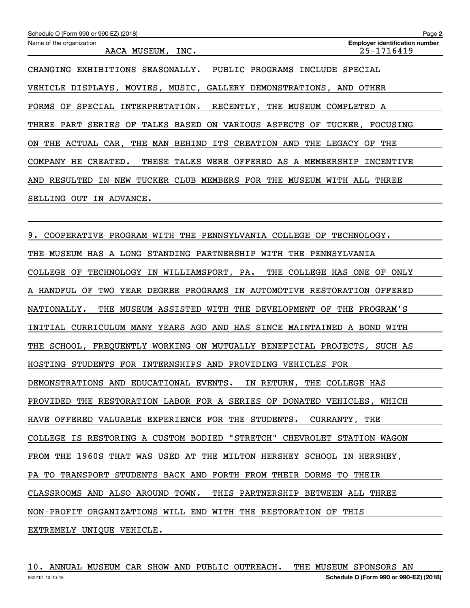| Schedule O (Form 990 or 990-EZ) (2018)                                    | Page 2                                              |
|---------------------------------------------------------------------------|-----------------------------------------------------|
| Name of the organization<br>AACA MUSEUM, INC.                             | <b>Employer identification number</b><br>25-1716419 |
| CHANGING EXHIBITIONS SEASONALLY. PUBLIC PROGRAMS INCLUDE                  | SPECIAL                                             |
| VEHICLE DISPLAYS, MOVIES, MUSIC, GALLERY DEMONSTRATIONS, AND OTHER        |                                                     |
| FORMS OF SPECIAL INTERPRETATION. RECENTLY, THE MUSEUM COMPLETED A         |                                                     |
| THREE PART SERIES OF TALKS BASED ON VARIOUS ASPECTS OF TUCKER, FOCUSING   |                                                     |
| ON THE ACTUAL CAR, THE MAN BEHIND ITS CREATION AND THE LEGACY OF THE      |                                                     |
| THESE TALKS WERE OFFERED AS A MEMBERSHIP INCENTIVE<br>COMPANY HE CREATED. |                                                     |
| AND RESULTED IN NEW TUCKER CLUB MEMBERS FOR THE MUSEUM WITH ALL THREE     |                                                     |
| SELLING OUT IN ADVANCE.                                                   |                                                     |

9. COOPERATIVE PROGRAM WITH THE PENNSYLVANIA COLLEGE OF TECHNOLOGY. THE MUSEUM HAS A LONG STANDING PARTNERSHIP WITH THE PENNSYLVANIA COLLEGE OF TECHNOLOGY IN WILLIAMSPORT, PA. THE COLLEGE HAS ONE OF ONLY A HANDFUL OF TWO YEAR DEGREE PROGRAMS IN AUTOMOTIVE RESTORATION OFFERED NATIONALLY. THE MUSEUM ASSISTED WITH THE DEVELOPMENT OF THE PROGRAM'S INITIAL CURRICULUM MANY YEARS AGO AND HAS SINCE MAINTAINED A BOND WITH THE SCHOOL, FREQUENTLY WORKING ON MUTUALLY BENEFICIAL PROJECTS, SUCH AS HOSTING STUDENTS FOR INTERNSHIPS AND PROVIDING VEHICLES FOR DEMONSTRATIONS AND EDUCATIONAL EVENTS. IN RETURN, THE COLLEGE HAS PROVIDED THE RESTORATION LABOR FOR A SERIES OF DONATED VEHICLES, WHICH HAVE OFFERED VALUABLE EXPERIENCE FOR THE STUDENTS. CURRANTY, THE COLLEGE IS RESTORING A CUSTOM BODIED "STRETCH" CHEVROLET STATION WAGON FROM THE 1960S THAT WAS USED AT THE MILTON HERSHEY SCHOOL IN HERSHEY, PA TO TRANSPORT STUDENTS BACK AND FORTH FROM THEIR DORMS TO THEIR CLASSROOMS AND ALSO AROUND TOWN. THIS PARTNERSHIP BETWEEN ALL THREE NON-PROFIT ORGANIZATIONS WILL END WITH THE RESTORATION OF THIS EXTREMELY UNIQUE VEHICLE.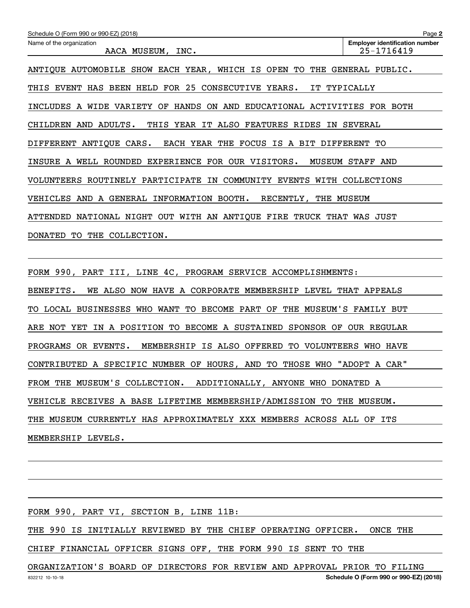| Schedule O (Form 990 or 990-EZ) (2018)                                       | Page 2                                              |  |  |
|------------------------------------------------------------------------------|-----------------------------------------------------|--|--|
| Name of the organization<br>AACA MUSEUM, INC.                                | <b>Employer identification number</b><br>25-1716419 |  |  |
| THE GENERAL PUBLIC.<br>ANTIQUE AUTOMOBILE SHOW EACH YEAR, WHICH IS OPEN TO   |                                                     |  |  |
| THIS EVENT HAS BEEN HELD FOR 25 CONSECUTIVE YEARS.<br>IT TYPICALLY           |                                                     |  |  |
| INCLUDES A WIDE VARIETY OF HANDS ON AND EDUCATIONAL ACTIVITIES FOR BOTH      |                                                     |  |  |
| CHILDREN AND ADULTS.<br>THIS YEAR IT ALSO FEATURES RIDES IN SEVERAL          |                                                     |  |  |
| EACH YEAR THE FOCUS IS A BIT DIFFERENT<br>DIFFERENT ANTIQUE CARS.            | TО                                                  |  |  |
| INSURE A WELL ROUNDED EXPERIENCE FOR OUR VISITORS.                           | MUSEUM STAFF AND                                    |  |  |
| VOLUNTEERS ROUTINELY PARTICIPATE IN COMMUNITY EVENTS WITH COLLECTIONS        |                                                     |  |  |
| VEHICLES AND A GENERAL INFORMATION BOOTH.<br>RECENTLY,<br>THE MUSEUM         |                                                     |  |  |
| ATTENDED NATIONAL NIGHT OUT WITH AN ANTIQUE FIRE TRUCK THAT WAS JUST         |                                                     |  |  |
| THE COLLECTION.<br>DONATED<br>TO                                             |                                                     |  |  |
|                                                                              |                                                     |  |  |
| FORM 990, PART III, LINE 4C, PROGRAM SERVICE ACCOMPLISHMENTS:                |                                                     |  |  |
| WE ALSO NOW HAVE A CORPORATE MEMBERSHIP LEVEL THAT APPEALS<br>BENEFITS.      |                                                     |  |  |
| LOCAL BUSINESSES WHO WANT<br>TO BECOME PART OF<br>TO                         | THE MUSEUM'S FAMILY BUT                             |  |  |
| IN A POSITION TO BECOME A SUSTAINED SPONSOR OF OUR REGULAR<br>ARE NOT<br>YET |                                                     |  |  |
| PROGRAMS OR EVENTS.<br>MEMBERSHIP IS ALSO OFFERED TO VOLUNTEERS WHO HAVE     |                                                     |  |  |
| "ADOPT A CAR"<br>CONTRIBUTED A SPECIFIC NUMBER OF HOURS, AND TO THOSE WHO    |                                                     |  |  |
| FROM THE MUSEUM'S COLLECTION. ADDITIONALLY, ANYONE WHO DONATED A             |                                                     |  |  |
| VEHICLE RECEIVES A BASE LIFETIME MEMBERSHIP/ADMISSION TO THE MUSEUM.         |                                                     |  |  |
| THE MUSEUM CURRENTLY HAS APPROXIMATELY XXX MEMBERS ACROSS ALL OF ITS         |                                                     |  |  |

MEMBERSHIP LEVELS.

FORM 990, PART VI, SECTION B, LINE 11B:

THE 990 IS INITIALLY REVIEWED BY THE CHIEF OPERATING OFFICER. ONCE THE

CHIEF FINANCIAL OFFICER SIGNS OFF, THE FORM 990 IS SENT TO THE

ORGANIZATION'S BOARD OF DIRECTORS FOR REVIEW AND APPROVAL PRIOR TO FILING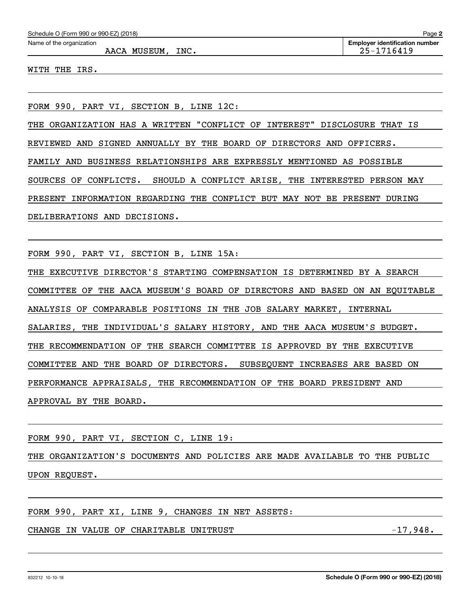AACA MUSEUM, INC. 25-1716419

WITH THE IRS.

FORM 990, PART VI, SECTION B, LINE 12C:

THE ORGANIZATION HAS A WRITTEN "CONFLICT OF INTEREST" DISCLOSURE THAT IS

REVIEWED AND SIGNED ANNUALLY BY THE BOARD OF DIRECTORS AND OFFICERS.

FAMILY AND BUSINESS RELATIONSHIPS ARE EXPRESSLY MENTIONED AS POSSIBLE

SOURCES OF CONFLICTS. SHOULD A CONFLICT ARISE, THE INTERESTED PERSON MAY

PRESENT INFORMATION REGARDING THE CONFLICT BUT MAY NOT BE PRESENT DURING

DELIBERATIONS AND DECISIONS.

FORM 990, PART VI, SECTION B, LINE 15A:

THE EXECUTIVE DIRECTOR'S STARTING COMPENSATION IS DETERMINED BY A SEARCH COMMITTEE OF THE AACA MUSEUM'S BOARD OF DIRECTORS AND BASED ON AN EQUITABLE ANALYSIS OF COMPARABLE POSITIONS IN THE JOB SALARY MARKET, INTERNAL SALARIES, THE INDIVIDUAL'S SALARY HISTORY, AND THE AACA MUSEUM'S BUDGET. THE RECOMMENDATION OF THE SEARCH COMMITTEE IS APPROVED BY THE EXECUTIVE COMMITTEE AND THE BOARD OF DIRECTORS. SUBSEQUENT INCREASES ARE BASED ON PERFORMANCE APPRAISALS, THE RECOMMENDATION OF THE BOARD PRESIDENT AND APPROVAL BY THE BOARD.

FORM 990, PART VI, SECTION C, LINE 19:

THE ORGANIZATION'S DOCUMENTS AND POLICIES ARE MADE AVAILABLE TO THE PUBLIC UPON REQUEST.

FORM 990, PART XI, LINE 9, CHANGES IN NET ASSETS:

CHANGE IN VALUE OF CHARITABLE UNITRUST FOR A SERVICE THANGE IN VALUE OF CHARITABLE UNITRUST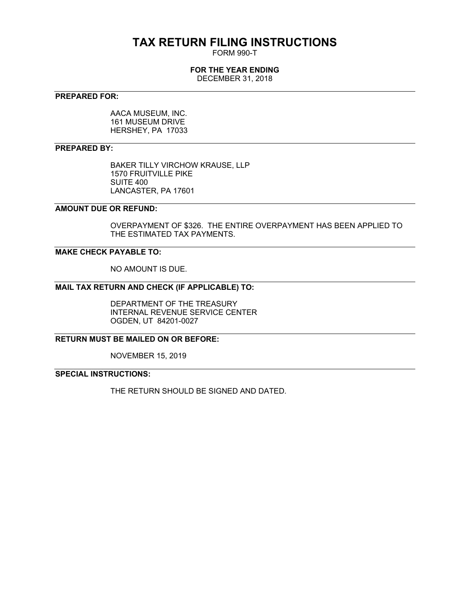# **TAX RETURN FILING INSTRUCTIONS**

FORM 990-T

### **FOR THE YEAR ENDING**

DECEMBER 31, 2018

### **PREPARED FOR:**

AACA MUSEUM, INC. 161 MUSEUM DRIVE HERSHEY, PA 17033

### **PREPARED BY:**

BAKER TILLY VIRCHOW KRAUSE, LLP 1570 FRUITVILLE PIKE SUITE 400 LANCASTER, PA 17601

### **AMOUNT DUE OR REFUND:**

OVERPAYMENT OF \$326. THE ENTIRE OVERPAYMENT HAS BEEN APPLIED TO THE ESTIMATED TAX PAYMENTS.

### **MAKE CHECK PAYABLE TO:**

NO AMOUNT IS DUE.

### **MAIL TAX RETURN AND CHECK (IF APPLICABLE) TO:**

DEPARTMENT OF THE TREASURY INTERNAL REVENUE SERVICE CENTER OGDEN, UT 84201-0027

### **RETURN MUST BE MAILED ON OR BEFORE:**

NOVEMBER 15, 2019

### **SPECIAL INSTRUCTIONS:**

THE RETURN SHOULD BE SIGNED AND DATED.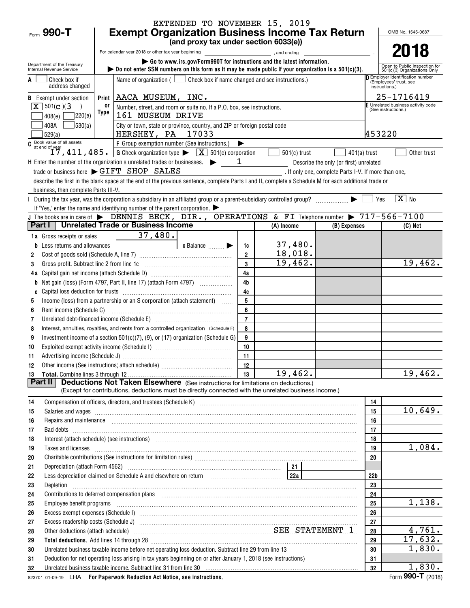|                                                                                                    | EXTENDED TO NOVEMBER 15, 2019                                                                                                                                                                                                        |                 |                                                                   |  |  |  |  |  |
|----------------------------------------------------------------------------------------------------|--------------------------------------------------------------------------------------------------------------------------------------------------------------------------------------------------------------------------------------|-----------------|-------------------------------------------------------------------|--|--|--|--|--|
| Form $990 - T$                                                                                     | <b>Exempt Organization Business Income Tax Return</b><br>(and proxy tax under section 6033(e))                                                                                                                                       |                 | OMB No. 1545-0687                                                 |  |  |  |  |  |
|                                                                                                    |                                                                                                                                                                                                                                      |                 | 2018                                                              |  |  |  |  |  |
|                                                                                                    | For calendar year 2018 or other tax year beginning<br>and ending,                                                                                                                                                                    |                 |                                                                   |  |  |  |  |  |
| Department of the Treasury<br>Internal Revenue Service                                             | Go to www.irs.gov/Form990T for instructions and the latest information.<br>bo not enter SSN numbers on this form as it may be made public if your organization is a $501(c)(3)$ .                                                    |                 | Open to Public Inspection for<br>501(c)(3) Organizations Only     |  |  |  |  |  |
| Check box if                                                                                       | Name of organization ( $\Box$ Check box if name changed and see instructions.)                                                                                                                                                       |                 | <b>D</b> Employer identification number<br>(Employees' trust, see |  |  |  |  |  |
| address changed                                                                                    |                                                                                                                                                                                                                                      |                 | instructions.)                                                    |  |  |  |  |  |
| <b>B</b> Exempt under section                                                                      | AACA MUSEUM, INC.<br>Print                                                                                                                                                                                                           |                 | 25-1716419                                                        |  |  |  |  |  |
| $\boxed{\mathbf{X}}$ 501(c)(3                                                                      | 0r<br>Number, street, and room or suite no. If a P.O. box, see instructions.                                                                                                                                                         |                 | E Unrelated business activity code<br>(See instructions.)         |  |  |  |  |  |
| 408(e)                                                                                             | Type<br>220(e)<br>161 MUSEUM DRIVE                                                                                                                                                                                                   |                 |                                                                   |  |  |  |  |  |
| 530(a) <br>408A<br>529(a)                                                                          | City or town, state or province, country, and ZIP or foreign postal code<br>453220<br>HERSHEY, PA 17033                                                                                                                              |                 |                                                                   |  |  |  |  |  |
| $\frac{1}{2}$ Book value of all assets                                                             | F Group exemption number (See instructions.)<br>▶                                                                                                                                                                                    |                 |                                                                   |  |  |  |  |  |
|                                                                                                    | at end of year<br>$17,411,485.$ G Check organization type $\sqrt{X}$ 501(c) corporation<br>$501(c)$ trust<br>$401(a)$ trust                                                                                                          |                 | Other trust                                                       |  |  |  |  |  |
|                                                                                                    | 1<br>H Enter the number of the organization's unrelated trades or businesses.<br>Describe the only (or first) unrelated                                                                                                              |                 |                                                                   |  |  |  |  |  |
|                                                                                                    | trade or business here > GIFT SHOP SALES<br>. If only one, complete Parts I-V. If more than one,                                                                                                                                     |                 |                                                                   |  |  |  |  |  |
|                                                                                                    | describe the first in the blank space at the end of the previous sentence, complete Parts I and II, complete a Schedule M for each additional trade or                                                                               |                 |                                                                   |  |  |  |  |  |
| business, then complete Parts III-V.                                                               |                                                                                                                                                                                                                                      |                 |                                                                   |  |  |  |  |  |
|                                                                                                    | During the tax year, was the corporation a subsidiary in an affiliated group or a parent-subsidiary controlled group?<br>▶                                                                                                           | Yes             | $\boxed{\text{X}}$ No                                             |  |  |  |  |  |
|                                                                                                    | If "Yes," enter the name and identifying number of the parent corporation. $\blacktriangleright$                                                                                                                                     |                 |                                                                   |  |  |  |  |  |
| Part I                                                                                             | J The books are in care of $\blacktriangleright$ DENNIS BECK, DIR., OPERATIONS & FI Telephone number $\blacktriangleright$ 717-566-7100<br><b>Unrelated Trade or Business Income</b><br>(A) Income                                   |                 | (C) Net                                                           |  |  |  |  |  |
|                                                                                                    | (B) Expenses<br>37,480.                                                                                                                                                                                                              |                 |                                                                   |  |  |  |  |  |
| 1a Gross receipts or sales                                                                         | 37,480.                                                                                                                                                                                                                              |                 |                                                                   |  |  |  |  |  |
| Less returns and allowances<br>b                                                                   | c Balance<br>1c<br>18,018.<br>$\overline{2}$                                                                                                                                                                                         |                 |                                                                   |  |  |  |  |  |
| 2<br>Gross profit. Subtract line 2 from line 1c<br>3                                               | 19,462.<br>3                                                                                                                                                                                                                         |                 | 19,462.                                                           |  |  |  |  |  |
|                                                                                                    | 4a                                                                                                                                                                                                                                   |                 |                                                                   |  |  |  |  |  |
| b                                                                                                  | 4b                                                                                                                                                                                                                                   |                 |                                                                   |  |  |  |  |  |
| C                                                                                                  | 4c                                                                                                                                                                                                                                   |                 |                                                                   |  |  |  |  |  |
| 5                                                                                                  | 5<br>Income (loss) from a partnership or an S corporation (attach statement)                                                                                                                                                         |                 |                                                                   |  |  |  |  |  |
| 6<br>Rent income (Schedule C)                                                                      | 6                                                                                                                                                                                                                                    |                 |                                                                   |  |  |  |  |  |
| 7                                                                                                  | $\overline{7}$<br>Unrelated debt-financed income (Schedule E) [11] [2010] [2010] [2010] [2010] [2010] [2010] [2010] [2010] [2010                                                                                                     |                 |                                                                   |  |  |  |  |  |
| 8                                                                                                  | Interest, annuities, royalties, and rents from a controlled organization (Schedule F)<br>8                                                                                                                                           |                 |                                                                   |  |  |  |  |  |
| 9                                                                                                  | 9<br>Investment income of a section $501(c)(7)$ , (9), or (17) organization (Schedule G)                                                                                                                                             |                 |                                                                   |  |  |  |  |  |
| 10                                                                                                 | 10                                                                                                                                                                                                                                   |                 |                                                                   |  |  |  |  |  |
| 11                                                                                                 | 11                                                                                                                                                                                                                                   |                 |                                                                   |  |  |  |  |  |
|                                                                                                    |                                                                                                                                                                                                                                      |                 |                                                                   |  |  |  |  |  |
|                                                                                                    | 19,462.<br>ີ 13                                                                                                                                                                                                                      |                 | 19,462.                                                           |  |  |  |  |  |
| <b>Deductions Not Taken Elsewhere</b> (See instructions for limitations on deductions.)<br>Part II |                                                                                                                                                                                                                                      |                 |                                                                   |  |  |  |  |  |
|                                                                                                    | (Except for contributions, deductions must be directly connected with the unrelated business income.)                                                                                                                                |                 |                                                                   |  |  |  |  |  |
| 14                                                                                                 |                                                                                                                                                                                                                                      | 14              |                                                                   |  |  |  |  |  |
| 15                                                                                                 | Salaries and wages <b>construction and construction</b> was a series of the construction of the construction of the construction of the construction of the construction of the construction of the construction of the constructio  | 15              | 10,649.                                                           |  |  |  |  |  |
| 16                                                                                                 | Repairs and maintenance <i>maintenance</i> and contained and anti-                                                                                                                                                                   | 16              |                                                                   |  |  |  |  |  |
| 17                                                                                                 |                                                                                                                                                                                                                                      | 17              |                                                                   |  |  |  |  |  |
| 18                                                                                                 | Interest (attach schedule) (see instructions) www.communications.communications are interest (attach schedule)                                                                                                                       | 18              | 1,084.                                                            |  |  |  |  |  |
| 19                                                                                                 | Taxes and licenses <b>contract the contract of the contract of the contract of the contract of the contract of the contract of the contract of the contract of the contract of the contract of the contract of the contract of t</b> | 19              |                                                                   |  |  |  |  |  |
| 20                                                                                                 |                                                                                                                                                                                                                                      | 20              |                                                                   |  |  |  |  |  |
| 21<br>22                                                                                           | Less depreciation claimed on Schedule A and elsewhere on return [1] [228] [228]                                                                                                                                                      | 22 <sub>b</sub> |                                                                   |  |  |  |  |  |
| 23                                                                                                 |                                                                                                                                                                                                                                      | 23              |                                                                   |  |  |  |  |  |
| 24                                                                                                 |                                                                                                                                                                                                                                      | 24              |                                                                   |  |  |  |  |  |
| 25                                                                                                 | Employee benefit programs in the continuum contract of the contract of the contract of the contract of the contract of the contract of the contract of the contract of the contract of the contract of the contract of the con       | 25              | 1,138.                                                            |  |  |  |  |  |
| 26                                                                                                 |                                                                                                                                                                                                                                      | 26              |                                                                   |  |  |  |  |  |
| 27                                                                                                 |                                                                                                                                                                                                                                      | 27              |                                                                   |  |  |  |  |  |
| 28                                                                                                 | Other deductions (attach schedule) material material material material state STATEMENT 1                                                                                                                                             | 28              | 4,761.                                                            |  |  |  |  |  |
| 29                                                                                                 | Total deductions. Add lines 14 through 28 [11] manufactures and the contract of the contract of the contract of the contract of the contract of the contract of the contract of the contract of the contract of the contract o       | 29              | 17,632.                                                           |  |  |  |  |  |
| 30                                                                                                 | Unrelated business taxable income before net operating loss deduction. Subtract line 29 from line 13                                                                                                                                 | 30              | 1,830.                                                            |  |  |  |  |  |
| 31                                                                                                 | Deduction for net operating loss arising in tax years beginning on or after January 1, 2018 (see instructions)                                                                                                                       | 31              |                                                                   |  |  |  |  |  |
| 32                                                                                                 | Unrelated business taxable income. Subtract line 31 from line 30 manufactured contains and contained business taxable income. Subtract line 31 from line 30 manufactured contains and the United States of the United States a       | 32              | 1,830.                                                            |  |  |  |  |  |
|                                                                                                    |                                                                                                                                                                                                                                      |                 |                                                                   |  |  |  |  |  |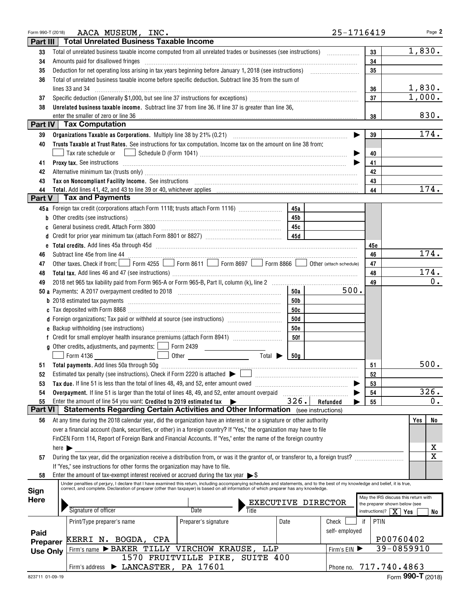| Form 990-T (2018) |                            | AACA MUSEUM, INC.                                                                                                                                                                                                                                | 25-1716419                              | Page 2                               |
|-------------------|----------------------------|--------------------------------------------------------------------------------------------------------------------------------------------------------------------------------------------------------------------------------------------------|-----------------------------------------|--------------------------------------|
| Part III          |                            | <b>Total Unrelated Business Taxable Income</b>                                                                                                                                                                                                   |                                         |                                      |
| 33                |                            | Total of unrelated business taxable income computed from all unrelated trades or businesses (see instructions)                                                                                                                                   | 33                                      | 1,830.                               |
| 34                |                            | Amounts paid for disallowed fringes                                                                                                                                                                                                              | 34                                      |                                      |
| 35                |                            |                                                                                                                                                                                                                                                  | 35                                      |                                      |
| 36                |                            | Total of unrelated business taxable income before specific deduction. Subtract line 35 from the sum of                                                                                                                                           |                                         |                                      |
|                   |                            | lines 33 and 34                                                                                                                                                                                                                                  | 36                                      | 1,830.                               |
| 37                |                            |                                                                                                                                                                                                                                                  | 37                                      | 1,000.                               |
| 38                |                            | Unrelated business taxable income. Subtract line 37 from line 36. If line 37 is greater than line 36,                                                                                                                                            |                                         |                                      |
|                   |                            | enter the smaller of zero or line 36                                                                                                                                                                                                             | 38                                      | 830.                                 |
|                   |                            | Part IV   Tax Computation                                                                                                                                                                                                                        |                                         |                                      |
| 39                |                            |                                                                                                                                                                                                                                                  | 39                                      | 174.                                 |
| 40                |                            | Trusts Taxable at Trust Rates. See instructions for tax computation. Income tax on the amount on line 38 from:                                                                                                                                   |                                         |                                      |
|                   |                            |                                                                                                                                                                                                                                                  | 40                                      |                                      |
| 41                |                            | Proxy tax. See instructions information and contact the set of the set of the set of the set of the set of the set of the set of the set of the set of the set of the set of the set of the set of the set of the set of the s                   | 41                                      |                                      |
| 42                |                            | Alternative minimum tax (trusts only) manufactured and all the control of the state of the state of the state of the state of the state of the state of the state of the state of the state of the state of the state of the s                   | 42                                      |                                      |
| 43                |                            |                                                                                                                                                                                                                                                  | 43                                      |                                      |
| 44                |                            |                                                                                                                                                                                                                                                  | 44                                      | 174.                                 |
| Part V            |                            | <b>Tax and Payments</b>                                                                                                                                                                                                                          |                                         |                                      |
|                   |                            | 45a Foreign tax credit (corporations attach Form 1118; trusts attach Form 1116) [<br>45a                                                                                                                                                         |                                         |                                      |
| b                 |                            | Other credits (see instructions)<br>45 <sub>b</sub>                                                                                                                                                                                              |                                         |                                      |
| C                 |                            | General business credit. Attach Form 3800<br>45с                                                                                                                                                                                                 |                                         |                                      |
| d                 |                            | 45d                                                                                                                                                                                                                                              |                                         |                                      |
| e                 |                            |                                                                                                                                                                                                                                                  | 45e                                     |                                      |
| 46                |                            |                                                                                                                                                                                                                                                  | 46                                      | $\overline{174}$ .                   |
| 47                |                            | Other taxes. Check if from: Form 4255 Form 8611 Form 8697 Form 8866<br>Other (attach schedule)                                                                                                                                                   | 47                                      |                                      |
| 48                |                            |                                                                                                                                                                                                                                                  | 48                                      | 174.                                 |
| 49                |                            |                                                                                                                                                                                                                                                  | 49                                      | 0.                                   |
|                   |                            | 500.<br>50a                                                                                                                                                                                                                                      |                                         |                                      |
|                   |                            | 50b                                                                                                                                                                                                                                              |                                         |                                      |
|                   |                            | 50c                                                                                                                                                                                                                                              |                                         |                                      |
|                   |                            | d Foreign organizations: Tax paid or withheld at source (see instructions) [1001111111111111111111111111111111<br><b>50d</b>                                                                                                                     |                                         |                                      |
|                   |                            | <b>50e</b>                                                                                                                                                                                                                                       |                                         |                                      |
|                   |                            | <b>50f</b>                                                                                                                                                                                                                                       |                                         |                                      |
|                   |                            | <b>g</b> Other credits, adjustments, and payments: $\Box$<br>Form 2439                                                                                                                                                                           |                                         |                                      |
|                   |                            | Total $\blacktriangleright$<br>Form 4136<br>Other<br>50 <sub>a</sub>                                                                                                                                                                             |                                         |                                      |
|                   |                            |                                                                                                                                                                                                                                                  | 51                                      | 500.                                 |
| 52                |                            | Estimated tax penalty (see instructions). Check if Form 2220 is attached $\blacktriangleright$                                                                                                                                                   | 52                                      |                                      |
| 53                |                            | Tax due. If line 51 is less than the total of lines 48, 49, and 52, enter amount owed                                                                                                                                                            | 53                                      |                                      |
| 54                |                            | Overpayment. If line 51 is larger than the total of lines 48, 49, and 52, enter amount overpaid                                                                                                                                                  | 54                                      | 326.                                 |
| 55                |                            | 326.<br>Enter the amount of line 54 you want: Credited to 2019 estimated tax $\blacktriangleright$<br>Refunded<br>Statements Regarding Certain Activities and Other Information (see instructions)                                               | 55                                      | 0.                                   |
| <b>Part VI</b>    |                            |                                                                                                                                                                                                                                                  |                                         |                                      |
| 56                |                            | At any time during the 2018 calendar year, did the organization have an interest in or a signature or other authority<br>over a financial account (bank, securities, or other) in a foreign country? If "Yes," the organization may have to file |                                         | No<br>Yes                            |
|                   |                            | FinCEN Form 114, Report of Foreign Bank and Financial Accounts. If "Yes," enter the name of the foreign country                                                                                                                                  |                                         |                                      |
|                   | here $\blacktriangleright$ |                                                                                                                                                                                                                                                  |                                         | х                                    |
|                   |                            | During the tax year, did the organization receive a distribution from, or was it the grantor of, or transferor to, a foreign trust?                                                                                                              |                                         | $\mathbf X$                          |
| 57                |                            | If "Yes," see instructions for other forms the organization may have to file.                                                                                                                                                                    |                                         |                                      |
| 58                |                            | Enter the amount of tax-exempt interest received or accrued during the tax year $\triangleright$ \$                                                                                                                                              |                                         |                                      |
|                   |                            | Under penalties of perjury, I declare that I have examined this return, including accompanying schedules and statements, and to the best of my knowledge and belief, it is true,                                                                 |                                         |                                      |
| Sign              |                            | correct, and complete. Declaration of preparer (other than taxpayer) is based on all information of which preparer has any knowledge.                                                                                                            |                                         |                                      |
| <b>Here</b>       |                            | EXECUTIVE DIRECTOR                                                                                                                                                                                                                               | the preparer shown below (see           | May the IRS discuss this return with |
|                   |                            | Signature of officer<br>Title<br>Date                                                                                                                                                                                                            | instructions)? $\boxed{\mathbf{X}}$ Yes | No                                   |
|                   |                            | Print/Type preparer's name<br>Preparer's signature<br>Date<br>Check                                                                                                                                                                              | PTIN<br>if                              |                                      |
|                   |                            | self-employed                                                                                                                                                                                                                                    |                                         |                                      |
| Paid              |                            | KERRI N. BOGDA, CPA                                                                                                                                                                                                                              |                                         | P00760402                            |
| Preparer          |                            | Firm's name > BAKER TILLY VIRCHOW KRAUSE, LLP<br>Firm's EIN                                                                                                                                                                                      |                                         | 39-0859910                           |
| <b>Use Only</b>   |                            | 1570 FRUITVILLE PIKE, SUITE 400                                                                                                                                                                                                                  |                                         |                                      |
|                   |                            | Firm's address > LANCASTER, PA 17601                                                                                                                                                                                                             | Phone no. 717.740.4863                  |                                      |
|                   |                            |                                                                                                                                                                                                                                                  |                                         |                                      |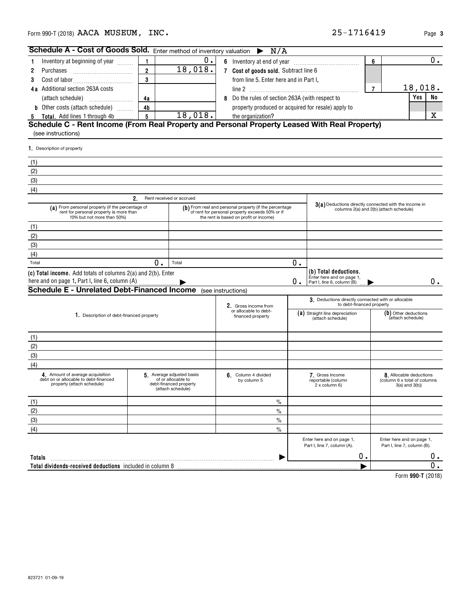| here and on page 1, Part I, line 6, column (A)                                                          |                                                                                               |                                                     | О. | Enter here and on page<br>Part I, line 6, column (B)   |
|---------------------------------------------------------------------------------------------------------|-----------------------------------------------------------------------------------------------|-----------------------------------------------------|----|--------------------------------------------------------|
|                                                                                                         | Schedule E - Unrelated Debt-Financed Income (see instructions)                                |                                                     |    |                                                        |
|                                                                                                         |                                                                                               | 2. Gross income from<br>or allocable to debt-       |    | 3. Deductions directly<br>to debt-fir                  |
| 1. Description of debt-financed property                                                                |                                                                                               | (a) Straight line depreciation<br>(attach schedule) |    |                                                        |
| (1)                                                                                                     |                                                                                               |                                                     |    |                                                        |
| (2)                                                                                                     |                                                                                               |                                                     |    |                                                        |
| (3)                                                                                                     |                                                                                               |                                                     |    |                                                        |
| (4)                                                                                                     |                                                                                               |                                                     |    |                                                        |
| 4. Amount of average acquisition<br>debt on or allocable to debt-financed<br>property (attach schedule) | 5 Average adjusted basis<br>of or allocable to<br>debt-financed property<br>(attach schedule) | 6. Column 4 divided<br>by column 5                  |    | 7. Gross income<br>reportable (column<br>2 x column 6) |
| (1)                                                                                                     |                                                                                               | $\frac{0}{0}$                                       |    |                                                        |
| (2)                                                                                                     |                                                                                               | $\frac{0}{0}$                                       |    |                                                        |
| (3)                                                                                                     |                                                                                               | $\frac{0}{0}$                                       |    |                                                        |
| (4)                                                                                                     |                                                                                               | $\%$                                                |    |                                                        |
| <b>Totals</b><br>Total dividends-received deductions included in column 8                               |                                                                                               |                                                     |    | Part I, line 7, column (A).                            |

| <b>Schedule A - Cost of Goods Sold.</b> Enter method of inventory valuation $\triangleright N/A$ |    |         |   |                                                    |   |  |         |           |
|--------------------------------------------------------------------------------------------------|----|---------|---|----------------------------------------------------|---|--|---------|-----------|
| Inventory at beginning of year                                                                   |    |         | 6 | Inventory at end of year                           | 6 |  |         |           |
| 2 Purchases                                                                                      |    | 18,018. |   | Cost of goods sold. Subtract line 6                |   |  |         |           |
| <b>3</b> Cost of labor                                                                           |    |         |   | from line 5. Enter here and in Part I,             |   |  |         |           |
| 4a Additional section 263A costs                                                                 |    |         |   | line 2                                             |   |  | 18,018. |           |
| (attach schedule)                                                                                | 4а |         | 8 | Do the rules of section 263A (with respect to      |   |  | Yes I   | <b>No</b> |
| <b>b</b> Other costs (attach schedule)                                                           | 4b |         |   | property produced or acquired for resale) apply to |   |  |         |           |
| 5 Total. Add lines 1 through 4b                                                                  |    | 18,018. |   |                                                    |   |  |         |           |
| Schedule C - Rent Income (From Real Property and Personal Property Leased With Real Property)    |    |         |   |                                                    |   |  |         |           |

## (see instructions)

**1.** Description of property

| <b>I</b> . Description of property                                                                                        |    |                                                                                                |                                                                                                                                                     |    |                                                                                  |                                                                                                  |
|---------------------------------------------------------------------------------------------------------------------------|----|------------------------------------------------------------------------------------------------|-----------------------------------------------------------------------------------------------------------------------------------------------------|----|----------------------------------------------------------------------------------|--------------------------------------------------------------------------------------------------|
| (1)                                                                                                                       |    |                                                                                                |                                                                                                                                                     |    |                                                                                  |                                                                                                  |
| (2)                                                                                                                       |    |                                                                                                |                                                                                                                                                     |    |                                                                                  |                                                                                                  |
| (3)                                                                                                                       |    |                                                                                                |                                                                                                                                                     |    |                                                                                  |                                                                                                  |
| (4)                                                                                                                       |    |                                                                                                |                                                                                                                                                     |    |                                                                                  |                                                                                                  |
|                                                                                                                           | 2. | Rent received or accrued                                                                       |                                                                                                                                                     |    |                                                                                  |                                                                                                  |
| (a) From personal property (if the percentage of<br>rent for personal property is more than<br>10% but not more than 50%) |    |                                                                                                | (b) From real and personal property (if the percentage<br>of rent for personal property exceeds 50% or if<br>the rent is based on profit or income) |    |                                                                                  | 3(a) Deductions directly connected with the income in<br>columns 2(a) and 2(b) (attach schedule) |
| (1)                                                                                                                       |    |                                                                                                |                                                                                                                                                     |    |                                                                                  |                                                                                                  |
| (2)                                                                                                                       |    |                                                                                                |                                                                                                                                                     |    |                                                                                  |                                                                                                  |
| (3)                                                                                                                       |    |                                                                                                |                                                                                                                                                     |    |                                                                                  |                                                                                                  |
| (4)                                                                                                                       |    |                                                                                                |                                                                                                                                                     |    |                                                                                  |                                                                                                  |
| Total                                                                                                                     | 0. | Total                                                                                          |                                                                                                                                                     | 0. |                                                                                  |                                                                                                  |
| (c) Total income. Add totals of columns 2(a) and 2(b). Enter<br>here and on page 1, Part I, line 6, column (A)            |    |                                                                                                |                                                                                                                                                     | Ο. | (b) Total deductions.<br>Enter here and on page 1,<br>Part I. line 6. column (B) | 0.                                                                                               |
| <b>Schedule E - Unrelated Debt-Financed Income</b>                                                                        |    |                                                                                                | (see instructions)                                                                                                                                  |    |                                                                                  |                                                                                                  |
|                                                                                                                           |    |                                                                                                | 2. Gross income from                                                                                                                                |    | 3. Deductions directly connected with or allocable<br>to debt-financed property  |                                                                                                  |
| 1. Description of debt-financed property                                                                                  |    |                                                                                                | or allocable to debt-<br>financed property                                                                                                          |    | (a) Straight line depreciation<br>(attach schedule)                              | (b) Other deductions<br>(attach schedule)                                                        |
| (1)                                                                                                                       |    |                                                                                                |                                                                                                                                                     |    |                                                                                  |                                                                                                  |
| (2)                                                                                                                       |    |                                                                                                |                                                                                                                                                     |    |                                                                                  |                                                                                                  |
| (3)                                                                                                                       |    |                                                                                                |                                                                                                                                                     |    |                                                                                  |                                                                                                  |
| (4)                                                                                                                       |    |                                                                                                |                                                                                                                                                     |    |                                                                                  |                                                                                                  |
| 4 Amount of average acquisition<br>debt on or allocable to debt-financed<br>property (attach schedule)                    |    | 5. Average adjusted basis<br>of or allocable to<br>debt-financed property<br>(attach schedule) | 6. Column 4 divided<br>by column 5                                                                                                                  |    | 7. Gross income<br>reportable (column<br>2 x column 6)                           | 8. Allocable deductions<br>(column 6 x total of columns<br>$3(a)$ and $3(b)$ )                   |
| (1)                                                                                                                       |    |                                                                                                | $\frac{0}{0}$                                                                                                                                       |    |                                                                                  |                                                                                                  |
| (2)                                                                                                                       |    |                                                                                                | $\frac{0}{0}$                                                                                                                                       |    |                                                                                  |                                                                                                  |
| (3)                                                                                                                       |    |                                                                                                | $\frac{0}{0}$                                                                                                                                       |    |                                                                                  |                                                                                                  |
| (4)                                                                                                                       |    |                                                                                                | $\frac{0}{0}$                                                                                                                                       |    |                                                                                  |                                                                                                  |
|                                                                                                                           |    |                                                                                                |                                                                                                                                                     |    | Enter here and on page 1,<br>Part I, line 7, column (A).                         | Enter here and on page 1,<br>Part I, line 7, column (B).                                         |
| <b>Totals</b>                                                                                                             |    |                                                                                                |                                                                                                                                                     |    | 0                                                                                | 0.                                                                                               |

**990-T**  Form (2018)

 $\overline{0}$ .

 $\blacktriangleright$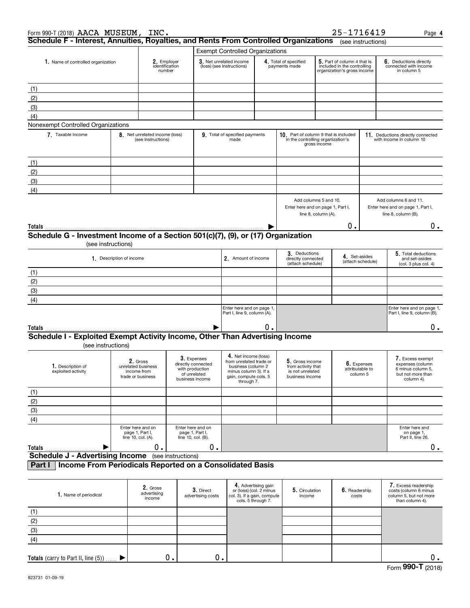| Form 990-T (2018) AACA MUSEUM,                                                       |                                         | INC.                                                               |                                                                                         |                                                                                                                                       |                                                                                                     |                                                                                                                                     |                                                                                                | 25-1716419             |                                                                | Page 4                                                                                       |
|--------------------------------------------------------------------------------------|-----------------------------------------|--------------------------------------------------------------------|-----------------------------------------------------------------------------------------|---------------------------------------------------------------------------------------------------------------------------------------|-----------------------------------------------------------------------------------------------------|-------------------------------------------------------------------------------------------------------------------------------------|------------------------------------------------------------------------------------------------|------------------------|----------------------------------------------------------------|----------------------------------------------------------------------------------------------|
| Schedule F - Interest, Annuities, Royalties, and Rents From Controlled Organizations |                                         |                                                                    |                                                                                         |                                                                                                                                       |                                                                                                     |                                                                                                                                     |                                                                                                |                        | (see instructions)                                             |                                                                                              |
|                                                                                      |                                         |                                                                    |                                                                                         | <b>Exempt Controlled Organizations</b>                                                                                                |                                                                                                     |                                                                                                                                     |                                                                                                |                        |                                                                |                                                                                              |
| 1. Name of controlled organization                                                   | 2. Employer<br>identification<br>number |                                                                    | 3. Net unrelated income<br>(loss) (see instructions)                                    |                                                                                                                                       |                                                                                                     | 5. Part of column 4 that is<br>4. Total of specified<br>payments made<br>included in the controlling<br>organization's gross income |                                                                                                |                        | 6. Deductions directly<br>connected with income<br>in column 5 |                                                                                              |
| (1)                                                                                  |                                         |                                                                    |                                                                                         |                                                                                                                                       |                                                                                                     |                                                                                                                                     |                                                                                                |                        |                                                                |                                                                                              |
| (2)                                                                                  |                                         |                                                                    |                                                                                         |                                                                                                                                       |                                                                                                     |                                                                                                                                     |                                                                                                |                        |                                                                |                                                                                              |
| (3)                                                                                  |                                         |                                                                    |                                                                                         |                                                                                                                                       |                                                                                                     |                                                                                                                                     |                                                                                                |                        |                                                                |                                                                                              |
| (4)                                                                                  |                                         |                                                                    |                                                                                         |                                                                                                                                       |                                                                                                     |                                                                                                                                     |                                                                                                |                        |                                                                |                                                                                              |
| Nonexempt Controlled Organizations                                                   |                                         |                                                                    |                                                                                         |                                                                                                                                       |                                                                                                     |                                                                                                                                     |                                                                                                |                        |                                                                |                                                                                              |
| 7. Taxable Income                                                                    |                                         | 8. Net unrelated income (loss)<br>(see instructions)               |                                                                                         | 9. Total of specified payments<br>made                                                                                                |                                                                                                     | 10. Part of column 9 that is included<br>in the controlling organization's                                                          | gross income                                                                                   |                        |                                                                | 11. Deductions directly connected<br>with income in column 10                                |
| (1)                                                                                  |                                         |                                                                    |                                                                                         |                                                                                                                                       |                                                                                                     |                                                                                                                                     |                                                                                                |                        |                                                                |                                                                                              |
| (2)                                                                                  |                                         |                                                                    |                                                                                         |                                                                                                                                       |                                                                                                     |                                                                                                                                     |                                                                                                |                        |                                                                |                                                                                              |
| (3)                                                                                  |                                         |                                                                    |                                                                                         |                                                                                                                                       |                                                                                                     |                                                                                                                                     |                                                                                                |                        |                                                                |                                                                                              |
| (4)                                                                                  |                                         |                                                                    |                                                                                         |                                                                                                                                       |                                                                                                     |                                                                                                                                     |                                                                                                |                        |                                                                |                                                                                              |
|                                                                                      |                                         |                                                                    |                                                                                         |                                                                                                                                       |                                                                                                     | Add columns 5 and 10.<br>Enter here and on page 1, Part I,                                                                          | line 8, column (A).                                                                            |                        |                                                                | Add columns 6 and 11.<br>Enter here and on page 1, Part I,<br>line 8, column (B).            |
| Totals                                                                               |                                         |                                                                    |                                                                                         |                                                                                                                                       |                                                                                                     |                                                                                                                                     |                                                                                                | о.                     |                                                                | 0.                                                                                           |
| Schedule G - Investment Income of a Section 501(c)(7), (9), or (17) Organization     | (see instructions)                      |                                                                    |                                                                                         |                                                                                                                                       |                                                                                                     |                                                                                                                                     |                                                                                                |                        |                                                                |                                                                                              |
|                                                                                      | 1. Description of income                |                                                                    |                                                                                         | 2. Amount of income                                                                                                                   |                                                                                                     |                                                                                                                                     | 3. Deductions<br>4. Set-asides<br>directly connected<br>(attach schedule)<br>(attach schedule) |                        |                                                                | 5. Total deductions<br>and set-asides<br>(col. 3 plus col. 4)                                |
| (1)                                                                                  |                                         |                                                                    |                                                                                         |                                                                                                                                       |                                                                                                     |                                                                                                                                     |                                                                                                |                        |                                                                |                                                                                              |
| (2)                                                                                  |                                         |                                                                    |                                                                                         |                                                                                                                                       |                                                                                                     |                                                                                                                                     |                                                                                                |                        |                                                                |                                                                                              |
| (3)                                                                                  |                                         |                                                                    |                                                                                         |                                                                                                                                       |                                                                                                     |                                                                                                                                     |                                                                                                |                        |                                                                |                                                                                              |
| (4)                                                                                  |                                         |                                                                    |                                                                                         |                                                                                                                                       |                                                                                                     |                                                                                                                                     |                                                                                                |                        |                                                                |                                                                                              |
|                                                                                      |                                         |                                                                    |                                                                                         | Enter here and on page 1,<br>Part I, line 9, column (A).                                                                              |                                                                                                     |                                                                                                                                     |                                                                                                |                        |                                                                | Enter here and on page 1,<br>Part I, line 9, column (B).                                     |
| Totals                                                                               |                                         |                                                                    |                                                                                         |                                                                                                                                       | О.                                                                                                  |                                                                                                                                     |                                                                                                |                        |                                                                | 0.                                                                                           |
| Schedule I - Exploited Exempt Activity Income, Other Than Advertising Income         | (see instructions)                      |                                                                    |                                                                                         |                                                                                                                                       |                                                                                                     |                                                                                                                                     |                                                                                                |                        |                                                                |                                                                                              |
| 1. Description of<br>exploited activity                                              |                                         | 2. Gross<br>unrelated business<br>income from<br>trade or business | 3. Expenses<br>directly connected<br>with production<br>of unrelated<br>business income | 4. Net income (loss)<br>from unrelated trade or<br>business (column 2<br>minus column 3). If a<br>gain, compute cols. 5<br>through 7. |                                                                                                     | 5. Gross income<br>from activity that<br>is not unrelated<br>business income                                                        |                                                                                                | attributable to        | 6. Expenses<br>column 5                                        | 7. Excess exempt<br>expenses (column<br>6 minus column 5,<br>but not more than<br>column 4). |
| (1)                                                                                  |                                         |                                                                    |                                                                                         |                                                                                                                                       |                                                                                                     |                                                                                                                                     |                                                                                                |                        |                                                                |                                                                                              |
| (2)                                                                                  |                                         |                                                                    |                                                                                         |                                                                                                                                       |                                                                                                     |                                                                                                                                     |                                                                                                |                        |                                                                |                                                                                              |
| (3)                                                                                  |                                         |                                                                    |                                                                                         |                                                                                                                                       |                                                                                                     |                                                                                                                                     |                                                                                                |                        |                                                                |                                                                                              |
| (4)                                                                                  |                                         |                                                                    |                                                                                         |                                                                                                                                       |                                                                                                     |                                                                                                                                     |                                                                                                |                        |                                                                |                                                                                              |
| Totals                                                                               |                                         | Enter here and on<br>page 1, Part I,<br>line 10, col. (A).<br>0.   | Enter here and on<br>page 1, Part I,<br>line 10, col. (B).                              | 0.                                                                                                                                    |                                                                                                     |                                                                                                                                     |                                                                                                |                        |                                                                | Enter here and<br>on page 1,<br>Part II, line 26.<br>0.                                      |
| <b>Schedule J - Advertising Income</b>                                               |                                         |                                                                    | (see instructions)                                                                      |                                                                                                                                       |                                                                                                     |                                                                                                                                     |                                                                                                |                        |                                                                |                                                                                              |
| Part I                                                                               |                                         |                                                                    | Income From Periodicals Reported on a Consolidated Basis                                |                                                                                                                                       |                                                                                                     |                                                                                                                                     |                                                                                                |                        |                                                                |                                                                                              |
|                                                                                      |                                         |                                                                    |                                                                                         |                                                                                                                                       |                                                                                                     |                                                                                                                                     |                                                                                                |                        |                                                                |                                                                                              |
| 1. Name of periodical                                                                |                                         | 2. Gross<br>advertising<br>income                                  | 3. Direct<br>advertising costs                                                          |                                                                                                                                       | 4. Advertising gain<br>or (loss) (col. 2 minus<br>col. 3). If a gain, compute<br>cols. 5 through 7. | 5. Circulation<br>income                                                                                                            |                                                                                                | 6. Readership<br>costs |                                                                | 7. Excess readership<br>costs (column 6 minus<br>column 5, but not more<br>than column 4).   |
| (1)                                                                                  |                                         |                                                                    |                                                                                         |                                                                                                                                       |                                                                                                     |                                                                                                                                     |                                                                                                |                        |                                                                |                                                                                              |
| (2)                                                                                  |                                         |                                                                    |                                                                                         |                                                                                                                                       |                                                                                                     |                                                                                                                                     |                                                                                                |                        |                                                                |                                                                                              |
| (3)                                                                                  |                                         |                                                                    |                                                                                         |                                                                                                                                       |                                                                                                     |                                                                                                                                     |                                                                                                |                        |                                                                |                                                                                              |
| (4)                                                                                  |                                         |                                                                    |                                                                                         |                                                                                                                                       |                                                                                                     |                                                                                                                                     |                                                                                                |                        |                                                                |                                                                                              |

 $\blacktriangleright$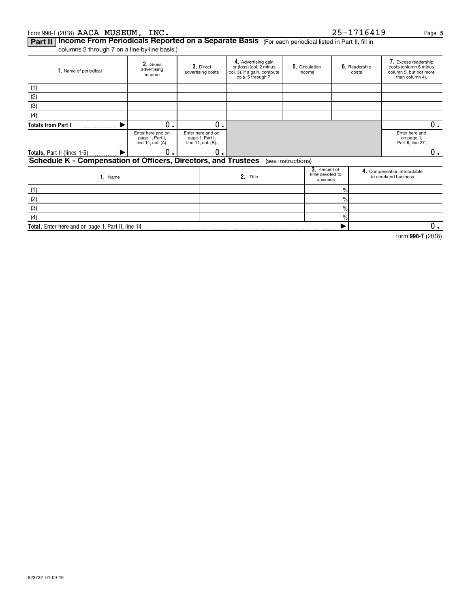#### Form 990-T (2018)  $\bf{AACA\quad MUSEUM, \bf{INC.}$ AACA MUSEUM, INC. 25-1716419

| 25-1716419 |  |  |  |  |  |  |  |  |  |  |
|------------|--|--|--|--|--|--|--|--|--|--|
|------------|--|--|--|--|--|--|--|--|--|--|

**Part II | Income From Periodicals Reported on a Separate Basis** (For each periodical listed in Part II, fill in

columns 2 through 7 on a line-by-line basis.)

| 1. Name of periodical                                          | 2. Gross<br>advertising<br>income                          | 3. Direct<br>advertising costs                             | 4. Advertising gain<br>or (loss) (col. 2 minus<br>col. 3). If a gain, compute<br>cols. 5 through 7. | 5. Circulation<br>income |                                              | 6. Readership<br>costs | 7. Excess readership<br>costs (column 6 minus<br>column 5, but not more<br>than column 4). |
|----------------------------------------------------------------|------------------------------------------------------------|------------------------------------------------------------|-----------------------------------------------------------------------------------------------------|--------------------------|----------------------------------------------|------------------------|--------------------------------------------------------------------------------------------|
| (1)                                                            |                                                            |                                                            |                                                                                                     |                          |                                              |                        |                                                                                            |
| (2)                                                            |                                                            |                                                            |                                                                                                     |                          |                                              |                        |                                                                                            |
| (3)                                                            |                                                            |                                                            |                                                                                                     |                          |                                              |                        |                                                                                            |
| (4)                                                            |                                                            |                                                            |                                                                                                     |                          |                                              |                        |                                                                                            |
| <b>Totals from Part I</b>                                      | 0.                                                         | 0.                                                         |                                                                                                     |                          |                                              |                        | $0$ .                                                                                      |
|                                                                | Enter here and on<br>page 1, Part I,<br>line 11, col. (A). | Enter here and on<br>page 1, Part I,<br>line 11, col. (B). |                                                                                                     |                          |                                              |                        | Enter here and<br>on page 1,<br>Part II, line 27.                                          |
| <b>Totals, Part II (lines 1-5)</b>                             | 0                                                          | 0.                                                         |                                                                                                     |                          |                                              |                        | 0.                                                                                         |
| Schedule K - Compensation of Officers, Directors, and Trustees |                                                            |                                                            |                                                                                                     | (see instructions)       |                                              |                        |                                                                                            |
| 1. Name                                                        |                                                            |                                                            | 2. Title                                                                                            |                          | 3. Percent of<br>time devoted to<br>business |                        | 4. Compensation attributable<br>to unrelated business                                      |
| (1)                                                            |                                                            |                                                            |                                                                                                     |                          | $\frac{0}{0}$                                |                        |                                                                                            |
| (2)                                                            |                                                            |                                                            |                                                                                                     |                          | $\%$                                         |                        |                                                                                            |
| (3)                                                            |                                                            |                                                            |                                                                                                     |                          | $\frac{9}{6}$                                |                        |                                                                                            |
| (4)                                                            |                                                            |                                                            |                                                                                                     |                          | $\%$                                         |                        |                                                                                            |
| Total. Enter here and on page 1, Part II, line 14              |                                                            |                                                            |                                                                                                     |                          |                                              |                        | 0.                                                                                         |

**990-T**  Form (2018)